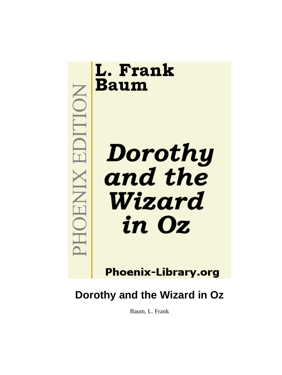

# L. Frank **Baum**

Dorothy and the Wizard in Oz

# **Phoenix-Library.org**

# **Dorothy and the Wizard in Oz**

Baum, L. Frank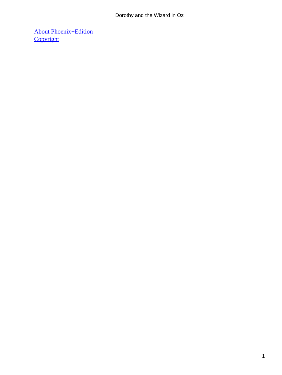[About Phoenix−Edition](#page-108-0) **[Copyright](#page-111-0)**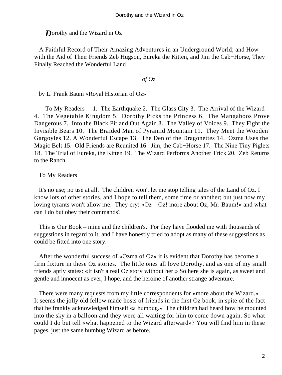## **D**orothy and the Wizard in Oz

 A Faithful Record of Their Amazing Adventures in an Underground World; and How with the Aid of Their Friends Zeb Hugson, Eureka the Kitten, and Jim the Cab−Horse, They Finally Reached the Wonderful Land

#### *of Oz*

by L. Frank Baum «Royal Historian of Oz»

 – To My Readers – 1. The Earthquake 2. The Glass City 3. The Arrival of the Wizard 4. The Vegetable Kingdom 5. Dorothy Picks the Princess 6. The Mangaboos Prove Dangerous 7. Into the Black Pit and Out Again 8. The Valley of Voices 9. They Fight the Invisible Bears 10. The Braided Man of Pyramid Mountain 11. They Meet the Wooden Gargoyles 12. A Wonderful Escape 13. The Den of the Dragonettes 14. Ozma Uses the Magic Belt 15. Old Friends are Reunited 16. Jim, the Cab−Horse 17. The Nine Tiny Piglets 18. The Trial of Eureka, the Kitten 19. The Wizard Performs Another Trick 20. Zeb Returns to the Ranch

To My Readers

 It's no use; no use at all. The children won't let me stop telling tales of the Land of Oz. I know lots of other stories, and I hope to tell them, some time or another; but just now my loving tyrants won't allow me. They cry: «Oz – Oz! more about Oz, Mr. Baum!» and what can I do but obey their commands?

 This is Our Book – mine and the children's. For they have flooded me with thousands of suggestions in regard to it, and I have honestly tried to adopt as many of these suggestions as could be fitted into one story.

 After the wonderful success of «Ozma of Oz» it is evident that Dorothy has become a firm fixture in these Oz stories. The little ones all love Dorothy, and as one of my small friends aptly states: «It isn't a real Oz story without her.» So here she is again, as sweet and gentle and innocent as ever, I hope, and the heroine of another strange adventure.

 There were many requests from my little correspondents for «more about the Wizard.» It seems the jolly old fellow made hosts of friends in the first Oz book, in spite of the fact that he frankly acknowledged himself «a humbug.» The children had heard how he mounted into the sky in a balloon and they were all waiting for him to come down again. So what could I do but tell «what happened to the Wizard afterward»? You will find him in these pages, just the same humbug Wizard as before.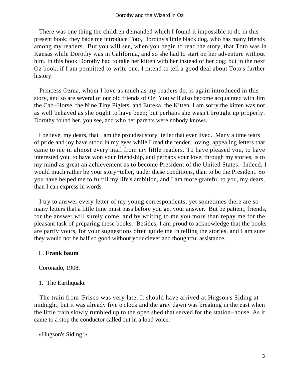There was one thing the children demanded which I found it impossible to do in this present book: they bade me introduce Toto, Dorothy's little black dog, who has many friends among my readers. But you will see, when you begin to read the story, that Toto was in Kansas while Dorothy was in California, and so she had to start on her adventure without him. In this book Dorothy had to take her kitten with her instead of her dog; but in the next Oz book, if I am permitted to write one, I intend to tell a good deal about Toto's further history.

 Princess Ozma, whom I love as much as my readers do, is again introduced in this story, and so are several of our old friends of Oz. You will also become acquainted with Jim the Cab−Horse, the Nine Tiny Piglets, and Eureka, the Kitten. I am sorry the kitten was not as well behaved as she ought to have been; but perhaps she wasn't brought up properly. Dorothy found her, you see, and who her parents were nobody knows.

 I believe, my dears, that I am the proudest story−teller that ever lived. Many a time tears of pride and joy have stood in my eyes while I read the tender, loving, appealing letters that came to me in almost every mail from my little readers. To have pleased you, to have interested you, to have won your friendship, and perhaps your love, through my stories, is to my mind as great an achievement as to become President of the United States. Indeed, I would much rather be your story−teller, under these conditions, than to be the President. So you have helped me to fulfill my life's ambition, and I am more grateful to you, my dears, than I can express in words.

 I try to answer every letter of my young correspondents; yet sometimes there are so many letters that a little time must pass before you get your answer. But be patient, friends, for the answer will surely come, and by writing to me you more than repay me for the pleasant task of preparing these books. Besides, I am proud to acknowledge that the books are partly yours, for your suggestions often guide me in telling the stories, and I am sure they would not be half so good without your clever and thoughtful assistance.

## L. **Frank baum**

Coronado, 1908.

1. The Earthquake

 The train from 'Frisco was very late. It should have arrived at Hugson's Siding at midnight, but it was already five o'clock and the gray dawn was breaking in the east when the little train slowly rumbled up to the open shed that served for the station−house. As it came to a stop the conductor called out in a loud voice:

«Hugson's Siding!»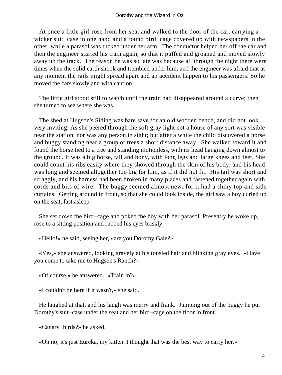#### Dorothy and the Wizard in Oz

 At once a little girl rose from her seat and walked to the door of the car, carrying a wicker suit−case in one hand and a round bird−cage covered up with newspapers in the other, while a parasol was tucked under her arm. The conductor helped her off the car and then the engineer started his train again, so that it puffed and groaned and moved slowly away up the track. The reason he was so late was because all through the night there were times when the solid earth shook and trembled under him, and the engineer was afraid that at any moment the rails might spread apart and an accident happen to his passengers. So he moved the cars slowly and with caution.

 The little girl stood still to watch until the train had disappeared around a curve; then she turned to see where she was.

 The shed at Hugson's Siding was bare save for an old wooden bench, and did not look very inviting. As she peered through the soft gray light not a house of any sort was visible near the station, nor was any person in sight; but after a while the child discovered a horse and buggy standing near a group of trees a short distance away. She walked toward it and found the horse tied to a tree and standing motionless, with its head hanging down almost to the ground. It was a big horse, tall and bony, with long legs and large knees and feet. She could count his ribs easily where they showed through the skin of his body, and his head was long and seemed altogether too big for him, as if it did not fit. His tail was short and scraggly, and his harness had been broken in many places and fastened together again with cords and bits of wire. The buggy seemed almost new, for it had a shiny top and side curtains. Getting around in front, so that she could look inside, the girl saw a boy curled up on the seat, fast asleep.

 She set down the bird−cage and poked the boy with her parasol. Presently he woke up, rose to a sitting position and rubbed his eyes briskly.

«Hello!» he said, seeing her, «are you Dorothy Gale?»

 «Yes,» she answered, looking gravely at his tousled hair and blinking gray eyes. «Have you come to take me to Hugson's Ranch?»

«Of course,» he answered. «Train in?»

«I couldn't be here if it wasn't,» she said.

 He laughed at that, and his laugh was merry and frank. Jumping out of the buggy he put Dorothy's suit−case under the seat and her bird−cage on the floor in front.

«Canary−birds?» he asked.

«Oh no; it's just Eureka, my kitten. I thought that was the best way to carry her.»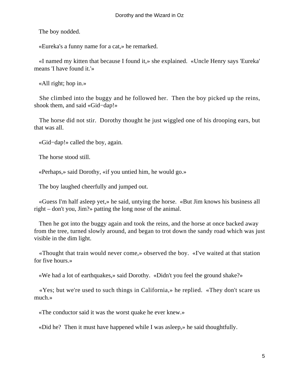The boy nodded.

«Eureka's a funny name for a cat,» he remarked.

 «I named my kitten that because I found it,» she explained. «Uncle Henry says 'Eureka' means 'I have found it.'»

«All right; hop in.»

 She climbed into the buggy and he followed her. Then the boy picked up the reins, shook them, and said «Gid−dap!»

 The horse did not stir. Dorothy thought he just wiggled one of his drooping ears, but that was all.

«Gid−dap!» called the boy, again.

The horse stood still.

«Perhaps,» said Dorothy, «if you untied him, he would go.»

The boy laughed cheerfully and jumped out.

 «Guess I'm half asleep yet,» he said, untying the horse. «But Jim knows his business all right – don't you, Jim?» patting the long nose of the animal.

 Then he got into the buggy again and took the reins, and the horse at once backed away from the tree, turned slowly around, and began to trot down the sandy road which was just visible in the dim light.

 «Thought that train would never come,» observed the boy. «I've waited at that station for five hours.»

«We had a lot of earthquakes,» said Dorothy. «Didn't you feel the ground shake?»

 «Yes; but we're used to such things in California,» he replied. «They don't scare us much.»

«The conductor said it was the worst quake he ever knew.»

«Did he? Then it must have happened while I was asleep,» he said thoughtfully.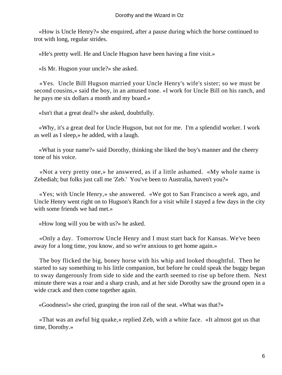«How is Uncle Henry?» she enquired, after a pause during which the horse continued to trot with long, regular strides.

«He's pretty well. He and Uncle Hugson have been having a fine visit.»

«Is Mr. Hugson your uncle?» she asked.

 «Yes. Uncle Bill Hugson married your Uncle Henry's wife's sister; so we must be second cousins,» said the boy, in an amused tone. «I work for Uncle Bill on his ranch, and he pays me six dollars a month and my board.»

«Isn't that a great deal?» she asked, doubtfully.

 «Why, it's a great deal for Uncle Hugson, but not for me. I'm a splendid worker. I work as well as I sleep,» he added, with a laugh.

 «What is your name?» said Dorothy, thinking she liked the boy's manner and the cheery tone of his voice.

 «Not a very pretty one,» he answered, as if a little ashamed. «My whole name is Zebediah; but folks just call me 'Zeb.' You've been to Australia, haven't you?»

 «Yes; with Uncle Henry,» she answered. «We got to San Francisco a week ago, and Uncle Henry went right on to Hugson's Ranch for a visit while I stayed a few days in the city with some friends we had met.»

«How long will you be with us?» he asked.

 «Only a day. Tomorrow Uncle Henry and I must start back for Kansas. We've been away for a long time, you know, and so we're anxious to get home again.»

 The boy flicked the big, boney horse with his whip and looked thoughtful. Then he started to say something to his little companion, but before he could speak the buggy began to sway dangerously from side to side and the earth seemed to rise up before them. Next minute there was a roar and a sharp crash, and at her side Dorothy saw the ground open in a wide crack and then come together again.

«Goodness!» she cried, grasping the iron rail of the seat. «What was that?»

 «That was an awful big quake,» replied Zeb, with a white face. «It almost got us that time, Dorothy.»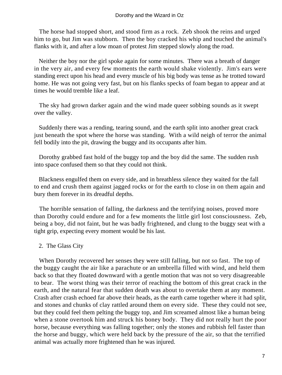The horse had stopped short, and stood firm as a rock. Zeb shook the reins and urged him to go, but Jim was stubborn. Then the boy cracked his whip and touched the animal's flanks with it, and after a low moan of protest Jim stepped slowly along the road.

 Neither the boy nor the girl spoke again for some minutes. There was a breath of danger in the very air, and every few moments the earth would shake violently. Jim's ears were standing erect upon his head and every muscle of his big body was tense as he trotted toward home. He was not going very fast, but on his flanks specks of foam began to appear and at times he would tremble like a leaf.

 The sky had grown darker again and the wind made queer sobbing sounds as it swept over the valley.

 Suddenly there was a rending, tearing sound, and the earth split into another great crack just beneath the spot where the horse was standing. With a wild neigh of terror the animal fell bodily into the pit, drawing the buggy and its occupants after him.

 Dorothy grabbed fast hold of the buggy top and the boy did the same. The sudden rush into space confused them so that they could not think.

 Blackness engulfed them on every side, and in breathless silence they waited for the fall to end and crush them against jagged rocks or for the earth to close in on them again and bury them forever in its dreadful depths.

 The horrible sensation of falling, the darkness and the terrifying noises, proved more than Dorothy could endure and for a few moments the little girl lost consciousness. Zeb, being a boy, did not faint, but he was badly frightened, and clung to the buggy seat with a tight grip, expecting every moment would be his last.

## 2. The Glass City

 When Dorothy recovered her senses they were still falling, but not so fast. The top of the buggy caught the air like a parachute or an umbrella filled with wind, and held them back so that they floated downward with a gentle motion that was not so very disagreeable to bear. The worst thing was their terror of reaching the bottom of this great crack in the earth, and the natural fear that sudden death was about to overtake them at any moment. Crash after crash echoed far above their heads, as the earth came together where it had split, and stones and chunks of clay rattled around them on every side. These they could not see, but they could feel them pelting the buggy top, and Jim screamed almost like a human being when a stone overtook him and struck his boney body. They did not really hurt the poor horse, because everything was falling together; only the stones and rubbish fell faster than the horse and buggy, which were held back by the pressure of the air, so that the terrified animal was actually more frightened than he was injured.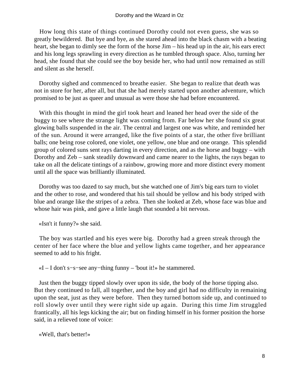How long this state of things continued Dorothy could not even guess, she was so greatly bewildered. But bye and bye, as she stared ahead into the black chasm with a beating heart, she began to dimly see the form of the horse Jim – his head up in the air, his ears erect and his long legs sprawling in every direction as he tumbled through space. Also, turning her head, she found that she could see the boy beside her, who had until now remained as still and silent as she herself.

 Dorothy sighed and commenced to breathe easier. She began to realize that death was not in store for her, after all, but that she had merely started upon another adventure, which promised to be just as queer and unusual as were those she had before encountered.

 With this thought in mind the girl took heart and leaned her head over the side of the buggy to see where the strange light was coming from. Far below her she found six great glowing balls suspended in the air. The central and largest one was white, and reminded her of the sun. Around it were arranged, like the five points of a star, the other five brilliant balls; one being rose colored, one violet, one yellow, one blue and one orange. This splendid group of colored suns sent rays darting in every direction, and as the horse and buggy – with Dorothy and Zeb – sank steadily downward and came nearer to the lights, the rays began to take on all the delicate tintings of a rainbow, growing more and more distinct every moment until all the space was brilliantly illuminated.

 Dorothy was too dazed to say much, but she watched one of Jim's big ears turn to violet and the other to rose, and wondered that his tail should be yellow and his body striped with blue and orange like the stripes of a zebra. Then she looked at Zeb, whose face was blue and whose hair was pink, and gave a little laugh that sounded a bit nervous.

«Isn't it funny?» she said.

 The boy was startled and his eyes were big. Dorothy had a green streak through the center of her face where the blue and yellow lights came together, and her appearance seemed to add to his fright.

«I – I don't s−s−see any−thing funny – 'bout it!» he stammered.

 Just then the buggy tipped slowly over upon its side, the body of the horse tipping also. But they continued to fall, all together, and the boy and girl had no difficulty in remaining upon the seat, just as they were before. Then they turned bottom side up, and continued to roll slowly over until they were right side up again. During this time Jim struggled frantically, all his legs kicking the air; but on finding himself in his former position the horse said, in a relieved tone of voice:

«Well, that's better!»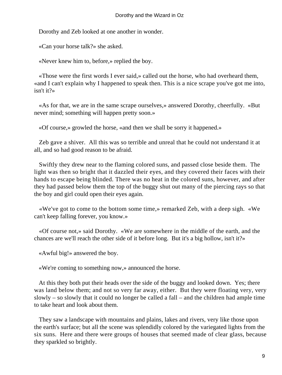Dorothy and Zeb looked at one another in wonder.

«Can your horse talk?» she asked.

«Never knew him to, before,» replied the boy.

 «Those were the first words I ever said,» called out the horse, who had overheard them, «and I can't explain why I happened to speak then. This is a nice scrape you've got me into, isn't it?»

 «As for that, we are in the same scrape ourselves,» answered Dorothy, cheerfully. «But never mind; something will happen pretty soon.»

«Of course,» growled the horse, «and then we shall be sorry it happened.»

 Zeb gave a shiver. All this was so terrible and unreal that he could not understand it at all, and so had good reason to be afraid.

 Swiftly they drew near to the flaming colored suns, and passed close beside them. The light was then so bright that it dazzled their eyes, and they covered their faces with their hands to escape being blinded. There was no heat in the colored suns, however, and after they had passed below them the top of the buggy shut out many of the piercing rays so that the boy and girl could open their eyes again.

 «We've got to come to the bottom some time,» remarked Zeb, with a deep sigh. «We can't keep falling forever, you know.»

 «Of course not,» said Dorothy. «We are somewhere in the middle of the earth, and the chances are we'll reach the other side of it before long. But it's a big hollow, isn't it?»

«Awful big!» answered the boy.

«We're coming to something now,» announced the horse.

 At this they both put their heads over the side of the buggy and looked down. Yes; there was land below them; and not so very far away, either. But they were floating very, very slowly – so slowly that it could no longer be called a fall – and the children had ample time to take heart and look about them.

 They saw a landscape with mountains and plains, lakes and rivers, very like those upon the earth's surface; but all the scene was splendidly colored by the variegated lights from the six suns. Here and there were groups of houses that seemed made of clear glass, because they sparkled so brightly.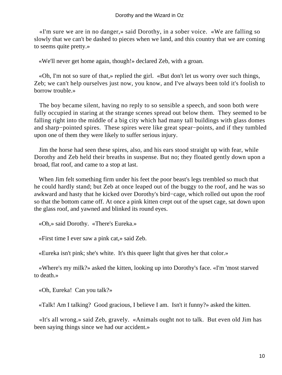«I'm sure we are in no danger,» said Dorothy, in a sober voice. «We are falling so slowly that we can't be dashed to pieces when we land, and this country that we are coming to seems quite pretty.»

«We'll never get home again, though!» declared Zeb, with a groan.

 «Oh, I'm not so sure of that,» replied the girl. «But don't let us worry over such things, Zeb; we can't help ourselves just now, you know, and I've always been told it's foolish to borrow trouble.»

 The boy became silent, having no reply to so sensible a speech, and soon both were fully occupied in staring at the strange scenes spread out below them. They seemed to be falling right into the middle of a big city which had many tall buildings with glass domes and sharp−pointed spires. These spires were like great spear−points, and if they tumbled upon one of them they were likely to suffer serious injury.

 Jim the horse had seen these spires, also, and his ears stood straight up with fear, while Dorothy and Zeb held their breaths in suspense. But no; they floated gently down upon a broad, flat roof, and came to a stop at last.

 When Jim felt something firm under his feet the poor beast's legs trembled so much that he could hardly stand; but Zeb at once leaped out of the buggy to the roof, and he was so awkward and hasty that he kicked over Dorothy's bird−cage, which rolled out upon the roof so that the bottom came off. At once a pink kitten crept out of the upset cage, sat down upon the glass roof, and yawned and blinked its round eyes.

«Oh,» said Dorothy. «There's Eureka.»

«First time I ever saw a pink cat,» said Zeb.

«Eureka isn't pink; she's white. It's this queer light that gives her that color.»

 «Where's my milk?» asked the kitten, looking up into Dorothy's face. «I'm 'most starved to death.»

«Oh, Eureka! Can you talk?»

«Talk! Am I talking? Good gracious, I believe I am. Isn't it funny?» asked the kitten.

 «It's all wrong.» said Zeb, gravely. «Animals ought not to talk. But even old Jim has been saying things since we had our accident.»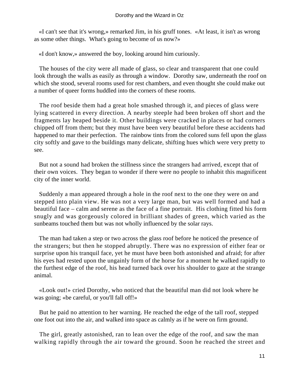«I can't see that it's wrong,» remarked Jim, in his gruff tones. «At least, it isn't as wrong as some other things. What's going to become of us now?»

«I don't know,» answered the boy, looking around him curiously.

 The houses of the city were all made of glass, so clear and transparent that one could look through the walls as easily as through a window. Dorothy saw, underneath the roof on which she stood, several rooms used for rest chambers, and even thought she could make out a number of queer forms huddled into the corners of these rooms.

 The roof beside them had a great hole smashed through it, and pieces of glass were lying scattered in every direction. A nearby steeple had been broken off short and the fragments lay heaped beside it. Other buildings were cracked in places or had corners chipped off from them; but they must have been very beautiful before these accidents had happened to mar their perfection. The rainbow tints from the colored suns fell upon the glass city softly and gave to the buildings many delicate, shifting hues which were very pretty to see.

 But not a sound had broken the stillness since the strangers had arrived, except that of their own voices. They began to wonder if there were no people to inhabit this magnificent city of the inner world.

 Suddenly a man appeared through a hole in the roof next to the one they were on and stepped into plain view. He was not a very large man, but was well formed and had a beautiful face – calm and serene as the face of a fine portrait. His clothing fitted his form snugly and was gorgeously colored in brilliant shades of green, which varied as the sunbeams touched them but was not wholly influenced by the solar rays.

 The man had taken a step or two across the glass roof before he noticed the presence of the strangers; but then he stopped abruptly. There was no expression of either fear or surprise upon his tranquil face, yet he must have been both astonished and afraid; for after his eyes had rested upon the ungainly form of the horse for a moment he walked rapidly to the furthest edge of the roof, his head turned back over his shoulder to gaze at the strange animal.

 «Look out!» cried Dorothy, who noticed that the beautiful man did not look where he was going; «be careful, or you'll fall off!»

 But he paid no attention to her warning. He reached the edge of the tall roof, stepped one foot out into the air, and walked into space as calmly as if he were on firm ground.

 The girl, greatly astonished, ran to lean over the edge of the roof, and saw the man walking rapidly through the air toward the ground. Soon he reached the street and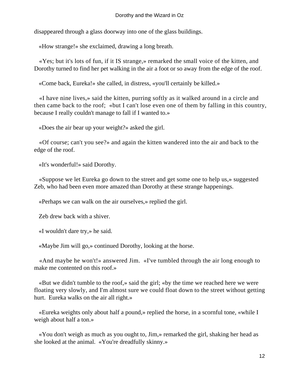disappeared through a glass doorway into one of the glass buildings.

«How strange!» she exclaimed, drawing a long breath.

 «Yes; but it's lots of fun, if it IS strange,» remarked the small voice of the kitten, and Dorothy turned to find her pet walking in the air a foot or so away from the edge of the roof.

«Come back, Eureka!» she called, in distress, «you'll certainly be killed.»

 «I have nine lives,» said the kitten, purring softly as it walked around in a circle and then came back to the roof; «but I can't lose even one of them by falling in this country, because I really couldn't manage to fall if I wanted to.»

«Does the air bear up your weight?» asked the girl.

 «Of course; can't you see?» and again the kitten wandered into the air and back to the edge of the roof.

«It's wonderful!» said Dorothy.

 «Suppose we let Eureka go down to the street and get some one to help us,» suggested Zeb, who had been even more amazed than Dorothy at these strange happenings.

«Perhaps we can walk on the air ourselves,» replied the girl.

Zeb drew back with a shiver.

«I wouldn't dare try,» he said.

«Maybe Jim will go,» continued Dorothy, looking at the horse.

 «And maybe he won't!» answered Jim. «I've tumbled through the air long enough to make me contented on this roof.»

 «But we didn't tumble to the roof,» said the girl; «by the time we reached here we were floating very slowly, and I'm almost sure we could float down to the street without getting hurt. Eureka walks on the air all right.»

 «Eureka weights only about half a pound,» replied the horse, in a scornful tone, «while I weigh about half a ton.»

 «You don't weigh as much as you ought to, Jim,» remarked the girl, shaking her head as she looked at the animal. «You're dreadfully skinny.»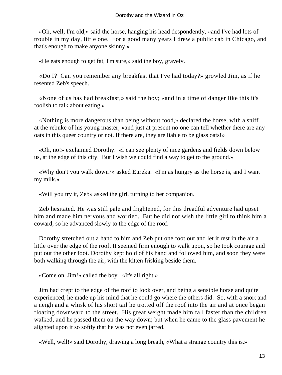«Oh, well; I'm old,» said the horse, hanging his head despondently, «and I've had lots of trouble in my day, little one. For a good many years I drew a public cab in Chicago, and that's enough to make anyone skinny.»

«He eats enough to get fat, I'm sure,» said the boy, gravely.

 «Do I? Can you remember any breakfast that I've had today?» growled Jim, as if he resented Zeb's speech.

 «None of us has had breakfast,» said the boy; «and in a time of danger like this it's foolish to talk about eating.»

 «Nothing is more dangerous than being without food,» declared the horse, with a sniff at the rebuke of his young master; «and just at present no one can tell whether there are any oats in this queer country or not. If there are, they are liable to be glass oats!»

 «Oh, no!» exclaimed Dorothy. «I can see plenty of nice gardens and fields down below us, at the edge of this city. But I wish we could find a way to get to the ground.»

 «Why don't you walk down?» asked Eureka. «I'm as hungry as the horse is, and I want my milk.»

«Will you try it, Zeb» asked the girl, turning to her companion.

 Zeb hesitated. He was still pale and frightened, for this dreadful adventure had upset him and made him nervous and worried. But he did not wish the little girl to think him a coward, so he advanced slowly to the edge of the roof.

 Dorothy stretched out a hand to him and Zeb put one foot out and let it rest in the air a little over the edge of the roof. It seemed firm enough to walk upon, so he took courage and put out the other foot. Dorothy kept hold of his hand and followed him, and soon they were both walking through the air, with the kitten frisking beside them.

«Come on, Jim!» called the boy. «It's all right.»

 Jim had crept to the edge of the roof to look over, and being a sensible horse and quite experienced, he made up his mind that he could go where the others did. So, with a snort and a neigh and a whisk of his short tail he trotted off the roof into the air and at once began floating downward to the street. His great weight made him fall faster than the children walked, and he passed them on the way down; but when he came to the glass pavement he alighted upon it so softly that he was not even jarred.

«Well, well!» said Dorothy, drawing a long breath, «What a strange country this is.»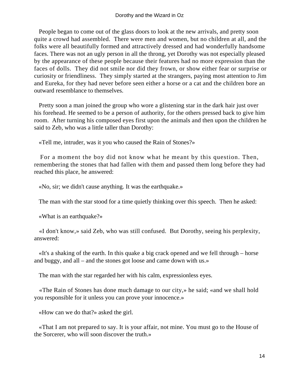People began to come out of the glass doors to look at the new arrivals, and pretty soon quite a crowd had assembled. There were men and women, but no children at all, and the folks were all beautifully formed and attractively dressed and had wonderfully handsome faces. There was not an ugly person in all the throng, yet Dorothy was not especially pleased by the appearance of these people because their features had no more expression than the faces of dolls. They did not smile nor did they frown, or show either fear or surprise or curiosity or friendliness. They simply started at the strangers, paying most attention to Jim and Eureka, for they had never before seen either a horse or a cat and the children bore an outward resemblance to themselves.

 Pretty soon a man joined the group who wore a glistening star in the dark hair just over his forehead. He seemed to be a person of authority, for the others pressed back to give him room. After turning his composed eyes first upon the animals and then upon the children he said to Zeb, who was a little taller than Dorothy:

«Tell me, intruder, was it you who caused the Rain of Stones?»

 For a moment the boy did not know what he meant by this question. Then, remembering the stones that had fallen with them and passed them long before they had reached this place, he answered:

«No, sir; we didn't cause anything. It was the earthquake.»

The man with the star stood for a time quietly thinking over this speech. Then he asked:

«What is an earthquake?»

 «I don't know,» said Zeb, who was still confused. But Dorothy, seeing his perplexity, answered:

 «It's a shaking of the earth. In this quake a big crack opened and we fell through – horse and buggy, and all – and the stones got loose and came down with us.»

The man with the star regarded her with his calm, expressionless eyes.

 «The Rain of Stones has done much damage to our city,» he said; «and we shall hold you responsible for it unless you can prove your innocence.»

«How can we do that?» asked the girl.

 «That I am not prepared to say. It is your affair, not mine. You must go to the House of the Sorcerer, who will soon discover the truth.»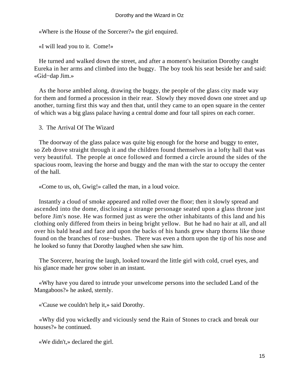«Where is the House of the Sorcerer?» the girl enquired.

«I will lead you to it. Come!»

 He turned and walked down the street, and after a moment's hesitation Dorothy caught Eureka in her arms and climbed into the buggy. The boy took his seat beside her and said: «Gid−dap Jim.»

 As the horse ambled along, drawing the buggy, the people of the glass city made way for them and formed a procession in their rear. Slowly they moved down one street and up another, turning first this way and then that, until they came to an open square in the center of which was a big glass palace having a central dome and four tall spires on each corner.

3. The Arrival Of The Wizard

 The doorway of the glass palace was quite big enough for the horse and buggy to enter, so Zeb drove straight through it and the children found themselves in a lofty hall that was very beautiful. The people at once followed and formed a circle around the sides of the spacious room, leaving the horse and buggy and the man with the star to occupy the center of the hall.

«Come to us, oh, Gwig!» called the man, in a loud voice.

 Instantly a cloud of smoke appeared and rolled over the floor; then it slowly spread and ascended into the dome, disclosing a strange personage seated upon a glass throne just before Jim's nose. He was formed just as were the other inhabitants of this land and his clothing only differed from theirs in being bright yellow. But he had no hair at all, and all over his bald head and face and upon the backs of his hands grew sharp thorns like those found on the branches of rose−bushes. There was even a thorn upon the tip of his nose and he looked so funny that Dorothy laughed when she saw him.

 The Sorcerer, hearing the laugh, looked toward the little girl with cold, cruel eyes, and his glance made her grow sober in an instant.

 «Why have you dared to intrude your unwelcome persons into the secluded Land of the Mangaboos?» he asked, sternly.

«'Cause we couldn't help it,» said Dorothy.

 «Why did you wickedly and viciously send the Rain of Stones to crack and break our houses?» he continued.

«We didn't,» declared the girl.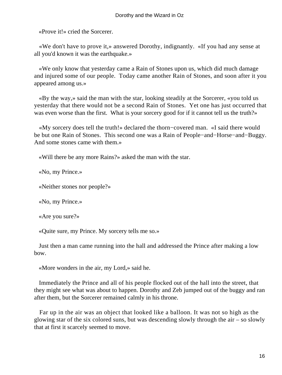«Prove it!» cried the Sorcerer.

 «We don't have to prove it,» answered Dorothy, indignantly. «If you had any sense at all you'd known it was the earthquake.»

 «We only know that yesterday came a Rain of Stones upon us, which did much damage and injured some of our people. Today came another Rain of Stones, and soon after it you appeared among us.»

 «By the way,» said the man with the star, looking steadily at the Sorcerer, «you told us yesterday that there would not be a second Rain of Stones. Yet one has just occurred that was even worse than the first. What is your sorcery good for if it cannot tell us the truth?»

 «My sorcery does tell the truth!» declared the thorn−covered man. «I said there would be but one Rain of Stones. This second one was a Rain of People−and−Horse−and−Buggy. And some stones came with them.»

«Will there be any more Rains?» asked the man with the star.

«No, my Prince.»

«Neither stones nor people?»

«No, my Prince.»

«Are you sure?»

«Quite sure, my Prince. My sorcery tells me so.»

 Just then a man came running into the hall and addressed the Prince after making a low bow.

«More wonders in the air, my Lord,» said he.

 Immediately the Prince and all of his people flocked out of the hall into the street, that they might see what was about to happen. Dorothy and Zeb jumped out of the buggy and ran after them, but the Sorcerer remained calmly in his throne.

 Far up in the air was an object that looked like a balloon. It was not so high as the glowing star of the six colored suns, but was descending slowly through the air – so slowly that at first it scarcely seemed to move.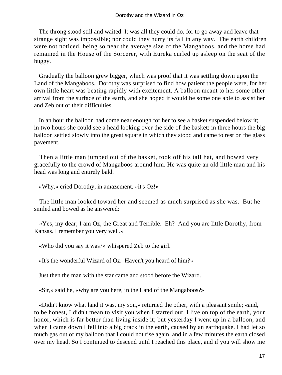The throng stood still and waited. It was all they could do, for to go away and leave that strange sight was impossible; nor could they hurry its fall in any way. The earth children were not noticed, being so near the average size of the Mangaboos, and the horse had remained in the House of the Sorcerer, with Eureka curled up asleep on the seat of the buggy.

 Gradually the balloon grew bigger, which was proof that it was settling down upon the Land of the Mangaboos. Dorothy was surprised to find how patient the people were, for her own little heart was beating rapidly with excitement. A balloon meant to her some other arrival from the surface of the earth, and she hoped it would be some one able to assist her and Zeb out of their difficulties.

 In an hour the balloon had come near enough for her to see a basket suspended below it; in two hours she could see a head looking over the side of the basket; in three hours the big balloon settled slowly into the great square in which they stood and came to rest on the glass pavement.

 Then a little man jumped out of the basket, took off his tall hat, and bowed very gracefully to the crowd of Mangaboos around him. He was quite an old little man and his head was long and entirely bald.

«Why,» cried Dorothy, in amazement, «it's Oz!»

 The little man looked toward her and seemed as much surprised as she was. But he smiled and bowed as he answered:

 «Yes, my dear; I am Oz, the Great and Terrible. Eh? And you are little Dorothy, from Kansas. I remember you very well.»

«Who did you say it was?» whispered Zeb to the girl.

«It's the wonderful Wizard of Oz. Haven't you heard of him?»

Just then the man with the star came and stood before the Wizard.

«Sir,» said he, «why are you here, in the Land of the Mangaboos?»

 «Didn't know what land it was, my son,» returned the other, with a pleasant smile; «and, to be honest, I didn't mean to visit you when I started out. I live on top of the earth, your honor, which is far better than living inside it; but yesterday I went up in a balloon, and when I came down I fell into a big crack in the earth, caused by an earthquake. I had let so much gas out of my balloon that I could not rise again, and in a few minutes the earth closed over my head. So I continued to descend until I reached this place, and if you will show me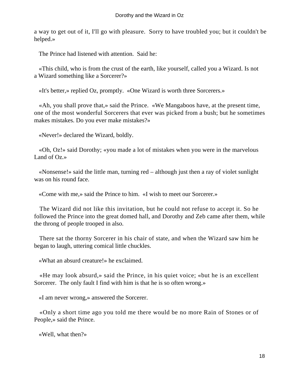a way to get out of it, I'll go with pleasure. Sorry to have troubled you; but it couldn't be helped.»

The Prince had listened with attention. Said he:

 «This child, who is from the crust of the earth, like yourself, called you a Wizard. Is not a Wizard something like a Sorcerer?»

«It's better,» replied Oz, promptly. «One Wizard is worth three Sorcerers.»

 «Ah, you shall prove that,» said the Prince. «We Mangaboos have, at the present time, one of the most wonderful Sorcerers that ever was picked from a bush; but he sometimes makes mistakes. Do you ever make mistakes?»

«Never!» declared the Wizard, boldly.

 «Oh, Oz!» said Dorothy; «you made a lot of mistakes when you were in the marvelous Land of Oz.»

 «Nonsense!» said the little man, turning red – although just then a ray of violet sunlight was on his round face.

«Come with me,» said the Prince to him. «I wish to meet our Sorcerer.»

 The Wizard did not like this invitation, but he could not refuse to accept it. So he followed the Prince into the great domed hall, and Dorothy and Zeb came after them, while the throng of people trooped in also.

 There sat the thorny Sorcerer in his chair of state, and when the Wizard saw him he began to laugh, uttering comical little chuckles.

«What an absurd creature!» he exclaimed.

 «He may look absurd,» said the Prince, in his quiet voice; «but he is an excellent Sorcerer. The only fault I find with him is that he is so often wrong.»

«I am never wrong,» answered the Sorcerer.

 «Only a short time ago you told me there would be no more Rain of Stones or of People,» said the Prince.

«Well, what then?»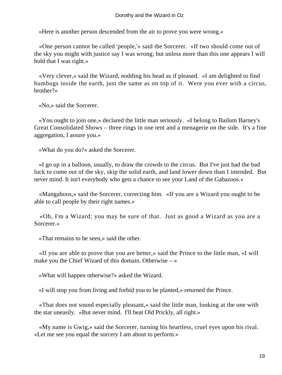«Here is another person descended from the air to prove you were wrong.»

 «One person cannot be called 'people,'» said the Sorcerer. «If two should come out of the sky you might with justice say I was wrong; but unless more than this one appears I will hold that I was right.»

 «Very clever,» said the Wizard, nodding his head as if pleased. «I am delighted to find humbugs inside the earth, just the same as on top of it. Were you ever with a circus, brother?»

«No,» said the Sorcerer.

 «You ought to join one,» declared the little man seriously. «I belong to Bailum Barney's Great Consolidated Shows – three rings in one tent and a menagerie on the side. It's a fine aggregation, I assure you.»

«What do you do?» asked the Sorcerer.

 «I go up in a balloon, usually, to draw the crowds to the circus. But I've just had the bad luck to come out of the sky, skip the solid earth, and land lower down than I intended. But never mind. It isn't everybody who gets a chance to see your Land of the Gabazoos.»

 «Mangaboos,» said the Sorcerer, correcting him. «If you are a Wizard you ought to be able to call people by their right names.»

 «Oh, I'm a Wizard; you may be sure of that. Just as good a Wizard as you are a Sorcerer.»

«That remains to be seen,» said the other.

 «If you are able to prove that you are better,» said the Prince to the little man, «I will make you the Chief Wizard of this domain. Otherwise – »

«What will happen otherwise?» asked the Wizard.

«I will stop you from living and forbid you to be planted,» returned the Prince.

 «That does not sound especially pleasant,» said the little man, looking at the one with the star uneasily. «But never mind. I'll beat Old Prickly, all right.»

 «My name is Gwig,» said the Sorcerer, turning his heartless, cruel eyes upon his rival. «Let me see you equal the sorcery I am about to perform.»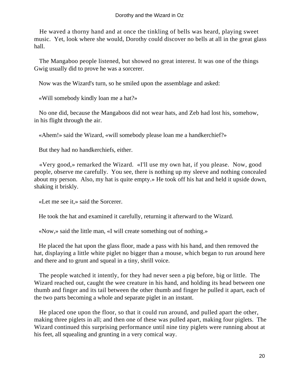He waved a thorny hand and at once the tinkling of bells was heard, playing sweet music. Yet, look where she would, Dorothy could discover no bells at all in the great glass hall.

 The Mangaboo people listened, but showed no great interest. It was one of the things Gwig usually did to prove he was a sorcerer.

Now was the Wizard's turn, so he smiled upon the assemblage and asked:

«Will somebody kindly loan me a hat?»

 No one did, because the Mangaboos did not wear hats, and Zeb had lost his, somehow, in his flight through the air.

«Ahem!» said the Wizard, «will somebody please loan me a handkerchief?»

But they had no handkerchiefs, either.

 «Very good,» remarked the Wizard. «I'll use my own hat, if you please. Now, good people, observe me carefully. You see, there is nothing up my sleeve and nothing concealed about my person. Also, my hat is quite empty.» He took off his hat and held it upside down, shaking it briskly.

«Let me see it,» said the Sorcerer.

He took the hat and examined it carefully, returning it afterward to the Wizard.

«Now,» said the little man, «I will create something out of nothing.»

 He placed the hat upon the glass floor, made a pass with his hand, and then removed the hat, displaying a little white piglet no bigger than a mouse, which began to run around here and there and to grunt and squeal in a tiny, shrill voice.

 The people watched it intently, for they had never seen a pig before, big or little. The Wizard reached out, caught the wee creature in his hand, and holding its head between one thumb and finger and its tail between the other thumb and finger he pulled it apart, each of the two parts becoming a whole and separate piglet in an instant.

 He placed one upon the floor, so that it could run around, and pulled apart the other, making three piglets in all; and then one of these was pulled apart, making four piglets. The Wizard continued this surprising performance until nine tiny piglets were running about at his feet, all squealing and grunting in a very comical way.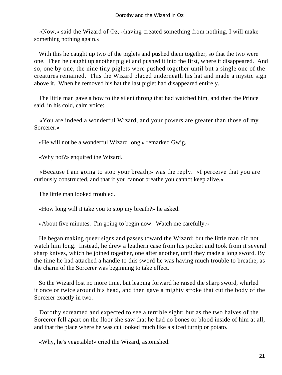«Now,» said the Wizard of Oz, «having created something from nothing, I will make something nothing again.»

With this he caught up two of the piglets and pushed them together, so that the two were one. Then he caught up another piglet and pushed it into the first, where it disappeared. And so, one by one, the nine tiny piglets were pushed together until but a single one of the creatures remained. This the Wizard placed underneath his hat and made a mystic sign above it. When he removed his hat the last piglet had disappeared entirely.

 The little man gave a bow to the silent throng that had watched him, and then the Prince said, in his cold, calm voice:

 «You are indeed a wonderful Wizard, and your powers are greater than those of my Sorcerer.»

«He will not be a wonderful Wizard long,» remarked Gwig.

«Why not?» enquired the Wizard.

 «Because I am going to stop your breath,» was the reply. «I perceive that you are curiously constructed, and that if you cannot breathe you cannot keep alive.»

The little man looked troubled.

«How long will it take you to stop my breath?» he asked.

«About five minutes. I'm going to begin now. Watch me carefully.»

 He began making queer signs and passes toward the Wizard; but the little man did not watch him long. Instead, he drew a leathern case from his pocket and took from it several sharp knives, which he joined together, one after another, until they made a long sword. By the time he had attached a handle to this sword he was having much trouble to breathe, as the charm of the Sorcerer was beginning to take effect.

 So the Wizard lost no more time, but leaping forward he raised the sharp sword, whirled it once or twice around his head, and then gave a mighty stroke that cut the body of the Sorcerer exactly in two.

 Dorothy screamed and expected to see a terrible sight; but as the two halves of the Sorcerer fell apart on the floor she saw that he had no bones or blood inside of him at all, and that the place where he was cut looked much like a sliced turnip or potato.

«Why, he's vegetable!» cried the Wizard, astonished.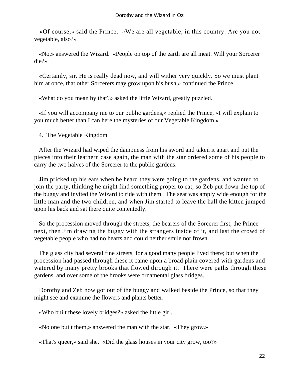«Of course,» said the Prince. «We are all vegetable, in this country. Are you not vegetable, also?»

 «No,» answered the Wizard. «People on top of the earth are all meat. Will your Sorcerer die?»

 «Certainly, sir. He is really dead now, and will wither very quickly. So we must plant him at once, that other Sorcerers may grow upon his bush,» continued the Prince.

«What do you mean by that?» asked the little Wizard, greatly puzzled.

 «If you will accompany me to our public gardens,» replied the Prince, «I will explain to you much better than I can here the mysteries of our Vegetable Kingdom.»

4. The Vegetable Kingdom

 After the Wizard had wiped the dampness from his sword and taken it apart and put the pieces into their leathern case again, the man with the star ordered some of his people to carry the two halves of the Sorcerer to the public gardens.

 Jim pricked up his ears when he heard they were going to the gardens, and wanted to join the party, thinking he might find something proper to eat; so Zeb put down the top of the buggy and invited the Wizard to ride with them. The seat was amply wide enough for the little man and the two children, and when Jim started to leave the hall the kitten jumped upon his back and sat there quite contentedly.

 So the procession moved through the streets, the bearers of the Sorcerer first, the Prince next, then Jim drawing the buggy with the strangers inside of it, and last the crowd of vegetable people who had no hearts and could neither smile nor frown.

 The glass city had several fine streets, for a good many people lived there; but when the procession had passed through these it came upon a broad plain covered with gardens and watered by many pretty brooks that flowed through it. There were paths through these gardens, and over some of the brooks were ornamental glass bridges.

 Dorothy and Zeb now got out of the buggy and walked beside the Prince, so that they might see and examine the flowers and plants better.

«Who built these lovely bridges?» asked the little girl.

«No one built them,» answered the man with the star. «They grow.»

«That's queer,» said she. «Did the glass houses in your city grow, too?»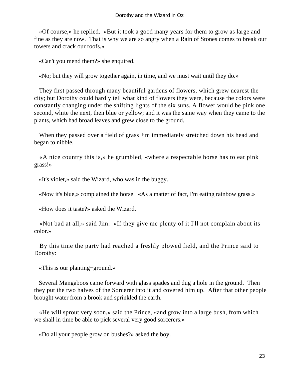«Of course,» he replied. «But it took a good many years for them to grow as large and fine as they are now. That is why we are so angry when a Rain of Stones comes to break our towers and crack our roofs.»

«Can't you mend them?» she enquired.

«No; but they will grow together again, in time, and we must wait until they do.»

 They first passed through many beautiful gardens of flowers, which grew nearest the city; but Dorothy could hardly tell what kind of flowers they were, because the colors were constantly changing under the shifting lights of the six suns. A flower would be pink one second, white the next, then blue or yellow; and it was the same way when they came to the plants, which had broad leaves and grew close to the ground.

 When they passed over a field of grass Jim immediately stretched down his head and began to nibble.

 «A nice country this is,» he grumbled, «where a respectable horse has to eat pink grass!»

«It's violet,» said the Wizard, who was in the buggy.

«Now it's blue,» complained the horse. «As a matter of fact, I'm eating rainbow grass.»

«How does it taste?» asked the Wizard.

 «Not bad at all,» said Jim. «If they give me plenty of it I'll not complain about its color.»

 By this time the party had reached a freshly plowed field, and the Prince said to Dorothy:

«This is our planting−ground.»

 Several Mangaboos came forward with glass spades and dug a hole in the ground. Then they put the two halves of the Sorcerer into it and covered him up. After that other people brought water from a brook and sprinkled the earth.

 «He will sprout very soon,» said the Prince, «and grow into a large bush, from which we shall in time be able to pick several very good sorcerers.»

«Do all your people grow on bushes?» asked the boy.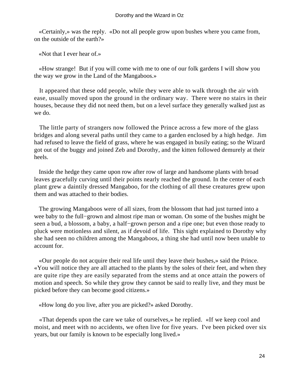«Certainly,» was the reply. «Do not all people grow upon bushes where you came from, on the outside of the earth?»

«Not that I ever hear of.»

 «How strange! But if you will come with me to one of our folk gardens I will show you the way we grow in the Land of the Mangaboos.»

 It appeared that these odd people, while they were able to walk through the air with ease, usually moved upon the ground in the ordinary way. There were no stairs in their houses, because they did not need them, but on a level surface they generally walked just as we do.

 The little party of strangers now followed the Prince across a few more of the glass bridges and along several paths until they came to a garden enclosed by a high hedge. Jim had refused to leave the field of grass, where he was engaged in busily eating; so the Wizard got out of the buggy and joined Zeb and Dorothy, and the kitten followed demurely at their heels.

 Inside the hedge they came upon row after row of large and handsome plants with broad leaves gracefully curving until their points nearly reached the ground. In the center of each plant grew a daintily dressed Mangaboo, for the clothing of all these creatures grew upon them and was attached to their bodies.

 The growing Mangaboos were of all sizes, from the blossom that had just turned into a wee baby to the full−grown and almost ripe man or woman. On some of the bushes might be seen a bud, a blossom, a baby, a half−grown person and a ripe one; but even those ready to pluck were motionless and silent, as if devoid of life. This sight explained to Dorothy why she had seen no children among the Mangaboos, a thing she had until now been unable to account for.

 «Our people do not acquire their real life until they leave their bushes,» said the Prince. «You will notice they are all attached to the plants by the soles of their feet, and when they are quite ripe they are easily separated from the stems and at once attain the powers of motion and speech. So while they grow they cannot be said to really live, and they must be picked before they can become good citizens.»

«How long do you live, after you are picked?» asked Dorothy.

 «That depends upon the care we take of ourselves,» he replied. «If we keep cool and moist, and meet with no accidents, we often live for five years. I've been picked over six years, but our family is known to be especially long lived.»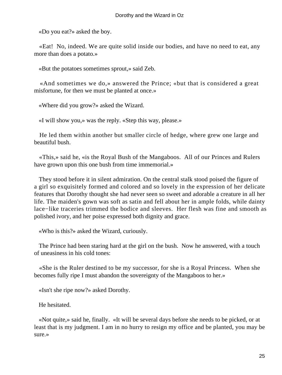«Do you eat?» asked the boy.

 «Eat! No, indeed. We are quite solid inside our bodies, and have no need to eat, any more than does a potato.»

«But the potatoes sometimes sprout,» said Zeb.

 «And sometimes we do,» answered the Prince; «but that is considered a great misfortune, for then we must be planted at once.»

«Where did you grow?» asked the Wizard.

«I will show you,» was the reply. «Step this way, please.»

 He led them within another but smaller circle of hedge, where grew one large and beautiful bush.

 «This,» said he, «is the Royal Bush of the Mangaboos. All of our Princes and Rulers have grown upon this one bush from time immemorial.»

 They stood before it in silent admiration. On the central stalk stood poised the figure of a girl so exquisitely formed and colored and so lovely in the expression of her delicate features that Dorothy thought she had never seen so sweet and adorable a creature in all her life. The maiden's gown was soft as satin and fell about her in ample folds, while dainty lace−like traceries trimmed the bodice and sleeves. Her flesh was fine and smooth as polished ivory, and her poise expressed both dignity and grace.

«Who is this?» asked the Wizard, curiously.

 The Prince had been staring hard at the girl on the bush. Now he answered, with a touch of uneasiness in his cold tones:

 «She is the Ruler destined to be my successor, for she is a Royal Princess. When she becomes fully ripe I must abandon the sovereignty of the Mangaboos to her.»

«Isn't she ripe now?» asked Dorothy.

He hesitated.

 «Not quite,» said he, finally. «It will be several days before she needs to be picked, or at least that is my judgment. I am in no hurry to resign my office and be planted, you may be sure.»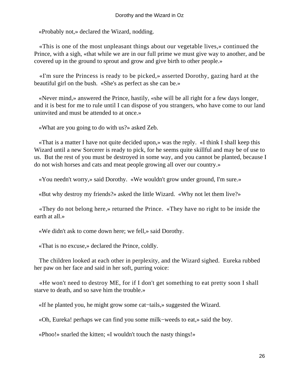«Probably not,» declared the Wizard, nodding.

 «This is one of the most unpleasant things about our vegetable lives,» continued the Prince, with a sigh, «that while we are in our full prime we must give way to another, and be covered up in the ground to sprout and grow and give birth to other people.»

 «I'm sure the Princess is ready to be picked,» asserted Dorothy, gazing hard at the beautiful girl on the bush. «She's as perfect as she can be.»

 «Never mind,» answered the Prince, hastily, «she will be all right for a few days longer, and it is best for me to rule until I can dispose of you strangers, who have come to our land uninvited and must be attended to at once.»

«What are you going to do with us?» asked Zeb.

 «That is a matter I have not quite decided upon,» was the reply. «I think I shall keep this Wizard until a new Sorcerer is ready to pick, for he seems quite skillful and may be of use to us. But the rest of you must be destroyed in some way, and you cannot be planted, because I do not wish horses and cats and meat people growing all over our country.»

«You needn't worry,» said Dorothy. «We wouldn't grow under ground, I'm sure.»

«But why destroy my friends?» asked the little Wizard. «Why not let them live?»

 «They do not belong here,» returned the Prince. «They have no right to be inside the earth at all.»

«We didn't ask to come down here; we fell,» said Dorothy.

«That is no excuse,» declared the Prince, coldly.

 The children looked at each other in perplexity, and the Wizard sighed. Eureka rubbed her paw on her face and said in her soft, purring voice:

 «He won't need to destroy ME, for if I don't get something to eat pretty soon I shall starve to death, and so save him the trouble.»

«If he planted you, he might grow some cat−tails,» suggested the Wizard.

«Oh, Eureka! perhaps we can find you some milk−weeds to eat,» said the boy.

«Phoo!» snarled the kitten; «I wouldn't touch the nasty things!»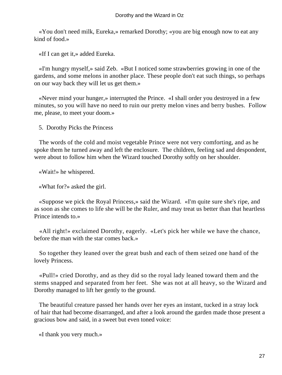«You don't need milk, Eureka,» remarked Dorothy; «you are big enough now to eat any kind of food.»

«If I can get it,» added Eureka.

 «I'm hungry myself,» said Zeb. «But I noticed some strawberries growing in one of the gardens, and some melons in another place. These people don't eat such things, so perhaps on our way back they will let us get them.»

 «Never mind your hunger,» interrupted the Prince. «I shall order you destroyed in a few minutes, so you will have no need to ruin our pretty melon vines and berry bushes. Follow me, please, to meet your doom.»

5. Dorothy Picks the Princess

 The words of the cold and moist vegetable Prince were not very comforting, and as he spoke them he turned away and left the enclosure. The children, feeling sad and despondent, were about to follow him when the Wizard touched Dorothy softly on her shoulder.

«Wait!» he whispered.

«What for?» asked the girl.

 «Suppose we pick the Royal Princess,» said the Wizard. «I'm quite sure she's ripe, and as soon as she comes to life she will be the Ruler, and may treat us better than that heartless Prince intends to.»

 «All right!» exclaimed Dorothy, eagerly. «Let's pick her while we have the chance, before the man with the star comes back.»

 So together they leaned over the great bush and each of them seized one hand of the lovely Princess.

 «Pull!» cried Dorothy, and as they did so the royal lady leaned toward them and the stems snapped and separated from her feet. She was not at all heavy, so the Wizard and Dorothy managed to lift her gently to the ground.

 The beautiful creature passed her hands over her eyes an instant, tucked in a stray lock of hair that had become disarranged, and after a look around the garden made those present a gracious bow and said, in a sweet but even toned voice:

«I thank you very much.»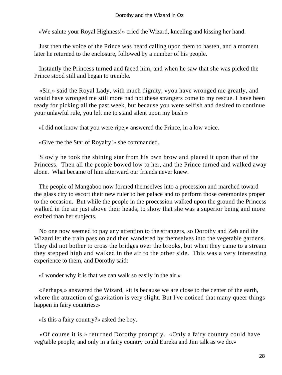«We salute your Royal Highness!» cried the Wizard, kneeling and kissing her hand.

 Just then the voice of the Prince was heard calling upon them to hasten, and a moment later he returned to the enclosure, followed by a number of his people.

 Instantly the Princess turned and faced him, and when he saw that she was picked the Prince stood still and began to tremble.

 «Sir,» said the Royal Lady, with much dignity, «you have wronged me greatly, and would have wronged me still more had not these strangers come to my rescue. I have been ready for picking all the past week, but because you were selfish and desired to continue your unlawful rule, you left me to stand silent upon my bush.»

«I did not know that you were ripe,» answered the Prince, in a low voice.

«Give me the Star of Royalty!» she commanded.

 Slowly he took the shining star from his own brow and placed it upon that of the Princess. Then all the people bowed low to her, and the Prince turned and walked away alone. What became of him afterward our friends never knew.

 The people of Mangaboo now formed themselves into a procession and marched toward the glass city to escort their new ruler to her palace and to perform those ceremonies proper to the occasion. But while the people in the procession walked upon the ground the Princess walked in the air just above their heads, to show that she was a superior being and more exalted than her subjects.

 No one now seemed to pay any attention to the strangers, so Dorothy and Zeb and the Wizard let the train pass on and then wandered by themselves into the vegetable gardens. They did not bother to cross the bridges over the brooks, but when they came to a stream they stepped high and walked in the air to the other side. This was a very interesting experience to them, and Dorothy said:

«I wonder why it is that we can walk so easily in the air.»

 «Perhaps,» answered the Wizard, «it is because we are close to the center of the earth, where the attraction of gravitation is very slight. But I've noticed that many queer things happen in fairy countries.»

«Is this a fairy country?» asked the boy.

 «Of course it is,» returned Dorothy promptly. «Only a fairy country could have veg'table people; and only in a fairy country could Eureka and Jim talk as we do.»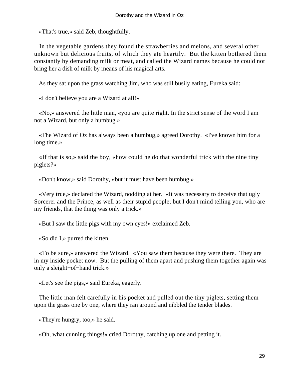«That's true,» said Zeb, thoughtfully.

 In the vegetable gardens they found the strawberries and melons, and several other unknown but delicious fruits, of which they ate heartily. But the kitten bothered them constantly by demanding milk or meat, and called the Wizard names because he could not bring her a dish of milk by means of his magical arts.

As they sat upon the grass watching Jim, who was still busily eating, Eureka said:

«I don't believe you are a Wizard at all!»

 «No,» answered the little man, «you are quite right. In the strict sense of the word I am not a Wizard, but only a humbug.»

 «The Wizard of Oz has always been a humbug,» agreed Dorothy. «I've known him for a long time.»

 «If that is so,» said the boy, «how could he do that wonderful trick with the nine tiny piglets?»

«Don't know,» said Dorothy, «but it must have been humbug.»

 «Very true,» declared the Wizard, nodding at her. «It was necessary to deceive that ugly Sorcerer and the Prince, as well as their stupid people; but I don't mind telling you, who are my friends, that the thing was only a trick.»

«But I saw the little pigs with my own eyes!» exclaimed Zeb.

«So did I,» purred the kitten.

 «To be sure,» answered the Wizard. «You saw them because they were there. They are in my inside pocket now. But the pulling of them apart and pushing them together again was only a sleight−of−hand trick.»

«Let's see the pigs,» said Eureka, eagerly.

 The little man felt carefully in his pocket and pulled out the tiny piglets, setting them upon the grass one by one, where they ran around and nibbled the tender blades.

«They're hungry, too,» he said.

«Oh, what cunning things!» cried Dorothy, catching up one and petting it.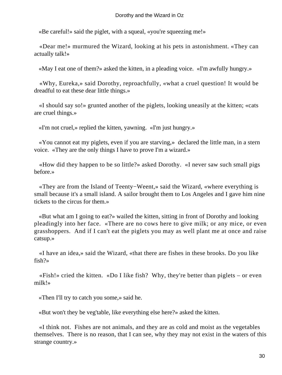«Be careful!» said the piglet, with a squeal, «you're squeezing me!»

 «Dear me!» murmured the Wizard, looking at his pets in astonishment. «They can actually talk!»

«May I eat one of them?» asked the kitten, in a pleading voice. «I'm awfully hungry.»

 «Why, Eureka,» said Dorothy, reproachfully, «what a cruel question! It would be dreadful to eat these dear little things.»

 «I should say so!» grunted another of the piglets, looking uneasily at the kitten; «cats are cruel things.»

«I'm not cruel,» replied the kitten, yawning. «I'm just hungry.»

 «You cannot eat my piglets, even if you are starving,» declared the little man, in a stern voice. «They are the only things I have to prove I'm a wizard.»

 «How did they happen to be so little?» asked Dorothy. «I never saw such small pigs before.»

 «They are from the Island of Teenty−Weent,» said the Wizard, «where everything is small because it's a small island. A sailor brought them to Los Angeles and I gave him nine tickets to the circus for them.»

 «But what am I going to eat?» wailed the kitten, sitting in front of Dorothy and looking pleadingly into her face. «There are no cows here to give milk; or any mice, or even grasshoppers. And if I can't eat the piglets you may as well plant me at once and raise catsup.»

 «I have an idea,» said the Wizard, «that there are fishes in these brooks. Do you like fish?»

 «Fish!» cried the kitten. «Do I like fish? Why, they're better than piglets – or even milk!»

«Then I'll try to catch you some,» said he.

«But won't they be veg'table, like everything else here?» asked the kitten.

 «I think not. Fishes are not animals, and they are as cold and moist as the vegetables themselves. There is no reason, that I can see, why they may not exist in the waters of this strange country.»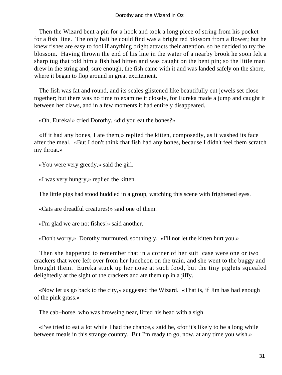#### Dorothy and the Wizard in Oz

 Then the Wizard bent a pin for a hook and took a long piece of string from his pocket for a fish−line. The only bait he could find was a bright red blossom from a flower; but he knew fishes are easy to fool if anything bright attracts their attention, so he decided to try the blossom. Having thrown the end of his line in the water of a nearby brook he soon felt a sharp tug that told him a fish had bitten and was caught on the bent pin; so the little man drew in the string and, sure enough, the fish came with it and was landed safely on the shore, where it began to flop around in great excitement.

 The fish was fat and round, and its scales glistened like beautifully cut jewels set close together; but there was no time to examine it closely, for Eureka made a jump and caught it between her claws, and in a few moments it had entirely disappeared.

«Oh, Eureka!» cried Dorothy, «did you eat the bones?»

 «If it had any bones, I ate them,» replied the kitten, composedly, as it washed its face after the meal. «But I don't think that fish had any bones, because I didn't feel them scratch my throat.»

«You were very greedy,» said the girl.

«I was very hungry,» replied the kitten.

The little pigs had stood huddled in a group, watching this scene with frightened eyes.

«Cats are dreadful creatures!» said one of them.

«I'm glad we are not fishes!» said another.

«Don't worry,» Dorothy murmured, soothingly, «I'll not let the kitten hurt you.»

 Then she happened to remember that in a corner of her suit−case were one or two crackers that were left over from her luncheon on the train, and she went to the buggy and brought them. Eureka stuck up her nose at such food, but the tiny piglets squealed delightedly at the sight of the crackers and ate them up in a jiffy.

 «Now let us go back to the city,» suggested the Wizard. «That is, if Jim has had enough of the pink grass.»

The cab−horse, who was browsing near, lifted his head with a sigh.

 «I've tried to eat a lot while I had the chance,» said he, «for it's likely to be a long while between meals in this strange country. But I'm ready to go, now, at any time you wish.»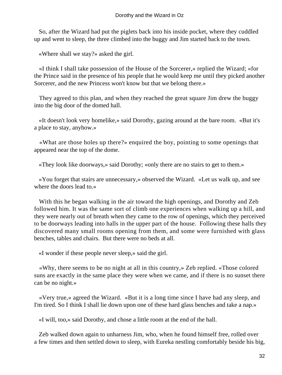So, after the Wizard had put the piglets back into his inside pocket, where they cuddled up and went to sleep, the three climbed into the buggy and Jim started back to the town.

«Where shall we stay?» asked the girl.

 «I think I shall take possession of the House of the Sorcerer,» replied the Wizard; «for the Prince said in the presence of his people that he would keep me until they picked another Sorcerer, and the new Princess won't know but that we belong there.»

 They agreed to this plan, and when they reached the great square Jim drew the buggy into the big door of the domed hall.

 «It doesn't look very homelike,» said Dorothy, gazing around at the bare room. «But it's a place to stay, anyhow.»

 «What are those holes up there?» enquired the boy, pointing to some openings that appeared near the top of the dome.

«They look like doorways,» said Dorothy; «only there are no stairs to get to them.»

 «You forget that stairs are unnecessary,» observed the Wizard. «Let us walk up, and see where the doors lead to.»

 With this he began walking in the air toward the high openings, and Dorothy and Zeb followed him. It was the same sort of climb one experiences when walking up a hill, and they were nearly out of breath when they came to the row of openings, which they perceived to be doorways leading into halls in the upper part of the house. Following these halls they discovered many small rooms opening from them, and some were furnished with glass benches, tables and chairs. But there were no beds at all.

«I wonder if these people never sleep,» said the girl.

 «Why, there seems to be no night at all in this country,» Zeb replied. «Those colored suns are exactly in the same place they were when we came, and if there is no sunset there can be no night.»

 «Very true,» agreed the Wizard. «But it is a long time since I have had any sleep, and I'm tired. So I think I shall lie down upon one of these hard glass benches and take a nap.»

«I will, too,» said Dorothy, and chose a little room at the end of the hall.

 Zeb walked down again to unharness Jim, who, when he found himself free, rolled over a few times and then settled down to sleep, with Eureka nestling comfortably beside his big,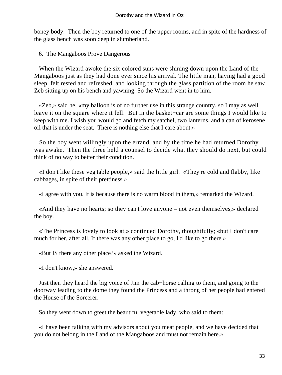boney body. Then the boy returned to one of the upper rooms, and in spite of the hardness of the glass bench was soon deep in slumberland.

6. The Mangaboos Prove Dangerous

 When the Wizard awoke the six colored suns were shining down upon the Land of the Mangaboos just as they had done ever since his arrival. The little man, having had a good sleep, felt rested and refreshed, and looking through the glass partition of the room he saw Zeb sitting up on his bench and yawning. So the Wizard went in to him.

 «Zeb,» said he, «my balloon is of no further use in this strange country, so I may as well leave it on the square where it fell. But in the basket−car are some things I would like to keep with me. I wish you would go and fetch my satchel, two lanterns, and a can of kerosene oil that is under the seat. There is nothing else that I care about.»

 So the boy went willingly upon the errand, and by the time he had returned Dorothy was awake. Then the three held a counsel to decide what they should do next, but could think of no way to better their condition.

 «I don't like these veg'table people,» said the little girl. «They're cold and flabby, like cabbages, in spite of their prettiness.»

«I agree with you. It is because there is no warm blood in them,» remarked the Wizard.

 «And they have no hearts; so they can't love anyone – not even themselves,» declared the boy.

 «The Princess is lovely to look at,» continued Dorothy, thoughtfully; «but I don't care much for her, after all. If there was any other place to go, I'd like to go there.»

«But IS there any other place?» asked the Wizard.

«I don't know,» she answered.

 Just then they heard the big voice of Jim the cab−horse calling to them, and going to the doorway leading to the dome they found the Princess and a throng of her people had entered the House of the Sorcerer.

So they went down to greet the beautiful vegetable lady, who said to them:

 «I have been talking with my advisors about you meat people, and we have decided that you do not belong in the Land of the Mangaboos and must not remain here.»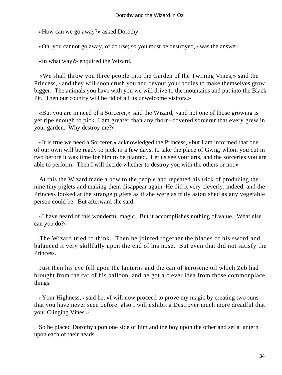«How can we go away?» asked Dorothy.

«Oh, you cannot go away, of course; so you must be destroyed,» was the answer.

«In what way?» enquired the Wizard.

 «We shall throw you three people into the Garden of the Twining Vines,» said the Princess, «and they will soon crush you and devour your bodies to make themselves grow bigger. The animals you have with you we will drive to the mountains and put into the Black Pit. Then our country will be rid of all its unwelcome visitors.»

 «But you are in need of a Sorcerer,» said the Wizard, «and not one of those growing is yet ripe enough to pick. I am greater than any thorn−covered sorcerer that every grew in your garden. Why destroy me?»

 «It is true we need a Sorcerer,» acknowledged the Princess, «but I am informed that one of our own will be ready to pick in a few days, to take the place of Gwig, whom you cut in two before it was time for him to be planted. Let us see your arts, and the sorceries you are able to perform. Then I will decide whether to destroy you with the others or not.»

 At this the Wizard made a bow to the people and repeated his trick of producing the nine tiny piglets and making them disappear again. He did it very cleverly, indeed, and the Princess looked at the strange piglets as if she were as truly astonished as any vegetable person could be. But afterward she said:

 «I have heard of this wonderful magic. But it accomplishes nothing of value. What else can you do?»

 The Wizard tried to think. Then he jointed together the blades of his sword and balanced it very skillfully upon the end of his nose. But even that did not satisfy the Princess.

 Just then his eye fell upon the lanterns and the can of kerosene oil which Zeb had brought from the car of his balloon, and he got a clever idea from those commonplace things.

 «Your Highness,» said he, «I will now proceed to prove my magic by creating two suns that you have never seen before; also I will exhibit a Destroyer much more dreadful that your Clinging Vines.»

 So he placed Dorothy upon one side of him and the boy upon the other and set a lantern upon each of their heads.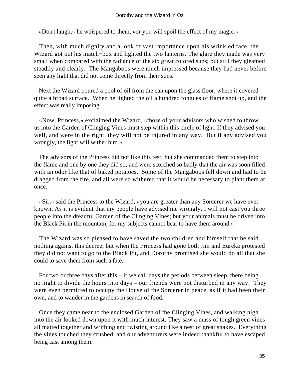«Don't laugh,» he whispered to them, «or you will spoil the effect of my magic.»

 Then, with much dignity and a look of vast importance upon his wrinkled face, the Wizard got out his match−box and lighted the two lanterns. The glare they made was very small when compared with the radiance of the six great colored suns; but still they gleamed steadily and clearly. The Mangaboos were much impressed because they had never before seen any light that did not come directly from their suns.

 Next the Wizard poured a pool of oil from the can upon the glass floor, where it covered quite a broad surface. When he lighted the oil a hundred tongues of flame shot up, and the effect was really imposing.

 «Now, Princess,» exclaimed the Wizard, «those of your advisors who wished to throw us into the Garden of Clinging Vines must step within this circle of light. If they advised you well, and were in the right, they will not be injured in any way. But if any advised you wrongly, the light will wither him.»

 The advisors of the Princess did not like this test; but she commanded them to step into the flame and one by one they did so, and were scorched so badly that the air was soon filled with an odor like that of baked potatoes. Some of the Mangaboos fell down and had to be dragged from the fire, and all were so withered that it would be necessary to plant them at once.

 «Sir,» said the Princess to the Wizard, «you are greater than any Sorcerer we have ever known. As it is evident that my people have advised me wrongly, I will not cast you three people into the dreadful Garden of the Clinging Vines; but your animals must be driven into the Black Pit in the mountain, for my subjects cannot bear to have them around.»

 The Wizard was so pleased to have saved the two children and himself that he said nothing against this decree; but when the Princess had gone both Jim and Eureka protested they did not want to go to the Black Pit, and Dorothy promised she would do all that she could to save them from such a fate.

 For two or three days after this – if we call days the periods between sleep, there being no night to divide the hours into days – our friends were not disturbed in any way. They were even permitted to occupy the House of the Sorcerer in peace, as if it had been their own, and to wander in the gardens in search of food.

 Once they came near to the enclosed Garden of the Clinging Vines, and walking high into the air looked down upon it with much interest. They saw a mass of tough green vines all matted together and writhing and twisting around like a nest of great snakes. Everything the vines touched they crushed, and our adventurers were indeed thankful to have escaped being cast among them.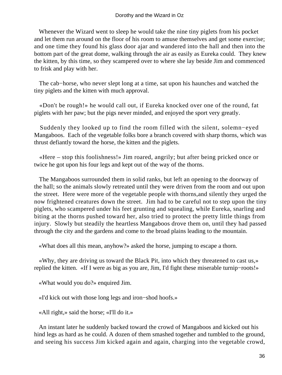Whenever the Wizard went to sleep he would take the nine tiny piglets from his pocket and let them run around on the floor of his room to amuse themselves and get some exercise; and one time they found his glass door ajar and wandered into the hall and then into the bottom part of the great dome, walking through the air as easily as Eureka could. They knew the kitten, by this time, so they scampered over to where she lay beside Jim and commenced to frisk and play with her.

 The cab−horse, who never slept long at a time, sat upon his haunches and watched the tiny piglets and the kitten with much approval.

 «Don't be rough!» he would call out, if Eureka knocked over one of the round, fat piglets with her paw; but the pigs never minded, and enjoyed the sport very greatly.

 Suddenly they looked up to find the room filled with the silent, solemn−eyed Mangaboos. Each of the vegetable folks bore a branch covered with sharp thorns, which was thrust defiantly toward the horse, the kitten and the piglets.

 «Here – stop this foolishness!» Jim roared, angrily; but after being pricked once or twice he got upon his four legs and kept out of the way of the thorns.

 The Mangaboos surrounded them in solid ranks, but left an opening to the doorway of the hall; so the animals slowly retreated until they were driven from the room and out upon the street. Here were more of the vegetable people with thorns,and silently they urged the now frightened creatures down the street. Jim had to be careful not to step upon the tiny piglets, who scampered under his feet grunting and squealing, while Eureka, snarling and biting at the thorns pushed toward her, also tried to protect the pretty little things from injury. Slowly but steadily the heartless Mangaboos drove them on, until they had passed through the city and the gardens and come to the broad plains leading to the mountain.

«What does all this mean, anyhow?» asked the horse, jumping to escape a thorn.

 «Why, they are driving us toward the Black Pit, into which they threatened to cast us,» replied the kitten. «If I were as big as you are, Jim, I'd fight these miserable turnip−roots!»

«What would you do?» enquired Jim.

«I'd kick out with those long legs and iron−shod hoofs.»

«All right,» said the horse; «I'll do it.»

 An instant later he suddenly backed toward the crowd of Mangaboos and kicked out his hind legs as hard as he could. A dozen of them smashed together and tumbled to the ground, and seeing his success Jim kicked again and again, charging into the vegetable crowd,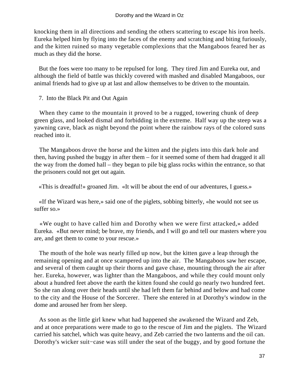knocking them in all directions and sending the others scattering to escape his iron heels. Eureka helped him by flying into the faces of the enemy and scratching and biting furiously, and the kitten ruined so many vegetable complexions that the Mangaboos feared her as much as they did the horse.

 But the foes were too many to be repulsed for long. They tired Jim and Eureka out, and although the field of battle was thickly covered with mashed and disabled Mangaboos, our animal friends had to give up at last and allow themselves to be driven to the mountain.

7. Into the Black Pit and Out Again

When they came to the mountain it proved to be a rugged, towering chunk of deep green glass, and looked dismal and forbidding in the extreme. Half way up the steep was a yawning cave, black as night beyond the point where the rainbow rays of the colored suns reached into it.

 The Mangaboos drove the horse and the kitten and the piglets into this dark hole and then, having pushed the buggy in after them – for it seemed some of them had dragged it all the way from the domed hall – they began to pile big glass rocks within the entrance, so that the prisoners could not get out again.

«This is dreadful!» groaned Jim. «It will be about the end of our adventures, I guess.»

 «If the Wizard was here,» said one of the piglets, sobbing bitterly, «he would not see us suffer so.»

 «We ought to have called him and Dorothy when we were first attacked,» added Eureka. «But never mind; be brave, my friends, and I will go and tell our masters where you are, and get them to come to your rescue.»

 The mouth of the hole was nearly filled up now, but the kitten gave a leap through the remaining opening and at once scampered up into the air. The Mangaboos saw her escape, and several of them caught up their thorns and gave chase, mounting through the air after her. Eureka, however, was lighter than the Mangaboos, and while they could mount only about a hundred feet above the earth the kitten found she could go nearly two hundred feet. So she ran along over their heads until she had left them far behind and below and had come to the city and the House of the Sorcerer. There she entered in at Dorothy's window in the dome and aroused her from her sleep.

 As soon as the little girl knew what had happened she awakened the Wizard and Zeb, and at once preparations were made to go to the rescue of Jim and the piglets. The Wizard carried his satchel, which was quite heavy, and Zeb carried the two lanterns and the oil can. Dorothy's wicker suit−case was still under the seat of the buggy, and by good fortune the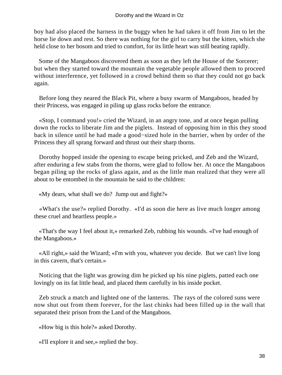boy had also placed the harness in the buggy when he had taken it off from Jim to let the horse lie down and rest. So there was nothing for the girl to carry but the kitten, which she held close to her bosom and tried to comfort, for its little heart was still beating rapidly.

 Some of the Mangaboos discovered them as soon as they left the House of the Sorcerer; but when they started toward the mountain the vegetable people allowed them to proceed without interference, yet followed in a crowd behind them so that they could not go back again.

 Before long they neared the Black Pit, where a busy swarm of Mangaboos, headed by their Princess, was engaged in piling up glass rocks before the entrance.

 «Stop, I command you!» cried the Wizard, in an angry tone, and at once began pulling down the rocks to liberate Jim and the piglets. Instead of opposing him in this they stood back in silence until he had made a good−sized hole in the barrier, when by order of the Princess they all sprang forward and thrust out their sharp thorns.

 Dorothy hopped inside the opening to escape being pricked, and Zeb and the Wizard, after enduring a few stabs from the thorns, were glad to follow her. At once the Mangaboos began piling up the rocks of glass again, and as the little man realized that they were all about to be entombed in the mountain he said to the children:

«My dears, what shall we do? Jump out and fight?»

 «What's the use?» replied Dorothy. «I'd as soon die here as live much longer among these cruel and heartless people.»

 «That's the way I feel about it,» remarked Zeb, rubbing his wounds. «I've had enough of the Mangaboos.»

 «All right,» said the Wizard; «I'm with you, whatever you decide. But we can't live long in this cavern, that's certain.»

 Noticing that the light was growing dim he picked up his nine piglets, patted each one lovingly on its fat little head, and placed them carefully in his inside pocket.

 Zeb struck a match and lighted one of the lanterns. The rays of the colored suns were now shut out from them forever, for the last chinks had been filled up in the wall that separated their prison from the Land of the Mangaboos.

«How big is this hole?» asked Dorothy.

«I'll explore it and see,» replied the boy.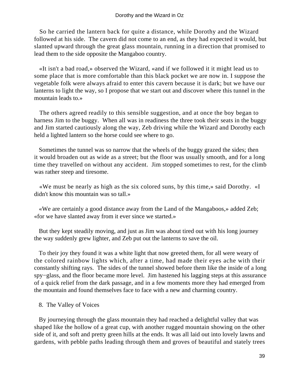So he carried the lantern back for quite a distance, while Dorothy and the Wizard followed at his side. The cavern did not come to an end, as they had expected it would, but slanted upward through the great glass mountain, running in a direction that promised to lead them to the side opposite the Mangaboo country.

 «It isn't a bad road,» observed the Wizard, «and if we followed it it might lead us to some place that is more comfortable than this black pocket we are now in. I suppose the vegetable folk were always afraid to enter this cavern because it is dark; but we have our lanterns to light the way, so I propose that we start out and discover where this tunnel in the mountain leads to.»

 The others agreed readily to this sensible suggestion, and at once the boy began to harness Jim to the buggy. When all was in readiness the three took their seats in the buggy and Jim started cautiously along the way, Zeb driving while the Wizard and Dorothy each held a lighted lantern so the horse could see where to go.

 Sometimes the tunnel was so narrow that the wheels of the buggy grazed the sides; then it would broaden out as wide as a street; but the floor was usually smooth, and for a long time they travelled on without any accident. Jim stopped sometimes to rest, for the climb was rather steep and tiresome.

 «We must be nearly as high as the six colored suns, by this time,» said Dorothy. «I didn't know this mountain was so tall.»

 «We are certainly a good distance away from the Land of the Mangaboos,» added Zeb; «for we have slanted away from it ever since we started.»

 But they kept steadily moving, and just as Jim was about tired out with his long journey the way suddenly grew lighter, and Zeb put out the lanterns to save the oil.

 To their joy they found it was a white light that now greeted them, for all were weary of the colored rainbow lights which, after a time, had made their eyes ache with their constantly shifting rays. The sides of the tunnel showed before them like the inside of a long spy−glass, and the floor became more level. Jim hastened his lagging steps at this assurance of a quick relief from the dark passage, and in a few moments more they had emerged from the mountain and found themselves face to face with a new and charming country.

8. The Valley of Voices

 By journeying through the glass mountain they had reached a delightful valley that was shaped like the hollow of a great cup, with another rugged mountain showing on the other side of it, and soft and pretty green hills at the ends. It was all laid out into lovely lawns and gardens, with pebble paths leading through them and groves of beautiful and stately trees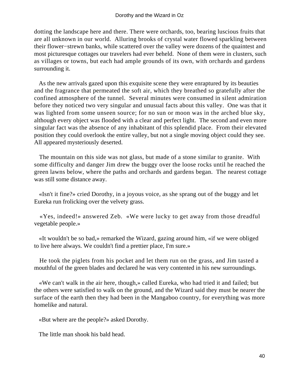dotting the landscape here and there. There were orchards, too, bearing luscious fruits that are all unknown in our world. Alluring brooks of crystal water flowed sparkling between their flower−strewn banks, while scattered over the valley were dozens of the quaintest and most picturesque cottages our travelers had ever beheld. None of them were in clusters, such as villages or towns, but each had ample grounds of its own, with orchards and gardens surrounding it.

 As the new arrivals gazed upon this exquisite scene they were enraptured by its beauties and the fragrance that permeated the soft air, which they breathed so gratefully after the confined atmosphere of the tunnel. Several minutes were consumed in silent admiration before they noticed two very singular and unusual facts about this valley. One was that it was lighted from some unseen source; for no sun or moon was in the arched blue sky, although every object was flooded with a clear and perfect light. The second and even more singular fact was the absence of any inhabitant of this splendid place. From their elevated position they could overlook the entire valley, but not a single moving object could they see. All appeared mysteriously deserted.

 The mountain on this side was not glass, but made of a stone similar to granite. With some difficulty and danger Jim drew the buggy over the loose rocks until he reached the green lawns below, where the paths and orchards and gardens began. The nearest cottage was still some distance away.

 «Isn't it fine?» cried Dorothy, in a joyous voice, as she sprang out of the buggy and let Eureka run frolicking over the velvety grass.

 «Yes, indeed!» answered Zeb. «We were lucky to get away from those dreadful vegetable people.»

 «It wouldn't be so bad,» remarked the Wizard, gazing around him, «if we were obliged to live here always. We couldn't find a prettier place, I'm sure.»

 He took the piglets from his pocket and let them run on the grass, and Jim tasted a mouthful of the green blades and declared he was very contented in his new surroundings.

 «We can't walk in the air here, though,» called Eureka, who had tried it and failed; but the others were satisfied to walk on the ground, and the Wizard said they must be nearer the surface of the earth then they had been in the Mangaboo country, for everything was more homelike and natural.

«But where are the people?» asked Dorothy.

The little man shook his bald head.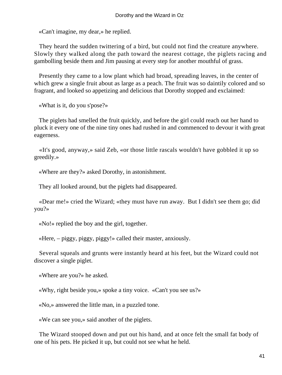«Can't imagine, my dear,» he replied.

 They heard the sudden twittering of a bird, but could not find the creature anywhere. Slowly they walked along the path toward the nearest cottage, the piglets racing and gambolling beside them and Jim pausing at every step for another mouthful of grass.

 Presently they came to a low plant which had broad, spreading leaves, in the center of which grew a single fruit about as large as a peach. The fruit was so daintily colored and so fragrant, and looked so appetizing and delicious that Dorothy stopped and exclaimed:

«What is it, do you s'pose?»

 The piglets had smelled the fruit quickly, and before the girl could reach out her hand to pluck it every one of the nine tiny ones had rushed in and commenced to devour it with great eagerness.

 «It's good, anyway,» said Zeb, «or those little rascals wouldn't have gobbled it up so greedily.»

«Where are they?» asked Dorothy, in astonishment.

They all looked around, but the piglets had disappeared.

 «Dear me!» cried the Wizard; «they must have run away. But I didn't see them go; did you?»

«No!» replied the boy and the girl, together.

«Here, – piggy, piggy, piggy!» called their master, anxiously.

 Several squeals and grunts were instantly heard at his feet, but the Wizard could not discover a single piglet.

«Where are you?» he asked.

«Why, right beside you,» spoke a tiny voice. «Can't you see us?»

«No,» answered the little man, in a puzzled tone.

«We can see you,» said another of the piglets.

 The Wizard stooped down and put out his hand, and at once felt the small fat body of one of his pets. He picked it up, but could not see what he held.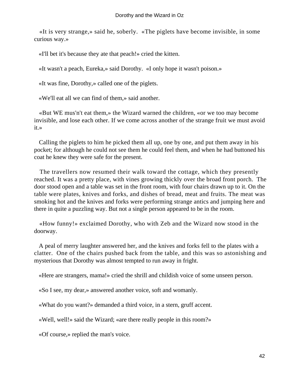«It is very strange,» said he, soberly. «The piglets have become invisible, in some curious way.»

«I'll bet it's because they ate that peach!» cried the kitten.

«It wasn't a peach, Eureka,» said Dorothy. «I only hope it wasn't poison.»

«It was fine, Dorothy,» called one of the piglets.

«We'll eat all we can find of them,» said another.

 «But WE mus'n't eat them,» the Wizard warned the children, «or we too may become invisible, and lose each other. If we come across another of the strange fruit we must avoid it.»

 Calling the piglets to him he picked them all up, one by one, and put them away in his pocket; for although he could not see them he could feel them, and when he had buttoned his coat he knew they were safe for the present.

 The travellers now resumed their walk toward the cottage, which they presently reached. It was a pretty place, with vines growing thickly over the broad front porch. The door stood open and a table was set in the front room, with four chairs drawn up to it. On the table were plates, knives and forks, and dishes of bread, meat and fruits. The meat was smoking hot and the knives and forks were performing strange antics and jumping here and there in quite a puzzling way. But not a single person appeared to be in the room.

 «How funny!» exclaimed Dorothy, who with Zeb and the Wizard now stood in the doorway.

 A peal of merry laughter answered her, and the knives and forks fell to the plates with a clatter. One of the chairs pushed back from the table, and this was so astonishing and mysterious that Dorothy was almost tempted to run away in fright.

«Here are strangers, mama!» cried the shrill and childish voice of some unseen person.

«So I see, my dear,» answered another voice, soft and womanly.

«What do you want?» demanded a third voice, in a stern, gruff accent.

«Well, well!» said the Wizard; «are there really people in this room?»

«Of course,» replied the man's voice.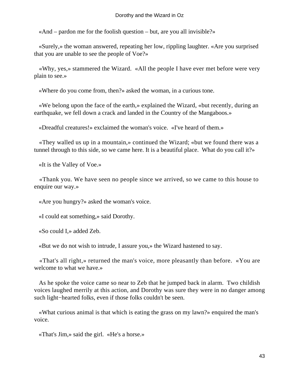«And – pardon me for the foolish question – but, are you all invisible?»

 «Surely,» the woman answered, repeating her low, rippling laughter. «Are you surprised that you are unable to see the people of Voe?»

 «Why, yes,» stammered the Wizard. «All the people I have ever met before were very plain to see.»

«Where do you come from, then?» asked the woman, in a curious tone.

 «We belong upon the face of the earth,» explained the Wizard, «but recently, during an earthquake, we fell down a crack and landed in the Country of the Mangaboos.»

«Dreadful creatures!» exclaimed the woman's voice. «I've heard of them.»

 «They walled us up in a mountain,» continued the Wizard; «but we found there was a tunnel through to this side, so we came here. It is a beautiful place. What do you call it?»

«It is the Valley of Voe.»

 «Thank you. We have seen no people since we arrived, so we came to this house to enquire our way.»

«Are you hungry?» asked the woman's voice.

«I could eat something,» said Dorothy.

«So could I,» added Zeb.

«But we do not wish to intrude, I assure you,» the Wizard hastened to say.

 «That's all right,» returned the man's voice, more pleasantly than before. «You are welcome to what we have.»

 As he spoke the voice came so near to Zeb that he jumped back in alarm. Two childish voices laughed merrily at this action, and Dorothy was sure they were in no danger among such light−hearted folks, even if those folks couldn't be seen.

 «What curious animal is that which is eating the grass on my lawn?» enquired the man's voice.

«That's Jim,» said the girl. «He's a horse.»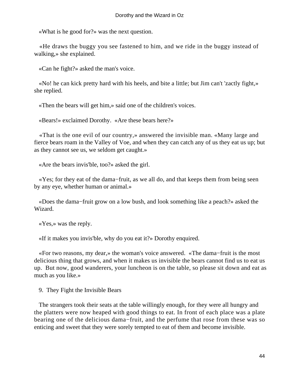«What is he good for?» was the next question.

 «He draws the buggy you see fastened to him, and we ride in the buggy instead of walking,» she explained.

«Can he fight?» asked the man's voice.

 «No! he can kick pretty hard with his heels, and bite a little; but Jim can't 'zactly fight,» she replied.

«Then the bears will get him,» said one of the children's voices.

«Bears!» exclaimed Dorothy. «Are these bears here?»

 «That is the one evil of our country,» answered the invisible man. «Many large and fierce bears roam in the Valley of Voe, and when they can catch any of us they eat us up; but as they cannot see us, we seldom get caught.»

«Are the bears invis'ble, too?» asked the girl.

 «Yes; for they eat of the dama−fruit, as we all do, and that keeps them from being seen by any eye, whether human or animal.»

 «Does the dama−fruit grow on a low bush, and look something like a peach?» asked the Wizard.

«Yes,» was the reply.

«If it makes you invis'ble, why do you eat it?» Dorothy enquired.

 «For two reasons, my dear,» the woman's voice answered. «The dama−fruit is the most delicious thing that grows, and when it makes us invisible the bears cannot find us to eat us up. But now, good wanderers, your luncheon is on the table, so please sit down and eat as much as you like.»

9. They Fight the Invisible Bears

 The strangers took their seats at the table willingly enough, for they were all hungry and the platters were now heaped with good things to eat. In front of each place was a plate bearing one of the delicious dama−fruit, and the perfume that rose from these was so enticing and sweet that they were sorely tempted to eat of them and become invisible.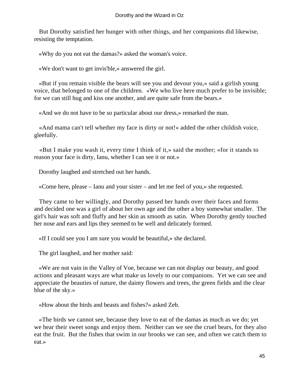But Dorothy satisfied her hunger with other things, and her companions did likewise, resisting the temptation.

«Why do you not eat the damas?» asked the woman's voice.

«We don't want to get invis'ble,» answered the girl.

 «But if you remain visible the bears will see you and devour you,» said a girlish young voice, that belonged to one of the children. «We who live here much prefer to be invisible; for we can still hug and kiss one another, and are quite safe from the bears.»

«And we do not have to be so particular about our dress,» remarked the man.

 «And mama can't tell whether my face is dirty or not!» added the other childish voice, gleefully.

 «But I make you wash it, every time I think of it,» said the mother; «for it stands to reason your face is dirty, Ianu, whether I can see it or not.»

Dorothy laughed and stretched out her hands.

«Come here, please – Ianu and your sister – and let me feel of you,» she requested.

 They came to her willingly, and Dorothy passed her hands over their faces and forms and decided one was a girl of about her own age and the other a boy somewhat smaller. The girl's hair was soft and fluffy and her skin as smooth as satin. When Dorothy gently touched her nose and ears and lips they seemed to be well and delicately formed.

«If I could see you I am sure you would be beautiful,» she declared.

The girl laughed, and her mother said:

 «We are not vain in the Valley of Voe, because we can not display our beauty, and good actions and pleasant ways are what make us lovely to our companions. Yet we can see and appreciate the beauties of nature, the dainty flowers and trees, the green fields and the clear blue of the sky.»

«How about the birds and beasts and fishes?» asked Zeb.

 «The birds we cannot see, because they love to eat of the damas as much as we do; yet we hear their sweet songs and enjoy them. Neither can we see the cruel bears, for they also eat the fruit. But the fishes that swim in our brooks we can see, and often we catch them to eat.»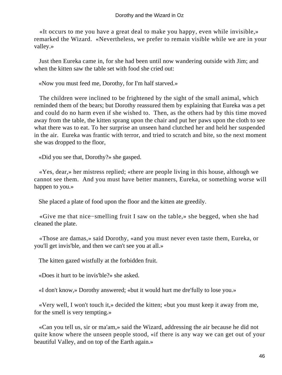«It occurs to me you have a great deal to make you happy, even while invisible,» remarked the Wizard. «Nevertheless, we prefer to remain visible while we are in your valley.»

 Just then Eureka came in, for she had been until now wandering outside with Jim; and when the kitten saw the table set with food she cried out:

«Now you must feed me, Dorothy, for I'm half starved.»

 The children were inclined to be frightened by the sight of the small animal, which reminded them of the bears; but Dorothy reassured them by explaining that Eureka was a pet and could do no harm even if she wished to. Then, as the others had by this time moved away from the table, the kitten sprang upon the chair and put her paws upon the cloth to see what there was to eat. To her surprise an unseen hand clutched her and held her suspended in the air. Eureka was frantic with terror, and tried to scratch and bite, so the next moment she was dropped to the floor,

«Did you see that, Dorothy?» she gasped.

 «Yes, dear,» her mistress replied; «there are people living in this house, although we cannot see them. And you must have better manners, Eureka, or something worse will happen to you.»

She placed a plate of food upon the floor and the kitten ate greedily.

 «Give me that nice−smelling fruit I saw on the table,» she begged, when she had cleaned the plate.

 «Those are damas,» said Dorothy, «and you must never even taste them, Eureka, or you'll get invis'ble, and then we can't see you at all.»

The kitten gazed wistfully at the forbidden fruit.

«Does it hurt to be invis'ble?» she asked.

«I don't know,» Dorothy answered; «but it would hurt me dre'fully to lose you.»

 «Very well, I won't touch it,» decided the kitten; «but you must keep it away from me, for the smell is very tempting.»

 «Can you tell us, sir or ma'am,» said the Wizard, addressing the air because he did not quite know where the unseen people stood, «if there is any way we can get out of your beautiful Valley, and on top of the Earth again.»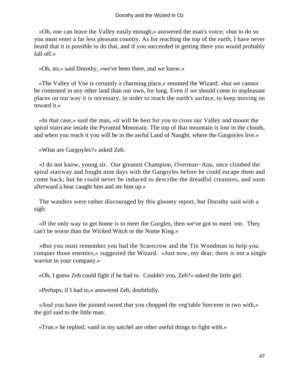«Oh, one can leave the Valley easily enough,» answered the man's voice; «but to do so you must enter a far less pleasant country. As for reaching the top of the earth, I have never heard that it is possible to do that, and if you succeeded in getting there you would probably fall off.»

«Oh, no,» said Dorothy, «we've been there, and we know.»

 «The Valley of Voe is certainly a charming place,» resumed the Wizard; «but we cannot be contented in any other land than our own, for long. Even if we should come to unpleasant places on our way it is necessary, in order to reach the earth's surface, to keep moving on toward it.»

 «In that case,» said the man, «it will be best for you to cross our Valley and mount the spiral staircase inside the Pyramid Mountain. The top of that mountain is lost in the clouds, and when you reach it you will be in the awful Land of Naught, where the Gargoyles live.»

«What are Gargoyles?» asked Zeb.

 «I do not know, young sir. Our greatest Champion, Overman−Anu, once climbed the spiral stairway and fought nine days with the Gargoyles before he could escape them and come back; but he could never be induced to describe the dreadful creatures, and soon afterward a bear caught him and ate him up.»

 The wanders were rather discouraged by this gloomy report, but Dorothy said with a sigh:

 «If the only way to get home is to meet the Gurgles, then we've got to meet 'em. They can't be worse than the Wicked Witch or the Nome King.»

 «But you must remember you had the Scarecrow and the Tin Woodman to help you conquer those enemies,» suggested the Wizard. «Just now, my dear, there is not a single warrior in your company.»

«Oh, I guess Zeb could fight if he had to. Couldn't you, Zeb?» asked the little girl.

«Perhaps; if I had to,» answered Zeb, doubtfully.

 «And you have the jointed sword that you chopped the veg'table Sorcerer in two with,» the girl said to the little man.

«True,» he replied; «and in my satchel are other useful things to fight with.»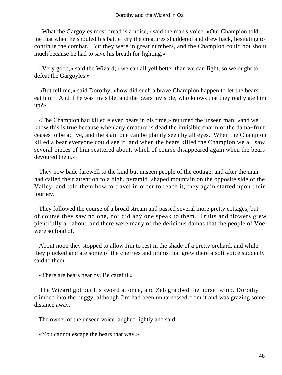«What the Gargoyles most dread is a noise,» said the man's voice. «Our Champion told me that when he shouted his battle−cry the creatures shuddered and drew back, hesitating to continue the combat. But they were in great numbers, and the Champion could not shout much because he had to save his breath for fighting.»

 «Very good,» said the Wizard; «we can all yell better than we can fight, so we ought to defeat the Gargoyles.»

 «But tell me,» said Dorothy, «how did such a brave Champion happen to let the bears eat him? And if he was invis'ble, and the bears invis'ble, who knows that they really ate him up?»

 «The Champion had killed eleven bears in his time,» returned the unseen man; «and we know this is true because when any creature is dead the invisible charm of the dama−fruit ceases to be active, and the slain one can be plainly seen by all eyes. When the Champion killed a bear everyone could see it; and when the bears killed the Champion we all saw several pieces of him scattered about, which of course disappeared again when the bears devoured them.»

 They now bade farewell to the kind but unseen people of the cottage, and after the man had called their attention to a high, pyramid−shaped mountain on the opposite side of the Valley, and told them how to travel in order to reach it, they again started upon their journey.

 They followed the course of a broad stream and passed several more pretty cottages; but of course they saw no one, nor did any one speak to them. Fruits and flowers grew plentifully all about, and there were many of the delicious damas that the people of Voe were so fond of.

 About noon they stopped to allow Jim to rest in the shade of a pretty orchard, and while they plucked and ate some of the cherries and plums that grew there a soft voice suddenly said to them:

«There are bears near by. Be careful.»

 The Wizard got out his sword at once, and Zeb grabbed the horse−whip. Dorothy climbed into the buggy, although Jim had been unharnessed from it and was grazing some distance away.

The owner of the unseen voice laughed lightly and said:

«You cannot escape the bears that way.»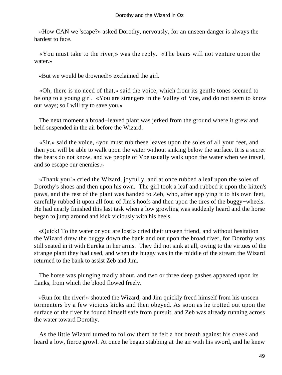«How CAN we 'scape?» asked Dorothy, nervously, for an unseen danger is always the hardest to face.

 «You must take to the river,» was the reply. «The bears will not venture upon the water.»

«But we would be drowned!» exclaimed the girl.

 «Oh, there is no need of that,» said the voice, which from its gentle tones seemed to belong to a young girl. «You are strangers in the Valley of Voe, and do not seem to know our ways; so I will try to save you.»

 The next moment a broad−leaved plant was jerked from the ground where it grew and held suspended in the air before the Wizard.

 «Sir,» said the voice, «you must rub these leaves upon the soles of all your feet, and then you will be able to walk upon the water without sinking below the surface. It is a secret the bears do not know, and we people of Voe usually walk upon the water when we travel, and so escape our enemies.»

 «Thank you!» cried the Wizard, joyfully, and at once rubbed a leaf upon the soles of Dorothy's shoes and then upon his own. The girl took a leaf and rubbed it upon the kitten's paws, and the rest of the plant was handed to Zeb, who, after applying it to his own feet, carefully rubbed it upon all four of Jim's hoofs and then upon the tires of the buggy−wheels. He had nearly finished this last task when a low growling was suddenly heard and the horse began to jump around and kick viciously with his heels.

 «Quick! To the water or you are lost!» cried their unseen friend, and without hesitation the Wizard drew the buggy down the bank and out upon the broad river, for Dorothy was still seated in it with Eureka in her arms. They did not sink at all, owing to the virtues of the strange plant they had used, and when the buggy was in the middle of the stream the Wizard returned to the bank to assist Zeb and Jim.

 The horse was plunging madly about, and two or three deep gashes appeared upon its flanks, from which the blood flowed freely.

 «Run for the river!» shouted the Wizard, and Jim quickly freed himself from his unseen tormenters by a few vicious kicks and then obeyed. As soon as he trotted out upon the surface of the river he found himself safe from pursuit, and Zeb was already running across the water toward Dorothy.

 As the little Wizard turned to follow them he felt a hot breath against his cheek and heard a low, fierce growl. At once he began stabbing at the air with his sword, and he knew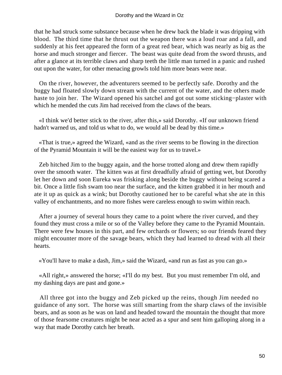that he had struck some substance because when he drew back the blade it was dripping with blood. The third time that he thrust out the weapon there was a loud roar and a fall, and suddenly at his feet appeared the form of a great red bear, which was nearly as big as the horse and much stronger and fiercer. The beast was quite dead from the sword thrusts, and after a glance at its terrible claws and sharp teeth the little man turned in a panic and rushed out upon the water, for other menacing growls told him more bears were near.

 On the river, however, the adventurers seemed to be perfectly safe. Dorothy and the buggy had floated slowly down stream with the current of the water, and the others made haste to join her. The Wizard opened his satchel and got out some sticking−plaster with which he mended the cuts Jim had received from the claws of the bears.

 «I think we'd better stick to the river, after this,» said Dorothy. «If our unknown friend hadn't warned us, and told us what to do, we would all be dead by this time.»

 «That is true,» agreed the Wizard, «and as the river seems to be flowing in the direction of the Pyramid Mountain it will be the easiest way for us to travel.»

 Zeb hitched Jim to the buggy again, and the horse trotted along and drew them rapidly over the smooth water. The kitten was at first dreadfully afraid of getting wet, but Dorothy let her down and soon Eureka was frisking along beside the buggy without being scared a bit. Once a little fish swam too near the surface, and the kitten grabbed it in her mouth and ate it up as quick as a wink; but Dorothy cautioned her to be careful what she ate in this valley of enchantments, and no more fishes were careless enough to swim within reach.

 After a journey of several hours they came to a point where the river curved, and they found they must cross a mile or so of the Valley before they came to the Pyramid Mountain. There were few houses in this part, and few orchards or flowers; so our friends feared they might encounter more of the savage bears, which they had learned to dread with all their hearts.

«You'll have to make a dash, Jim,» said the Wizard, «and run as fast as you can go.»

 «All right,» answered the horse; «I'll do my best. But you must remember I'm old, and my dashing days are past and gone.»

 All three got into the buggy and Zeb picked up the reins, though Jim needed no guidance of any sort. The horse was still smarting from the sharp claws of the invisible bears, and as soon as he was on land and headed toward the mountain the thought that more of those fearsome creatures might be near acted as a spur and sent him galloping along in a way that made Dorothy catch her breath.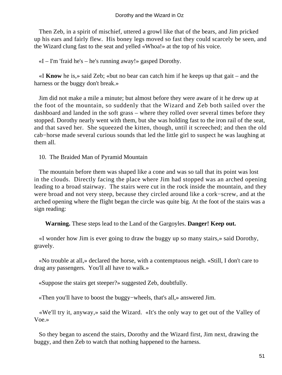Then Zeb, in a spirit of mischief, uttered a growl like that of the bears, and Jim pricked up his ears and fairly flew. His boney legs moved so fast they could scarcely be seen, and the Wizard clung fast to the seat and yelled «Whoa!» at the top of his voice.

 $\ll$ I – I'm 'fraid he's – he's running away!» gasped Dorothy.

 «I **Know** he is,» said Zeb; «but no bear can catch him if he keeps up that gait – and the harness or the buggy don't break.»

 Jim did not make a mile a minute; but almost before they were aware of it he drew up at the foot of the mountain, so suddenly that the Wizard and Zeb both sailed over the dashboard and landed in the soft grass – where they rolled over several times before they stopped. Dorothy nearly went with them, but she was holding fast to the iron rail of the seat, and that saved her. She squeezed the kitten, though, until it screeched; and then the old cab−horse made several curious sounds that led the little girl to suspect he was laughing at them all.

10. The Braided Man of Pyramid Mountain

 The mountain before them was shaped like a cone and was so tall that its point was lost in the clouds. Directly facing the place where Jim had stopped was an arched opening leading to a broad stairway. The stairs were cut in the rock inside the mountain, and they were broad and not very steep, because they circled around like a cork−screw, and at the arched opening where the flight began the circle was quite big. At the foot of the stairs was a sign reading:

**Warning.** These steps lead to the Land of the Gargoyles. **Danger! Keep out.**

 «I wonder how Jim is ever going to draw the buggy up so many stairs,» said Dorothy, gravely.

 «No trouble at all,» declared the horse, with a contemptuous neigh. «Still, I don't care to drag any passengers. You'll all have to walk.»

«Suppose the stairs get steeper?» suggested Zeb, doubtfully.

«Then you'll have to boost the buggy−wheels, that's all,» answered Jim.

 «We'll try it, anyway,» said the Wizard. «It's the only way to get out of the Valley of Voe.»

 So they began to ascend the stairs, Dorothy and the Wizard first, Jim next, drawing the buggy, and then Zeb to watch that nothing happened to the harness.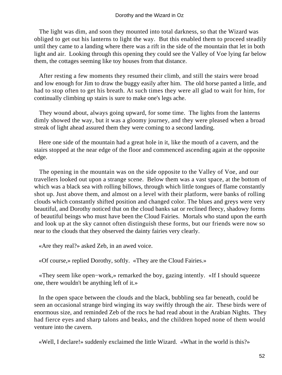The light was dim, and soon they mounted into total darkness, so that the Wizard was obliged to get out his lanterns to light the way. But this enabled them to proceed steadily until they came to a landing where there was a rift in the side of the mountain that let in both light and air. Looking through this opening they could see the Valley of Voe lying far below them, the cottages seeming like toy houses from that distance.

 After resting a few moments they resumed their climb, and still the stairs were broad and low enough for Jim to draw the buggy easily after him. The old horse panted a little, and had to stop often to get his breath. At such times they were all glad to wait for him, for continually climbing up stairs is sure to make one's legs ache.

 They wound about, always going upward, for some time. The lights from the lanterns dimly showed the way, but it was a gloomy journey, and they were pleased when a broad streak of light ahead assured them they were coming to a second landing.

 Here one side of the mountain had a great hole in it, like the mouth of a cavern, and the stairs stopped at the near edge of the floor and commenced ascending again at the opposite edge.

 The opening in the mountain was on the side opposite to the Valley of Voe, and our travellers looked out upon a strange scene. Below them was a vast space, at the bottom of which was a black sea with rolling billows, through which little tongues of flame constantly shot up. Just above them, and almost on a level with their platform, were banks of rolling clouds which constantly shifted position and changed color. The blues and greys were very beautiful, and Dorothy noticed that on the cloud banks sat or reclined fleecy, shadowy forms of beautiful beings who must have been the Cloud Fairies. Mortals who stand upon the earth and look up at the sky cannot often distinguish these forms, but our friends were now so near to the clouds that they observed the dainty fairies very clearly.

«Are they real?» asked Zeb, in an awed voice.

«Of course,» replied Dorothy, softly. «They are the Cloud Fairies.»

 «They seem like open−work,» remarked the boy, gazing intently. «If I should squeeze one, there wouldn't be anything left of it.»

 In the open space between the clouds and the black, bubbling sea far beneath, could be seen an occasional strange bird winging its way swiftly through the air. These birds were of enormous size, and reminded Zeb of the rocs he had read about in the Arabian Nights. They had fierce eyes and sharp talons and beaks, and the children hoped none of them would venture into the cavern.

«Well, I declare!» suddenly exclaimed the little Wizard. «What in the world is this?»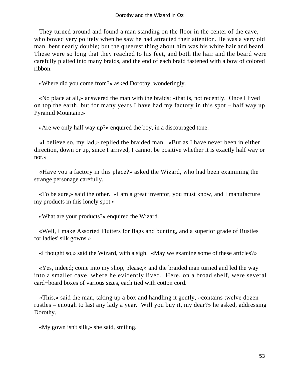They turned around and found a man standing on the floor in the center of the cave, who bowed very politely when he saw he had attracted their attention. He was a very old man, bent nearly double; but the queerest thing about him was his white hair and beard. These were so long that they reached to his feet, and both the hair and the beard were carefully plaited into many braids, and the end of each braid fastened with a bow of colored ribbon.

«Where did you come from?» asked Dorothy, wonderingly.

 «No place at all,» answered the man with the braids; «that is, not recently. Once I lived on top the earth, but for many years I have had my factory in this spot – half way up Pyramid Mountain.»

«Are we only half way up?» enquired the boy, in a discouraged tone.

 «I believe so, my lad,» replied the braided man. «But as I have never been in either direction, down or up, since I arrived, I cannot be positive whether it is exactly half way or not.»

 «Have you a factory in this place?» asked the Wizard, who had been examining the strange personage carefully.

 «To be sure,» said the other. «I am a great inventor, you must know, and I manufacture my products in this lonely spot.»

«What are your products?» enquired the Wizard.

 «Well, I make Assorted Flutters for flags and bunting, and a superior grade of Rustles for ladies' silk gowns.»

«I thought so,» said the Wizard, with a sigh. «May we examine some of these articles?»

 «Yes, indeed; come into my shop, please,» and the braided man turned and led the way into a smaller cave, where he evidently lived. Here, on a broad shelf, were several card−board boxes of various sizes, each tied with cotton cord.

 «This,» said the man, taking up a box and handling it gently, «contains twelve dozen rustles – enough to last any lady a year. Will you buy it, my dear?» he asked, addressing Dorothy.

«My gown isn't silk,» she said, smiling.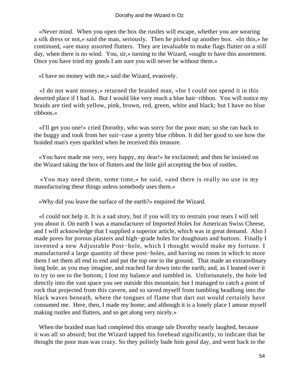«Never mind. When you open the box the rustles will escape, whether you are wearing a silk dress or not,» said the man, seriously. Then he picked up another box. «In this,» he continued, «are many assorted flutters. They are invaluable to make flags flutter on a still day, when there is no wind. You, sir, we turning to the Wizard, «ought to have this assortment. Once you have tried my goods I am sure you will never be without them.»

«I have no money with me,» said the Wizard, evasively.

 «I do not want money,» returned the braided man, «for I could not spend it in this deserted place if I had it. But I would like very much a blue hair−ribbon. You will notice my braids are tied with yellow, pink, brown, red, green, white and black; but I have no blue ribbons.»

 «I'll get you one!» cried Dorothy, who was sorry for the poor man; so she ran back to the buggy and took from her suit−case a pretty blue ribbon. It did her good to see how the braided man's eyes sparkled when he received this treasure.

 «You have made me very, very happy, my dear!» he exclaimed; and then he insisted on the Wizard taking the box of flutters and the little girl accepting the box of rustles.

 «You may need them, some time,» he said, «and there is really no use in my manufacturing these things unless somebody uses them.»

«Why did you leave the surface of the earth?» enquired the Wizard.

 «I could not help it. It is a sad story, but if you will try to restrain your tears I will tell you about it. On earth I was a manufacturer of Imported Holes for American Swiss Cheese, and I will acknowledge that I supplied a superior article, which was in great demand. Also I made pores for porous plasters and high−grade holes for doughnuts and buttons. Finally I invented a new Adjustable Post−hole, which I thought would make my fortune. I manufactured a large quantity of these post−holes, and having no room in which to store them I set them all end to end and put the top one in the ground. That made an extraordinary long hole, as you may imagine, and reached far down into the earth; and, as I leaned over it to try to see to the bottom, I lost my balance and tumbled in. Unfortunately, the hole led directly into the vast space you see outside this mountain; but I managed to catch a point of rock that projected from this cavern, and so saved myself from tumbling headlong into the black waves beneath, where the tongues of flame that dart out would certainly have consumed me. Here, then, I made my home; and although it is a lonely place I amuse myself making rustles and flutters, and so get along very nicely.»

 When the braided man had completed this strange tale Dorothy nearly laughed, because it was all so absurd; but the Wizard tapped his forehead significantly, to indicate that he thought the poor man was crazy. So they politely bade him good day, and went back to the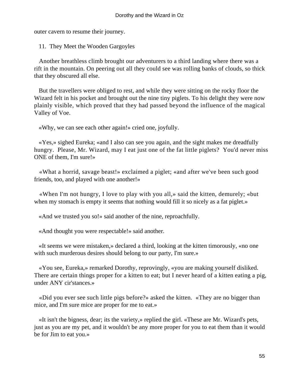outer cavern to resume their journey.

11. They Meet the Wooden Gargoyles

 Another breathless climb brought our adventurers to a third landing where there was a rift in the mountain. On peering out all they could see was rolling banks of clouds, so thick that they obscured all else.

 But the travellers were obliged to rest, and while they were sitting on the rocky floor the Wizard felt in his pocket and brought out the nine tiny piglets. To his delight they were now plainly visible, which proved that they had passed beyond the influence of the magical Valley of Voe.

«Why, we can see each other again!» cried one, joyfully.

 «Yes,» sighed Eureka; «and I also can see you again, and the sight makes me dreadfully hungry. Please, Mr. Wizard, may I eat just one of the fat little piglets? You'd never miss ONE of them, I'm sure!»

 «What a horrid, savage beast!» exclaimed a piglet; «and after we've been such good friends, too, and played with one another!»

 «When I'm not hungry, I love to play with you all,» said the kitten, demurely; «but when my stomach is empty it seems that nothing would fill it so nicely as a fat piglet.»

«And we trusted you so!» said another of the nine, reproachfully.

«And thought you were respectable!» said another.

 «It seems we were mistaken,» declared a third, looking at the kitten timorously, «no one with such murderous desires should belong to our party, I'm sure.»

 «You see, Eureka,» remarked Dorothy, reprovingly, «you are making yourself disliked. There are certain things proper for a kitten to eat; but I never heard of a kitten eating a pig, under ANY cir'stances.»

 «Did you ever see such little pigs before?» asked the kitten. «They are no bigger than mice, and I'm sure mice are proper for me to eat.»

 «It isn't the bigness, dear; its the variety,» replied the girl. «These are Mr. Wizard's pets, just as you are my pet, and it wouldn't be any more proper for you to eat them than it would be for Jim to eat you.»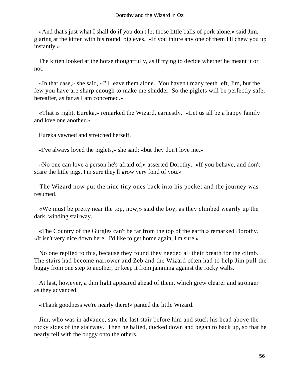## Dorothy and the Wizard in Oz

 «And that's just what I shall do if you don't let those little balls of pork alone,» said Jim, glaring at the kitten with his round, big eyes. «If you injure any one of them I'll chew you up instantly.»

 The kitten looked at the horse thoughtfully, as if trying to decide whether he meant it or not.

 «In that case,» she said, «I'll leave them alone. You haven't many teeth left, Jim, but the few you have are sharp enough to make me shudder. So the piglets will be perfectly safe, hereafter, as far as I am concerned.»

 «That is right, Eureka,» remarked the Wizard, earnestly. «Let us all be a happy family and love one another.»

Eureka yawned and stretched herself.

«I've always loved the piglets,» she said; «but they don't love me.»

 «No one can love a person he's afraid of,» asserted Dorothy. «If you behave, and don't scare the little pigs, I'm sure they'll grow very fond of you.»

 The Wizard now put the nine tiny ones back into his pocket and the journey was resumed.

 «We must be pretty near the top, now,» said the boy, as they climbed wearily up the dark, winding stairway.

 «The Country of the Gurgles can't be far from the top of the earth,» remarked Dorothy. «It isn't very nice down here. I'd like to get home again, I'm sure.»

 No one replied to this, because they found they needed all their breath for the climb. The stairs had become narrower and Zeb and the Wizard often had to help Jim pull the buggy from one step to another, or keep it from jamming against the rocky walls.

 At last, however, a dim light appeared ahead of them, which grew clearer and stronger as they advanced.

«Thank goodness we're nearly there!» panted the little Wizard.

 Jim, who was in advance, saw the last stair before him and stuck his head above the rocky sides of the stairway. Then he halted, ducked down and began to back up, so that he nearly fell with the buggy onto the others.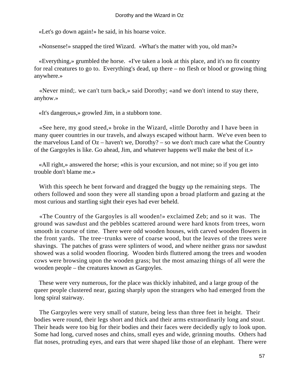«Let's go down again!» he said, in his hoarse voice.

«Nonsense!» snapped the tired Wizard. «What's the matter with you, old man?»

 «Everything,» grumbled the horse. «I've taken a look at this place, and it's no fit country for real creatures to go to. Everything's dead, up there – no flesh or blood or growing thing anywhere.»

 «Never mind;. we can't turn back,» said Dorothy; «and we don't intend to stay there, anyhow.»

«It's dangerous,» growled Jim, in a stubborn tone.

 «See here, my good steed,» broke in the Wizard, «little Dorothy and I have been in many queer countries in our travels, and always escaped without harm. We've even been to the marvelous Land of Oz – haven't we, Dorothy? – so we don't much care what the Country of the Gargoyles is like. Go ahead, Jim, and whatever happens we'll make the best of it.»

 «All right,» answered the horse; «this is your excursion, and not mine; so if you get into trouble don't blame me.»

 With this speech he bent forward and dragged the buggy up the remaining steps. The others followed and soon they were all standing upon a broad platform and gazing at the most curious and startling sight their eyes had ever beheld.

 «The Country of the Gargoyles is all wooden!» exclaimed Zeb; and so it was. The ground was sawdust and the pebbles scattered around were hard knots from trees, worn smooth in course of time. There were odd wooden houses, with carved wooden flowers in the front yards. The tree−trunks were of coarse wood, but the leaves of the trees were shavings. The patches of grass were splinters of wood, and where neither grass nor sawdust showed was a solid wooden flooring. Wooden birds fluttered among the trees and wooden cows were browsing upon the wooden grass; but the most amazing things of all were the wooden people – the creatures known as Gargoyles.

 These were very numerous, for the place was thickly inhabited, and a large group of the queer people clustered near, gazing sharply upon the strangers who had emerged from the long spiral stairway.

 The Gargoyles were very small of stature, being less than three feet in height. Their bodies were round, their legs short and thick and their arms extraordinarily long and stout. Their heads were too big for their bodies and their faces were decidedly ugly to look upon. Some had long, curved noses and chins, small eyes and wide, grinning mouths. Others had flat noses, protruding eyes, and ears that were shaped like those of an elephant. There were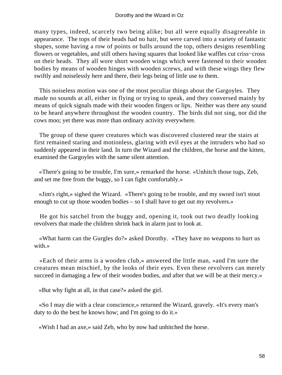many types, indeed, scarcely two being alike; but all were equally disagreeable in appearance. The tops of their heads had no hair, but were carved into a variety of fantastic shapes, some having a row of points or balls around the top, others designs resembling flowers or vegetables, and still others having squares that looked like waffles cut criss−cross on their heads. They all wore short wooden wings which were fastened to their wooden bodies by means of wooden hinges with wooden screws, and with these wings they flew swiftly and noiselessly here and there, their legs being of little use to them.

 This noiseless motion was one of the most peculiar things about the Gargoyles. They made no sounds at all, either in flying or trying to speak, and they conversed mainly by means of quick signals made with their wooden fingers or lips. Neither was there any sound to be heard anywhere throughout the wooden country. The birds did not sing, nor did the cows moo; yet there was more than ordinary activity everywhere.

 The group of these queer creatures which was discovered clustered near the stairs at first remained staring and motionless, glaring with evil eyes at the intruders who had so suddenly appeared in their land. In turn the Wizard and the children, the horse and the kitten, examined the Gargoyles with the same silent attention.

 «There's going to be trouble, I'm sure,» remarked the horse. «Unhitch those tugs, Zeb, and set me free from the buggy, so I can fight comfortably.»

 «Jim's right,» sighed the Wizard. «There's going to be trouble, and my sword isn't stout enough to cut up those wooden bodies – so I shall have to get out my revolvers.»

 He got his satchel from the buggy and, opening it, took out two deadly looking revolvers that made the children shrink back in alarm just to look at.

 «What harm can the Gurgles do?» asked Dorothy. «They have no weapons to hurt us with.»

 «Each of their arms is a wooden club,» answered the little man, «and I'm sure the creatures mean mischief, by the looks of their eyes. Even these revolvers can merely succeed in damaging a few of their wooden bodies, and after that we will be at their mercy.»

«But why fight at all, in that case?» asked the girl.

 «So I may die with a clear conscience,» returned the Wizard, gravely. «It's every man's duty to do the best he knows how; and I'm going to do it.»

«Wish I had an axe,» said Zeb, who by now had unhitched the horse.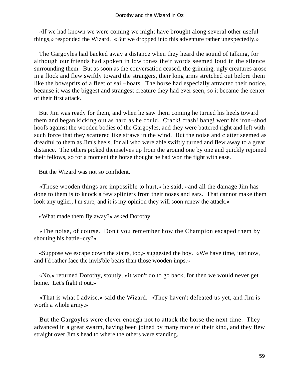«If we had known we were coming we might have brought along several other useful things,» responded the Wizard. «But we dropped into this adventure rather unexpectedly.»

 The Gargoyles had backed away a distance when they heard the sound of talking, for although our friends had spoken in low tones their words seemed loud in the silence surrounding them. But as soon as the conversation ceased, the grinning, ugly creatures arose in a flock and flew swiftly toward the strangers, their long arms stretched out before them like the bowsprits of a fleet of sail−boats. The horse had especially attracted their notice, because it was the biggest and strangest creature they had ever seen; so it became the center of their first attack.

 But Jim was ready for them, and when he saw them coming he turned his heels toward them and began kicking out as hard as he could. Crack! crash! bang! went his iron−shod hoofs against the wooden bodies of the Gargoyles, and they were battered right and left with such force that they scattered like straws in the wind. But the noise and clatter seemed as dreadful to them as Jim's heels, for all who were able swiftly turned and flew away to a great distance. The others picked themselves up from the ground one by one and quickly rejoined their fellows, so for a moment the horse thought he had won the fight with ease.

But the Wizard was not so confident.

 «Those wooden things are impossible to hurt,» he said, «and all the damage Jim has done to them is to knock a few splinters from their noses and ears. That cannot make them look any uglier, I'm sure, and it is my opinion they will soon renew the attack.»

«What made them fly away?» asked Dorothy.

 «The noise, of course. Don't you remember how the Champion escaped them by shouting his battle−cry?»

 «Suppose we escape down the stairs, too,» suggested the boy. «We have time, just now, and I'd rather face the invis'ble bears than those wooden imps.»

 «No,» returned Dorothy, stoutly, «it won't do to go back, for then we would never get home. Let's fight it out.»

 «That is what I advise,» said the Wizard. «They haven't defeated us yet, and Jim is worth a whole army.»

 But the Gargoyles were clever enough not to attack the horse the next time. They advanced in a great swarm, having been joined by many more of their kind, and they flew straight over Jim's head to where the others were standing.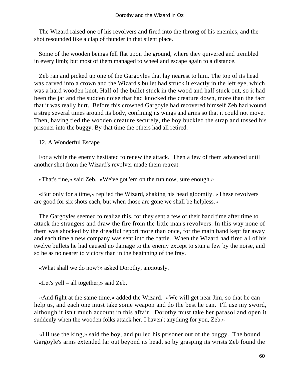The Wizard raised one of his revolvers and fired into the throng of his enemies, and the shot resounded like a clap of thunder in that silent place.

 Some of the wooden beings fell flat upon the ground, where they quivered and trembled in every limb; but most of them managed to wheel and escape again to a distance.

 Zeb ran and picked up one of the Gargoyles that lay nearest to him. The top of its head was carved into a crown and the Wizard's bullet had struck it exactly in the left eye, which was a hard wooden knot. Half of the bullet stuck in the wood and half stuck out, so it had been the jar and the sudden noise that had knocked the creature down, more than the fact that it was really hurt. Before this crowned Gargoyle had recovered himself Zeb had wound a strap several times around its body, confining its wings and arms so that it could not move. Then, having tied the wooden creature securely, the boy buckled the strap and tossed his prisoner into the buggy. By that time the others had all retired.

12. A Wonderful Escape

 For a while the enemy hesitated to renew the attack. Then a few of them advanced until another shot from the Wizard's revolver made them retreat.

«That's fine,» said Zeb. «We've got 'em on the run now, sure enough.»

 «But only for a time,» replied the Wizard, shaking his head gloomily. «These revolvers are good for six shots each, but when those are gone we shall be helpless.»

 The Gargoyles seemed to realize this, for they sent a few of their band time after time to attack the strangers and draw the fire from the little man's revolvers. In this way none of them was shocked by the dreadful report more than once, for the main band kept far away and each time a new company was sent into the battle. When the Wizard had fired all of his twelve bullets he had caused no damage to the enemy except to stun a few by the noise, and so he as no nearer to victory than in the beginning of the fray.

«What shall we do now?» asked Dorothy, anxiously.

«Let's yell – all together,» said Zeb.

 «And fight at the same time,» added the Wizard. «We will get near Jim, so that he can help us, and each one must take some weapon and do the best he can. I'll use my sword, although it isn't much account in this affair. Dorothy must take her parasol and open it suddenly when the wooden folks attack her. I haven't anything for you, Zeb.»

 «I'll use the king,» said the boy, and pulled his prisoner out of the buggy. The bound Gargoyle's arms extended far out beyond its head, so by grasping its wrists Zeb found the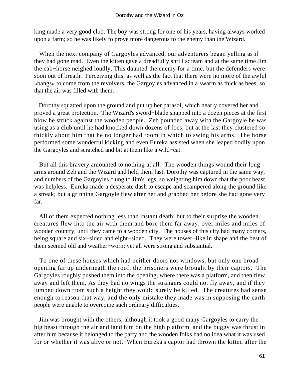king made a very good club. The boy was strong for one of his years, having always worked upon a farm; so he was likely to prove more dangerous to the enemy than the Wizard.

 When the next company of Gargoyles advanced, our adventurers began yelling as if they had gone mad. Even the kitten gave a dreadfully shrill scream and at the same time Jim the cab−horse neighed loudly. This daunted the enemy for a time, but the defenders were soon out of breath. Perceiving this, as well as the fact that there were no more of the awful «bangs» to come from the revolvers, the Gargoyles advanced in a swarm as thick as bees, so that the air was filled with them.

 Dorothy squatted upon the ground and put up her parasol, which nearly covered her and proved a great protection. The Wizard's sword−blade snapped into a dozen pieces at the first blow he struck against the wooden people. Zeb pounded away with the Gargoyle he was using as a club until he had knocked down dozens of foes; but at the last they clustered so thickly about him that he no longer had room in which to swing his arms. The horse performed some wonderful kicking and even Eureka assisted when she leaped bodily upon the Gargoyles and scratched and bit at them like a wild−cat.

 But all this bravery amounted to nothing at all. The wooden things wound their long arms around Zeb and the Wizard and held them fast. Dorothy was captured in the same way, and numbers of the Gargoyles clung to Jim's legs, so weighting him down that the poor beast was helpless. Eureka made a desperate dash to escape and scampered along the ground like a streak; but a grinning Gargoyle flew after her and grabbed her before she had gone very far.

 All of them expected nothing less than instant death; but to their surprise the wooden creatures flew into the air with them and bore them far away, over miles and miles of wooden country, until they came to a wooden city. The houses of this city had many corners, being square and six−sided and eight−sided. They were tower−like in shape and the best of them seemed old and weather−worn; yet all were strong and substantial.

 To one of these houses which had neither doors nor windows, but only one broad opening far up underneath the roof, the prisoners were brought by their captors. The Gargoyles roughly pushed them into the opening, where there was a platform, and then flew away and left them. As they had no wings the strangers could not fly away, and if they jumped down from such a height they would surely be killed. The creatures had sense enough to reason that way, and the only mistake they made was in supposing the earth people were unable to overcome such ordinary difficulties.

 Jim was brought with the others, although it took a good many Gargoyles to carry the big beast through the air and land him on the high platform, and the buggy was thrust in after him because it belonged to the party and the wooden folks had no idea what it was used for or whether it was alive or not. When Eureka's captor had thrown the kitten after the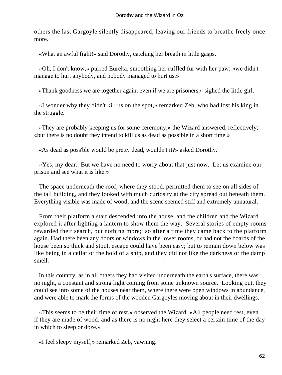others the last Gargoyle silently disappeared, leaving our friends to breathe freely once more.

«What an awful fight!» said Dorothy, catching her breath in little gasps.

 «Oh, I don't know,» purred Eureka, smoothing her ruffled fur with her paw; «we didn't manage to hurt anybody, and nobody managed to hurt us.»

«Thank goodness we are together again, even if we are prisoners,» sighed the little girl.

 «I wonder why they didn't kill us on the spot,» remarked Zeb, who had lost his king in the struggle.

 «They are probably keeping us for some ceremony,» the Wizard answered, reflectively; «but there is no doubt they intend to kill us as dead as possible in a short time.»

«As dead as poss'ble would be pretty dead, wouldn't it?» asked Dorothy.

 «Yes, my dear. But we have no need to worry about that just now. Let us examine our prison and see what it is like.»

 The space underneath the roof, where they stood, permitted them to see on all sides of the tall building, and they looked with much curiosity at the city spread out beneath them. Everything visible was made of wood, and the scene seemed stiff and extremely unnatural.

 From their platform a stair descended into the house, and the children and the Wizard explored it after lighting a lantern to show them the way. Several stories of empty rooms rewarded their search, but nothing more; so after a time they came back to the platform again. Had there been any doors or windows in the lower rooms, or had not the boards of the house been so thick and stout, escape could have been easy; but to remain down below was like being in a cellar or the hold of a ship, and they did not like the darkness or the damp smell.

 In this country, as in all others they had visited underneath the earth's surface, there was no night, a constant and strong light coming from some unknown source. Looking out, they could see into some of the houses near them, where there were open windows in abundance, and were able to mark the forms of the wooden Gargoyles moving about in their dwellings.

 «This seems to be their time of rest,» observed the Wizard. «All people need rest, even if they are made of wood, and as there is no night here they select a certain time of the day in which to sleep or doze.»

«I feel sleepy myself,» remarked Zeb, yawning.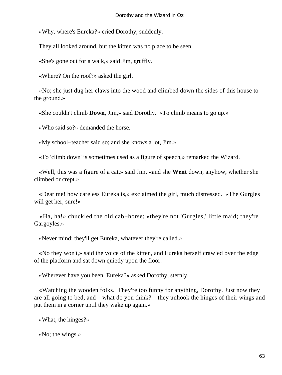«Why, where's Eureka?» cried Dorothy, suddenly.

They all looked around, but the kitten was no place to be seen.

«She's gone out for a walk,» said Jim, gruffly.

«Where? On the roof?» asked the girl.

 «No; she just dug her claws into the wood and climbed down the sides of this house to the ground.»

«She couldn't climb **Down,** Jim,» said Dorothy. «To climb means to go up.»

«Who said so?» demanded the horse.

«My school−teacher said so; and she knows a lot, Jim.»

«To 'climb down' is sometimes used as a figure of speech,» remarked the Wizard.

 «Well, this was a figure of a cat,» said Jim, «and she **Went** down, anyhow, whether she climbed or crept.»

 «Dear me! how careless Eureka is,» exclaimed the girl, much distressed. «The Gurgles will get her, sure!»

 «Ha, ha!» chuckled the old cab−horse; «they're not 'Gurgles,' little maid; they're Gargoyles.»

«Never mind; they'll get Eureka, whatever they're called.»

 «No they won't,» said the voice of the kitten, and Eureka herself crawled over the edge of the platform and sat down quietly upon the floor.

«Wherever have you been, Eureka?» asked Dorothy, sternly.

 «Watching the wooden folks. They're too funny for anything, Dorothy. Just now they are all going to bed, and – what do you think? – they unhook the hinges of their wings and put them in a corner until they wake up again.»

«What, the hinges?»

«No; the wings.»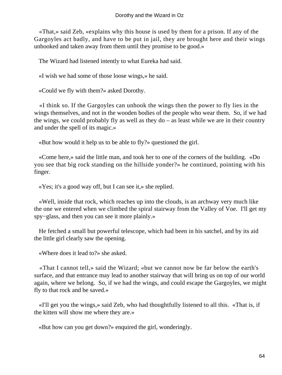«That,» said Zeb, «explains why this house is used by them for a prison. If any of the Gargoyles act badly, and have to be put in jail, they are brought here and their wings unhooked and taken away from them until they promise to be good.»

The Wizard had listened intently to what Eureka had said.

«I wish we had some of those loose wings,» he said.

«Could we fly with them?» asked Dorothy.

 «I think so. If the Gargoyles can unhook the wings then the power to fly lies in the wings themselves, and not in the wooden bodies of the people who wear them. So, if we had the wings, we could probably fly as well as they  $do - as$  least while we are in their country and under the spell of its magic.»

«But how would it help us to be able to fly?» questioned the girl.

 «Come here,» said the little man, and took her to one of the corners of the building. «Do you see that big rock standing on the hillside yonder?» he continued, pointing with his finger.

«Yes; it's a good way off, but I can see it,» she replied.

 «Well, inside that rock, which reaches up into the clouds, is an archway very much like the one we entered when we climbed the spiral stairway from the Valley of Voe. I'll get my spy−glass, and then you can see it more plainly.»

 He fetched a small but powerful telescope, which had been in his satchel, and by its aid the little girl clearly saw the opening.

«Where does it lead to?» she asked.

 «That I cannot tell,» said the Wizard; «but we cannot now be far below the earth's surface, and that entrance may lead to another stairway that will bring us on top of our world again, where we belong. So, if we had the wings, and could escape the Gargoyles, we might fly to that rock and be saved.»

 «I'll get you the wings,» said Zeb, who had thoughtfully listened to all this. «That is, if the kitten will show me where they are.»

«But how can you get down?» enquired the girl, wonderingly.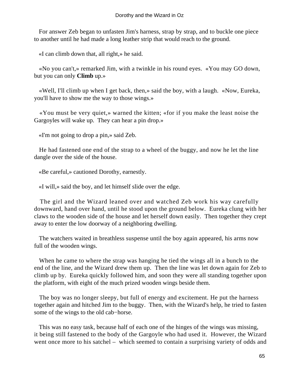For answer Zeb began to unfasten Jim's harness, strap by strap, and to buckle one piece to another until he had made a long leather strip that would reach to the ground.

«I can climb down that, all right,» he said.

 «No you can't,» remarked Jim, with a twinkle in his round eyes. «You may GO down, but you can only **Climb** up.»

 «Well, I'll climb up when I get back, then,» said the boy, with a laugh. «Now, Eureka, you'll have to show me the way to those wings.»

 «You must be very quiet,» warned the kitten; «for if you make the least noise the Gargoyles will wake up. They can hear a pin drop.»

«I'm not going to drop a pin,» said Zeb.

 He had fastened one end of the strap to a wheel of the buggy, and now he let the line dangle over the side of the house.

«Be careful,» cautioned Dorothy, earnestly.

«I will,» said the boy, and let himself slide over the edge.

 The girl and the Wizard leaned over and watched Zeb work his way carefully downward, hand over hand, until he stood upon the ground below. Eureka clung with her claws to the wooden side of the house and let herself down easily. Then together they crept away to enter the low doorway of a neighboring dwelling.

 The watchers waited in breathless suspense until the boy again appeared, his arms now full of the wooden wings.

 When he came to where the strap was hanging he tied the wings all in a bunch to the end of the line, and the Wizard drew them up. Then the line was let down again for Zeb to climb up by. Eureka quickly followed him, and soon they were all standing together upon the platform, with eight of the much prized wooden wings beside them.

 The boy was no longer sleepy, but full of energy and excitement. He put the harness together again and hitched Jim to the buggy. Then, with the Wizard's help, he tried to fasten some of the wings to the old cab−horse.

 This was no easy task, because half of each one of the hinges of the wings was missing, it being still fastened to the body of the Gargoyle who had used it. However, the Wizard went once more to his satchel – which seemed to contain a surprising variety of odds and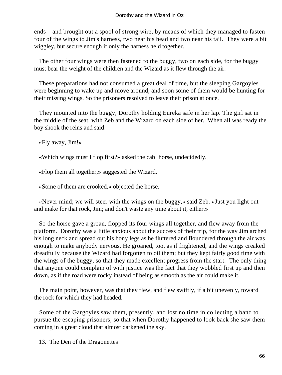ends – and brought out a spool of strong wire, by means of which they managed to fasten four of the wings to Jim's harness, two near his head and two near his tail. They were a bit wiggley, but secure enough if only the harness held together.

 The other four wings were then fastened to the buggy, two on each side, for the buggy must bear the weight of the children and the Wizard as it flew through the air.

 These preparations had not consumed a great deal of time, but the sleeping Gargoyles were beginning to wake up and move around, and soon some of them would be hunting for their missing wings. So the prisoners resolved to leave their prison at once.

 They mounted into the buggy, Dorothy holding Eureka safe in her lap. The girl sat in the middle of the seat, with Zeb and the Wizard on each side of her. When all was ready the boy shook the reins and said:

«Fly away, Jim!»

«Which wings must I flop first?» asked the cab−horse, undecidedly.

«Flop them all together,» suggested the Wizard.

«Some of them are crooked,» objected the horse.

 «Never mind; we will steer with the wings on the buggy,» said Zeb. «Just you light out and make for that rock, Jim; and don't waste any time about it, either.»

 So the horse gave a groan, flopped its four wings all together, and flew away from the platform. Dorothy was a little anxious about the success of their trip, for the way Jim arched his long neck and spread out his bony legs as he fluttered and floundered through the air was enough to make anybody nervous. He groaned, too, as if frightened, and the wings creaked dreadfully because the Wizard had forgotten to oil them; but they kept fairly good time with the wings of the buggy, so that they made excellent progress from the start. The only thing that anyone could complain of with justice was the fact that they wobbled first up and then down, as if the road were rocky instead of being as smooth as the air could make it.

 The main point, however, was that they flew, and flew swiftly, if a bit unevenly, toward the rock for which they had headed.

 Some of the Gargoyles saw them, presently, and lost no time in collecting a band to pursue the escaping prisoners; so that when Dorothy happened to look back she saw them coming in a great cloud that almost darkened the sky.

13. The Den of the Dragonettes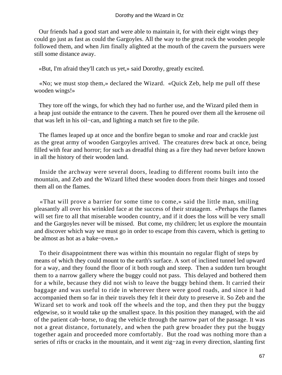Our friends had a good start and were able to maintain it, for with their eight wings they could go just as fast as could the Gargoyles. All the way to the great rock the wooden people followed them, and when Jim finally alighted at the mouth of the cavern the pursuers were still some distance away.

«But, I'm afraid they'll catch us yet,» said Dorothy, greatly excited.

 «No; we must stop them,» declared the Wizard. «Quick Zeb, help me pull off these wooden wings!»

 They tore off the wings, for which they had no further use, and the Wizard piled them in a heap just outside the entrance to the cavern. Then he poured over them all the kerosene oil that was left in his oil−can, and lighting a match set fire to the pile.

 The flames leaped up at once and the bonfire began to smoke and roar and crackle just as the great army of wooden Gargoyles arrived. The creatures drew back at once, being filled with fear and horror; for such as dreadful thing as a fire they had never before known in all the history of their wooden land.

 Inside the archway were several doors, leading to different rooms built into the mountain, and Zeb and the Wizard lifted these wooden doors from their hinges and tossed them all on the flames.

 «That will prove a barrier for some time to come,» said the little man, smiling pleasantly all over his wrinkled face at the success of their stratagem. «Perhaps the flames will set fire to all that miserable wooden country, and if it does the loss will be very small and the Gargoyles never will be missed. But come, my children; let us explore the mountain and discover which way we must go in order to escape from this cavern, which is getting to be almost as hot as a bake−oven.»

 To their disappointment there was within this mountain no regular flight of steps by means of which they could mount to the earth's surface. A sort of inclined tunnel led upward for a way, and they found the floor of it both rough and steep. Then a sudden turn brought them to a narrow gallery where the buggy could not pass. This delayed and bothered them for a while, because they did not wish to leave the buggy behind them. It carried their baggage and was useful to ride in wherever there were good roads, and since it had accompanied them so far in their travels they felt it their duty to preserve it. So Zeb and the Wizard set to work and took off the wheels and the top, and then they put the buggy edgewise, so it would take up the smallest space. In this position they managed, with the aid of the patient cab−horse, to drag the vehicle through the narrow part of the passage. It was not a great distance, fortunately, and when the path grew broader they put the buggy together again and proceeded more comfortably. But the road was nothing more than a series of rifts or cracks in the mountain, and it went zig−zag in every direction, slanting first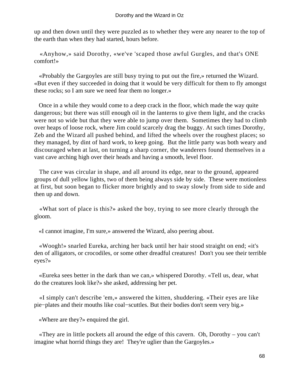up and then down until they were puzzled as to whether they were any nearer to the top of the earth than when they had started, hours before.

 «Anyhow,» said Dorothy, «we've 'scaped those awful Gurgles, and that's ONE comfort!»

 «Probably the Gargoyles are still busy trying to put out the fire,» returned the Wizard. «But even if they succeeded in doing that it would be very difficult for them to fly amongst these rocks; so I am sure we need fear them no longer.»

 Once in a while they would come to a deep crack in the floor, which made the way quite dangerous; but there was still enough oil in the lanterns to give them light, and the cracks were not so wide but that they were able to jump over them. Sometimes they had to climb over heaps of loose rock, where Jim could scarcely drag the buggy. At such times Dorothy, Zeb and the Wizard all pushed behind, and lifted the wheels over the roughest places; so they managed, by dint of hard work, to keep going. But the little party was both weary and discouraged when at last, on turning a sharp corner, the wanderers found themselves in a vast cave arching high over their heads and having a smooth, level floor.

 The cave was circular in shape, and all around its edge, near to the ground, appeared groups of dull yellow lights, two of them being always side by side. These were motionless at first, but soon began to flicker more brightly and to sway slowly from side to side and then up and down.

 «What sort of place is this?» asked the boy, trying to see more clearly through the gloom.

«I cannot imagine, I'm sure,» answered the Wizard, also peering about.

 «Woogh!» snarled Eureka, arching her back until her hair stood straight on end; «it's den of alligators, or crocodiles, or some other dreadful creatures! Don't you see their terrible eyes?»

 «Eureka sees better in the dark than we can,» whispered Dorothy. «Tell us, dear, what do the creatures look like?» she asked, addressing her pet.

 «I simply can't describe 'em,» answered the kitten, shuddering. «Their eyes are like pie−plates and their mouths like coal−scuttles. But their bodies don't seem very big.»

«Where are they?» enquired the girl.

 «They are in little pockets all around the edge of this cavern. Oh, Dorothy – you can't imagine what horrid things they are! They're uglier than the Gargoyles.»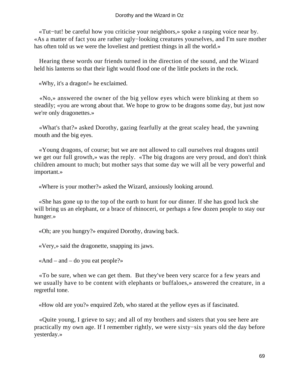«Tut−tut! be careful how you criticise your neighbors,» spoke a rasping voice near by. «As a matter of fact you are rather ugly−looking creatures yourselves, and I'm sure mother has often told us we were the loveliest and prettiest things in all the world.»

 Hearing these words our friends turned in the direction of the sound, and the Wizard held his lanterns so that their light would flood one of the little pockets in the rock.

«Why, it's a dragon!» he exclaimed.

 «No,» answered the owner of the big yellow eyes which were blinking at them so steadily; «you are wrong about that. We hope to grow to be dragons some day, but just now we're only dragonettes.»

 «What's that?» asked Dorothy, gazing fearfully at the great scaley head, the yawning mouth and the big eyes.

 «Young dragons, of course; but we are not allowed to call ourselves real dragons until we get our full growth,» was the reply. «The big dragons are very proud, and don't think children amount to much; but mother says that some day we will all be very powerful and important.»

«Where is your mother?» asked the Wizard, anxiously looking around.

 «She has gone up to the top of the earth to hunt for our dinner. If she has good luck she will bring us an elephant, or a brace of rhinoceri, or perhaps a few dozen people to stay our hunger.»

«Oh; are you hungry?» enquired Dorothy, drawing back.

«Very,» said the dragonette, snapping its jaws.

«And – and – do you eat people?»

 «To be sure, when we can get them. But they've been very scarce for a few years and we usually have to be content with elephants or buffaloes,» answered the creature, in a regretful tone.

«How old are you?» enquired Zeb, who stared at the yellow eyes as if fascinated.

 «Quite young, I grieve to say; and all of my brothers and sisters that you see here are practically my own age. If I remember rightly, we were sixty−six years old the day before yesterday.»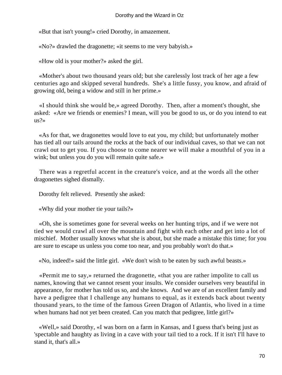«But that isn't young!» cried Dorothy, in amazement.

«No?» drawled the dragonette; «it seems to me very babyish.»

«How old is your mother?» asked the girl.

 «Mother's about two thousand years old; but she carelessly lost track of her age a few centuries ago and skipped several hundreds. She's a little fussy, you know, and afraid of growing old, being a widow and still in her prime.»

 «I should think she would be,» agreed Dorothy. Then, after a moment's thought, she asked: «Are we friends or enemies? I mean, will you be good to us, or do you intend to eat us?»

 «As for that, we dragonettes would love to eat you, my child; but unfortunately mother has tied all our tails around the rocks at the back of our individual caves, so that we can not crawl out to get you. If you choose to come nearer we will make a mouthful of you in a wink; but unless you do you will remain quite safe.»

 There was a regretful accent in the creature's voice, and at the words all the other dragonettes sighed dismally.

Dorothy felt relieved. Presently she asked:

«Why did your mother tie your tails?»

 «Oh, she is sometimes gone for several weeks on her hunting trips, and if we were not tied we would crawl all over the mountain and fight with each other and get into a lot of mischief. Mother usually knows what she is about, but she made a mistake this time; for you are sure to escape us unless you come too near, and you probably won't do that.»

«No, indeed!» said the little girl. «We don't wish to be eaten by such awful beasts.»

 «Permit me to say,» returned the dragonette, «that you are rather impolite to call us names, knowing that we cannot resent your insults. We consider ourselves very beautiful in appearance, for mother has told us so, and she knows. And we are of an excellent family and have a pedigree that I challenge any humans to equal, as it extends back about twenty thousand years, to the time of the famous Green Dragon of Atlantis, who lived in a time when humans had not yet been created. Can you match that pedigree, little girl?»

 «Well,» said Dorothy, «I was born on a farm in Kansas, and I guess that's being just as 'spectable and haughty as living in a cave with your tail tied to a rock. If it isn't I'll have to stand it, that's all.»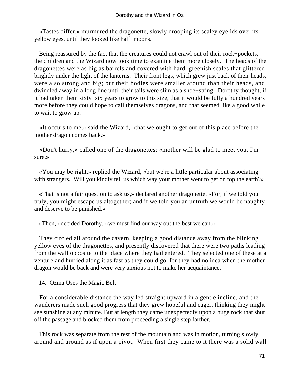«Tastes differ,» murmured the dragonette, slowly drooping its scaley eyelids over its yellow eyes, until they looked like half−moons.

 Being reassured by the fact that the creatures could not crawl out of their rock−pockets, the children and the Wizard now took time to examine them more closely. The heads of the dragonettes were as big as barrels and covered with hard, greenish scales that glittered brightly under the light of the lanterns. Their front legs, which grew just back of their heads, were also strong and big; but their bodies were smaller around than their heads, and dwindled away in a long line until their tails were slim as a shoe−string. Dorothy thought, if it had taken them sixty−six years to grow to this size, that it would be fully a hundred years more before they could hope to call themselves dragons, and that seemed like a good while to wait to grow up.

 «It occurs to me,» said the Wizard, «that we ought to get out of this place before the mother dragon comes back.»

 «Don't hurry,» called one of the dragonettes; «mother will be glad to meet you, I'm sure.»

 «You may be right,» replied the Wizard, «but we're a little particular about associating with strangers. Will you kindly tell us which way your mother went to get on top the earth?»

 «That is not a fair question to ask us,» declared another dragonette. «For, if we told you truly, you might escape us altogether; and if we told you an untruth we would be naughty and deserve to be punished.»

«Then,» decided Dorothy, «we must find our way out the best we can.»

 They circled all around the cavern, keeping a good distance away from the blinking yellow eyes of the dragonettes, and presently discovered that there were two paths leading from the wall opposite to the place where they had entered. They selected one of these at a venture and hurried along it as fast as they could go, for they had no idea when the mother dragon would be back and were very anxious not to make her acquaintance.

14. Ozma Uses the Magic Belt

 For a considerable distance the way led straight upward in a gentle incline, and the wanderers made such good progress that they grew hopeful and eager, thinking they might see sunshine at any minute. But at length they came unexpectedly upon a huge rock that shut off the passage and blocked them from proceeding a single step farther.

 This rock was separate from the rest of the mountain and was in motion, turning slowly around and around as if upon a pivot. When first they came to it there was a solid wall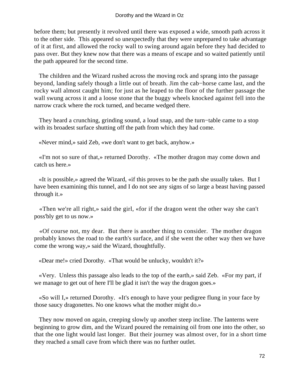before them; but presently it revolved until there was exposed a wide, smooth path across it to the other side. This appeared so unexpectedly that they were unprepared to take advantage of it at first, and allowed the rocky wall to swing around again before they had decided to pass over. But they knew now that there was a means of escape and so waited patiently until the path appeared for the second time.

 The children and the Wizard rushed across the moving rock and sprang into the passage beyond, landing safely though a little out of breath. Jim the cab−horse came last, and the rocky wall almost caught him; for just as he leaped to the floor of the further passage the wall swung across it and a loose stone that the buggy wheels knocked against fell into the narrow crack where the rock turned, and became wedged there.

 They heard a crunching, grinding sound, a loud snap, and the turn−table came to a stop with its broadest surface shutting off the path from which they had come.

«Never mind,» said Zeb, «we don't want to get back, anyhow.»

 «I'm not so sure of that,» returned Dorothy. «The mother dragon may come down and catch us here.»

 «It is possible,» agreed the Wizard, «if this proves to be the path she usually takes. But I have been examining this tunnel, and I do not see any signs of so large a beast having passed through it.»

 «Then we're all right,» said the girl, «for if the dragon went the other way she can't poss'bly get to us now.»

 «Of course not, my dear. But there is another thing to consider. The mother dragon probably knows the road to the earth's surface, and if she went the other way then we have come the wrong way,» said the Wizard, thoughtfully.

«Dear me!» cried Dorothy. «That would be unlucky, wouldn't it?»

 «Very. Unless this passage also leads to the top of the earth,» said Zeb. «For my part, if we manage to get out of here I'll be glad it isn't the way the dragon goes.»

 «So will I,» returned Dorothy. «It's enough to have your pedigree flung in your face by those saucy dragonettes. No one knows what the mother might do.»

 They now moved on again, creeping slowly up another steep incline. The lanterns were beginning to grow dim, and the Wizard poured the remaining oil from one into the other, so that the one light would last longer. But their journey was almost over, for in a short time they reached a small cave from which there was no further outlet.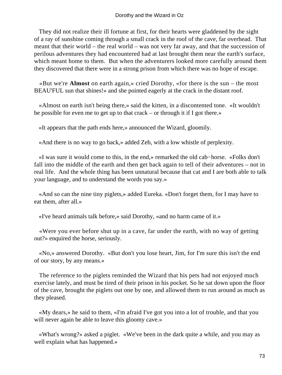They did not realize their ill fortune at first, for their hearts were gladdened by the sight of a ray of sunshine coming through a small crack in the roof of the cave, far overhead. That meant that their world – the real world – was not very far away, and that the succession of perilous adventures they had encountered had at last brought them near the earth's surface, which meant home to them. But when the adventurers looked more carefully around them they discovered that there were in a strong prison from which there was no hope of escape.

 «But we're **Almost** on earth again,» cried Dorothy, «for there is the sun – the most BEAU'FUL sun that shines!» and she pointed eagerly at the crack in the distant roof.

 «Almost on earth isn't being there,» said the kitten, in a discontented tone. «It wouldn't be possible for even me to get up to that crack – or through it if I got there.»

«It appears that the path ends here,» announced the Wizard, gloomily.

«And there is no way to go back,» added Zeb, with a low whistle of perplexity.

 «I was sure it would come to this, in the end,» remarked the old cab−horse. «Folks don't fall into the middle of the earth and then get back again to tell of their adventures – not in real life. And the whole thing has been unnatural because that cat and I are both able to talk your language, and to understand the words you say.»

 «And so can the nine tiny piglets,» added Eureka. «Don't forget them, for I may have to eat them, after all.»

«I've heard animals talk before,» said Dorothy, «and no harm came of it.»

 «Were you ever before shut up in a cave, far under the earth, with no way of getting out?» enquired the horse, seriously.

 «No,» answered Dorothy. «But don't you lose heart, Jim, for I'm sure this isn't the end of our story, by any means.»

 The reference to the piglets reminded the Wizard that his pets had not enjoyed much exercise lately, and must be tired of their prison in his pocket. So he sat down upon the floor of the cave, brought the piglets out one by one, and allowed them to run around as much as they pleased.

 «My dears,» he said to them, «I'm afraid I've got you into a lot of trouble, and that you will never again be able to leave this gloomy cave.»

 «What's wrong?» asked a piglet. «We've been in the dark quite a while, and you may as well explain what has happened.»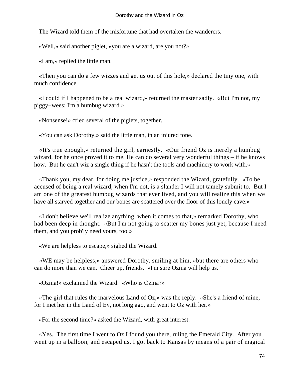The Wizard told them of the misfortune that had overtaken the wanderers.

«Well,» said another piglet, «you are a wizard, are you not?»

«I am,» replied the little man.

 «Then you can do a few wizzes and get us out of this hole,» declared the tiny one, with much confidence.

 «I could if I happened to be a real wizard,» returned the master sadly. «But I'm not, my piggy−wees; I'm a humbug wizard.»

«Nonsense!» cried several of the piglets, together.

«You can ask Dorothy,» said the little man, in an injured tone.

 «It's true enough,» returned the girl, earnestly. «Our friend Oz is merely a humbug wizard, for he once proved it to me. He can do several very wonderful things – if he knows how. But he can't wiz a single thing if he hasn't the tools and machinery to work with.»

 «Thank you, my dear, for doing me justice,» responded the Wizard, gratefully. «To be accused of being a real wizard, when I'm not, is a slander I will not tamely submit to. But I am one of the greatest humbug wizards that ever lived, and you will realize this when we have all starved together and our bones are scattered over the floor of this lonely cave.»

 «I don't believe we'll realize anything, when it comes to that,» remarked Dorothy, who had been deep in thought. «But I'm not going to scatter my bones just yet, because I need them, and you prob'ly need yours, too.»

«We are helpless to escape,» sighed the Wizard.

 «WE may be helpless,» answered Dorothy, smiling at him, «but there are others who can do more than we can. Cheer up, friends. »I'm sure Ozma will help us."

«Ozma!» exclaimed the Wizard. «Who is Ozma?»

 «The girl that rules the marvelous Land of Oz,» was the reply. «She's a friend of mine, for I met her in the Land of Ev, not long ago, and went to Oz with her.»

«For the second time?» asked the Wizard, with great interest.

 «Yes. The first time I went to Oz I found you there, ruling the Emerald City. After you went up in a balloon, and escaped us, I got back to Kansas by means of a pair of magical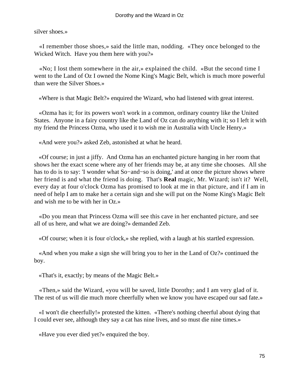silver shoes.»

 «I remember those shoes,» said the little man, nodding. «They once belonged to the Wicked Witch. Have you them here with you?»

 «No; I lost them somewhere in the air,» explained the child. «But the second time I went to the Land of Oz I owned the Nome King's Magic Belt, which is much more powerful than were the Silver Shoes.»

«Where is that Magic Belt?» enquired the Wizard, who had listened with great interest.

 «Ozma has it; for its powers won't work in a common, ordinary country like the United States. Anyone in a fairy country like the Land of Oz can do anything with it; so I left it with my friend the Princess Ozma, who used it to wish me in Australia with Uncle Henry.»

«And were you?» asked Zeb, astonished at what he heard.

 «Of course; in just a jiffy. And Ozma has an enchanted picture hanging in her room that shows her the exact scene where any of her friends may be, at any time she chooses. All she has to do is to say: 'I wonder what So−and−so is doing,' and at once the picture shows where her friend is and what the friend is doing. That's **Real** magic, Mr. Wizard; isn't it? Well, every day at four o'clock Ozma has promised to look at me in that picture, and if I am in need of help I am to make her a certain sign and she will put on the Nome King's Magic Belt and wish me to be with her in Oz.»

 «Do you mean that Princess Ozma will see this cave in her enchanted picture, and see all of us here, and what we are doing?» demanded Zeb.

«Of course; when it is four o'clock,» she replied, with a laugh at his startled expression.

 «And when you make a sign she will bring you to her in the Land of Oz?» continued the boy.

«That's it, exactly; by means of the Magic Belt.»

 «Then,» said the Wizard, «you will be saved, little Dorothy; and I am very glad of it. The rest of us will die much more cheerfully when we know you have escaped our sad fate.»

 «I won't die cheerfully!» protested the kitten. «There's nothing cheerful about dying that I could ever see, although they say a cat has nine lives, and so must die nine times.»

«Have you ever died yet?» enquired the boy.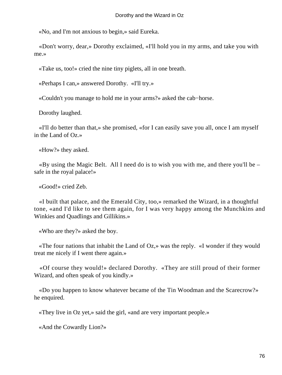«No, and I'm not anxious to begin,» said Eureka.

 «Don't worry, dear,» Dorothy exclaimed, «I'll hold you in my arms, and take you with me.»

«Take us, too!» cried the nine tiny piglets, all in one breath.

«Perhaps I can,» answered Dorothy. «I'll try.»

«Couldn't you manage to hold me in your arms?» asked the cab−horse.

Dorothy laughed.

 «I'll do better than that,» she promised, «for I can easily save you all, once I am myself in the Land of Oz.»

«How?» they asked.

 «By using the Magic Belt. All I need do is to wish you with me, and there you'll be – safe in the royal palace!»

«Good!» cried Zeb.

 «I built that palace, and the Emerald City, too,» remarked the Wizard, in a thoughtful tone, «and I'd like to see them again, for I was very happy among the Munchkins and Winkies and Quadlings and Gillikins.»

«Who are they?» asked the boy.

 «The four nations that inhabit the Land of Oz,» was the reply. «I wonder if they would treat me nicely if I went there again.»

 «Of course they would!» declared Dorothy. «They are still proud of their former Wizard, and often speak of you kindly.»

 «Do you happen to know whatever became of the Tin Woodman and the Scarecrow?» he enquired.

«They live in Oz yet,» said the girl, «and are very important people.»

«And the Cowardly Lion?»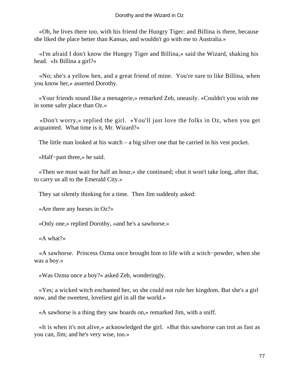«Oh, he lives there too, with his friend the Hungry Tiger; and Billina is there, because she liked the place better than Kansas, and wouldn't go with me to Australia.»

 «I'm afraid I don't know the Hungry Tiger and Billina,» said the Wizard, shaking his head. «Is Billina a girl?»

 «No; she's a yellow hen, and a great friend of mine. You're sure to like Billina, when you know her,» asserted Dorothy.

 «Your friends sound like a menagerie,» remarked Zeb, uneasily. «Couldn't you wish me in some safer place than Oz.»

 «Don't worry,» replied the girl. «You'll just love the folks in Oz, when you get acquainted. What time is it, Mr. Wizard?»

The little man looked at his watch – a big silver one that he carried in his vest pocket.

«Half−past three,» he said.

 «Then we must wait for half an hour,» she continued; «but it won't take long, after that, to carry us all to the Emerald City.»

They sat silently thinking for a time. Then Jim suddenly asked:

«Are there any horses in Oz?»

«Only one,» replied Dorothy, «and he's a sawhorse.»

«A what?»

 «A sawhorse. Princess Ozma once brought him to life with a witch−powder, when she was a boy.»

«Was Ozma once a boy?» asked Zeb, wonderingly.

 «Yes; a wicked witch enchanted her, so she could not rule her kingdom. But she's a girl now, and the sweetest, loveliest girl in all the world.»

«A sawhorse is a thing they saw boards on,» remarked Jim, with a sniff.

 «It is when it's not alive,» acknowledged the girl. «But this sawhorse can trot as fast as you can, Jim; and he's very wise, too.»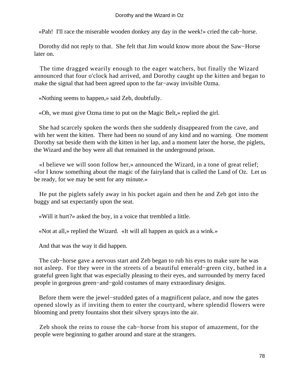«Pah! I'll race the miserable wooden donkey any day in the week!» cried the cab−horse.

 Dorothy did not reply to that. She felt that Jim would know more about the Saw−Horse later on.

 The time dragged wearily enough to the eager watchers, but finally the Wizard announced that four o'clock had arrived, and Dorothy caught up the kitten and began to make the signal that had been agreed upon to the far−away invisible Ozma.

«Nothing seems to happen,» said Zeb, doubtfully.

«Oh, we must give Ozma time to put on the Magic Belt,» replied the girl.

 She had scarcely spoken the words then she suddenly disappeared from the cave, and with her went the kitten. There had been no sound of any kind and no warning. One moment Dorothy sat beside them with the kitten in her lap, and a moment later the horse, the piglets, the Wizard and the boy were all that remained in the underground prison.

 «I believe we will soon follow her,» announced the Wizard, in a tone of great relief; «for I know something about the magic of the fairyland that is called the Land of Oz. Let us be ready, for we may be sent for any minute.»

 He put the piglets safely away in his pocket again and then he and Zeb got into the buggy and sat expectantly upon the seat.

«Will it hurt?» asked the boy, in a voice that trembled a little.

«Not at all,» replied the Wizard. «It will all happen as quick as a wink.»

And that was the way it did happen.

 The cab−horse gave a nervous start and Zeb began to rub his eyes to make sure he was not asleep. For they were in the streets of a beautiful emerald−green city, bathed in a grateful green light that was especially pleasing to their eyes, and surrounded by merry faced people in gorgeous green−and−gold costumes of many extraordinary designs.

 Before them were the jewel−studded gates of a magnificent palace, and now the gates opened slowly as if inviting them to enter the courtyard, where splendid flowers were blooming and pretty fountains shot their silvery sprays into the air.

 Zeb shook the reins to rouse the cab−horse from his stupor of amazement, for the people were beginning to gather around and stare at the strangers.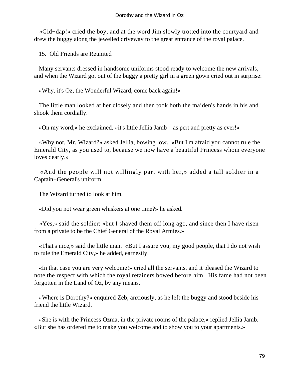«Gid−dap!» cried the boy, and at the word Jim slowly trotted into the courtyard and drew the buggy along the jewelled driveway to the great entrance of the royal palace.

15. Old Friends are Reunited

 Many servants dressed in handsome uniforms stood ready to welcome the new arrivals, and when the Wizard got out of the buggy a pretty girl in a green gown cried out in surprise:

«Why, it's Oz, the Wonderful Wizard, come back again!»

 The little man looked at her closely and then took both the maiden's hands in his and shook them cordially.

«On my word,» he exclaimed, «it's little Jellia Jamb – as pert and pretty as ever!»

 «Why not, Mr. Wizard?» asked Jellia, bowing low. «But I'm afraid you cannot rule the Emerald City, as you used to, because we now have a beautiful Princess whom everyone loves dearly.»

 «And the people will not willingly part with her,» added a tall soldier in a Captain−General's uniform.

The Wizard turned to look at him.

«Did you not wear green whiskers at one time?» he asked.

 «Yes,» said the soldier; «but I shaved them off long ago, and since then I have risen from a private to be the Chief General of the Royal Armies.»

 «That's nice,» said the little man. «But I assure you, my good people, that I do not wish to rule the Emerald City,» he added, earnestly.

 «In that case you are very welcome!» cried all the servants, and it pleased the Wizard to note the respect with which the royal retainers bowed before him. His fame had not been forgotten in the Land of Oz, by any means.

 «Where is Dorothy?» enquired Zeb, anxiously, as he left the buggy and stood beside his friend the little Wizard.

 «She is with the Princess Ozma, in the private rooms of the palace,» replied Jellia Jamb. «But she has ordered me to make you welcome and to show you to your apartments.»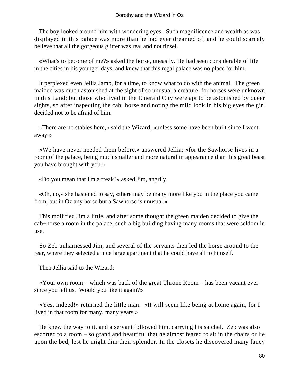The boy looked around him with wondering eyes. Such magnificence and wealth as was displayed in this palace was more than he had ever dreamed of, and he could scarcely believe that all the gorgeous glitter was real and not tinsel.

 «What's to become of me?» asked the horse, uneasily. He had seen considerable of life in the cities in his younger days, and knew that this regal palace was no place for him.

 It perplexed even Jellia Jamb, for a time, to know what to do with the animal. The green maiden was much astonished at the sight of so unusual a creature, for horses were unknown in this Land; but those who lived in the Emerald City were apt to be astonished by queer sights, so after inspecting the cab−horse and noting the mild look in his big eyes the girl decided not to be afraid of him.

 «There are no stables here,» said the Wizard, «unless some have been built since I went away.»

 «We have never needed them before,» answered Jellia; «for the Sawhorse lives in a room of the palace, being much smaller and more natural in appearance than this great beast you have brought with you.»

«Do you mean that I'm a freak?» asked Jim, angrily.

 «Oh, no,» she hastened to say, «there may be many more like you in the place you came from, but in Oz any horse but a Sawhorse is unusual.»

 This mollified Jim a little, and after some thought the green maiden decided to give the cab−horse a room in the palace, such a big building having many rooms that were seldom in use.

 So Zeb unharnessed Jim, and several of the servants then led the horse around to the rear, where they selected a nice large apartment that he could have all to himself.

Then Jellia said to the Wizard:

 «Your own room – which was back of the great Throne Room – has been vacant ever since you left us. Would you like it again?»

 «Yes, indeed!» returned the little man. «It will seem like being at home again, for I lived in that room for many, many years.»

 He knew the way to it, and a servant followed him, carrying his satchel. Zeb was also escorted to a room – so grand and beautiful that he almost feared to sit in the chairs or lie upon the bed, lest he might dim their splendor. In the closets he discovered many fancy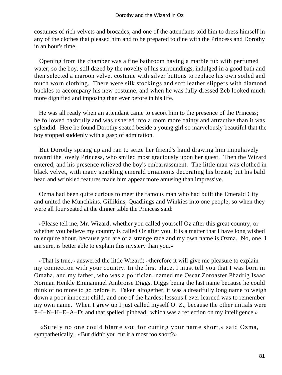costumes of rich velvets and brocades, and one of the attendants told him to dress himself in any of the clothes that pleased him and to be prepared to dine with the Princess and Dorothy in an hour's time.

 Opening from the chamber was a fine bathroom having a marble tub with perfumed water; so the boy, still dazed by the novelty of his surroundings, indulged in a good bath and then selected a maroon velvet costume with silver buttons to replace his own soiled and much worn clothing. There were silk stockings and soft leather slippers with diamond buckles to accompany his new costume, and when he was fully dressed Zeb looked much more dignified and imposing than ever before in his life.

 He was all ready when an attendant came to escort him to the presence of the Princess; he followed bashfully and was ushered into a room more dainty and attractive than it was splendid. Here he found Dorothy seated beside a young girl so marvelously beautiful that the boy stopped suddenly with a gasp of admiration.

 But Dorothy sprang up and ran to seize her friend's hand drawing him impulsively toward the lovely Princess, who smiled most graciously upon her guest. Then the Wizard entered, and his presence relieved the boy's embarrassment. The little man was clothed in black velvet, with many sparkling emerald ornaments decorating his breast; but his bald head and wrinkled features made him appear more amusing than impressive.

 Ozma had been quite curious to meet the famous man who had built the Emerald City and united the Munchkins, Gillikins, Quadlings and Winkies into one people; so when they were all four seated at the dinner table the Princess said:

 «Please tell me, Mr. Wizard, whether you called yourself Oz after this great country, or whether you believe my country is called Oz after you. It is a matter that I have long wished to enquire about, because you are of a strange race and my own name is Ozma. No, one, I am sure, is better able to explain this mystery than you.»

 «That is true,» answered the little Wizard; «therefore it will give me pleasure to explain my connection with your country. In the first place, I must tell you that I was born in Omaha, and my father, who was a politician, named me Oscar Zoroaster Phadrig Isaac Norman Henkle Emmannuel Ambroise Diggs, Diggs being the last name because he could think of no more to go before it. Taken altogether, it was a dreadfully long name to weigh down a poor innocent child, and one of the hardest lessons I ever learned was to remember my own name. When I grew up I just called myself O. Z., because the other initials were P−I−N−H−E−A−D; and that spelled 'pinhead,' which was a reflection on my intelligence.»

 «Surely no one could blame you for cutting your name short,» said Ozma, sympathetically. «But didn't you cut it almost too short?»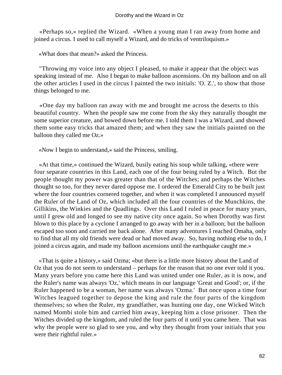«Perhaps so,» replied the Wizard. «When a young man I ran away from home and joined a circus. I used to call myself a Wizard, and do tricks of ventriloquism.»

«What does that mean?» asked the Princess.

 "Throwing my voice into any object I pleased, to make it appear that the object was speaking instead of me. Also I began to make balloon ascensions. On my balloon and on all the other articles I used in the circus I painted the two initials: 'O. Z.', to show that those things belonged to me.

 «One day my balloon ran away with me and brought me across the deserts to this beautiful country. When the people saw me come from the sky they naturally thought me some superior creature, and bowed down before me. I told them I was a Wizard, and showed them some easy tricks that amazed them; and when they saw the initials painted on the balloon they called me Oz.»

«Now I begin to understand,» said the Princess, smiling.

 «At that time,» continued the Wizard, busily eating his soup while talking, «there were four separate countries in this Land, each one of the four being ruled by a Witch. But the people thought my power was greater than that of the Witches; and perhaps the Witches thought so too, for they never dared oppose me. I ordered the Emerald City to be built just where the four countries cornered together, and when it was completed I announced myself the Ruler of the Land of Oz, which included all the four countries of the Munchkins, the Gillikins, the Winkies and the Quadlings. Over this Land I ruled in peace for many years, until I grew old and longed to see my native city once again. So when Dorothy was first blown to this place by a cyclone I arranged to go away with her in a balloon; but the balloon escaped too soon and carried me back alone. After many adventures I reached Omaha, only to find that all my old friends were dead or had moved away. So, having nothing else to do, I joined a circus again, and made my balloon ascensions until the earthquake caught me.»

 «That is quite a history,» said Ozma; «but there is a little more history about the Land of Oz that you do not seem to understand – perhaps for the reason that no one ever told it you. Many years before you came here this Land was united under one Ruler, as it is now, and the Ruler's name was always 'Oz,' which means in our language 'Great and Good'; or, if the Ruler happened to be a woman, her name was always 'Ozma.' But once upon a time four Witches leagued together to depose the king and rule the four parts of the kingdom themselves; so when the Ruler, my grandfather, was hunting one day, one Wicked Witch named Mombi stole him and carried him away, keeping him a close prisoner. Then the Witches divided up the kingdom, and ruled the four parts of it until you came here. That was why the people were so glad to see you, and why they thought from your initials that you were their rightful ruler.»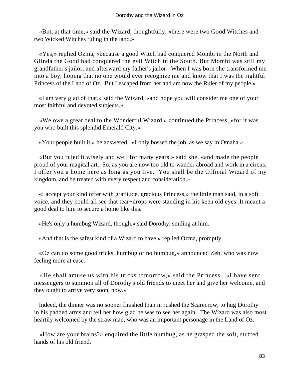«But, at that time,» said the Wizard, thoughtfully, «there were two Good Witches and two Wicked Witches ruling in the land.»

 «Yes,» replied Ozma, «because a good Witch had conquered Mombi in the North and Glinda the Good had conquered the evil Witch in the South. But Mombi was still my grandfather's jailor, and afterward my father's jailor. When I was born she transformed me into a boy, hoping that no one would ever recognize me and know that I was the rightful Princess of the Land of Oz. But I escaped from her and am now the Ruler of my people.»

 «I am very glad of that,» said the Wizard, «and hope you will consider me one of your most faithful and devoted subjects.»

 «We owe a great deal to the Wonderful Wizard,» continued the Princess, «for it was you who built this splendid Emerald City.»

«Your people built it,» he answered. «I only bossed the job, as we say in Omaha.»

 «But you ruled it wisely and well for many years,» said she, «and made the people proud of your magical art. So, as you are now too old to wander abroad and work in a circus, I offer you a home here as long as you live. You shall be the Official Wizard of my kingdom, and be treated with every respect and consideration.»

 «I accept your kind offer with gratitude, gracious Princess,» the little man said, in a soft voice, and they could all see that tear−drops were standing in his keen old eyes. It meant a good deal to him to secure a home like this.

«He's only a humbug Wizard, though,» said Dorothy, smiling at him.

«And that is the safest kind of a Wizard to have,» replied Ozma, promptly.

 «Oz can do some good tricks, humbug or no humbug,» announced Zeb, who was now feeling more at ease.

 «He shall amuse us with his tricks tomorrow,» said the Princess. «I have sent messengers to summon all of Dorothy's old friends to meet her and give her welcome, and they ought to arrive very soon, now.»

 Indeed, the dinner was no sooner finished than in rushed the Scarecrow, to hug Dorothy in his padded arms and tell her how glad he was to see her again. The Wizard was also most heartily welcomed by the straw man, who was an important personage in the Land of Oz.

 «How are your brains?» enquired the little humbug, as he grasped the soft, stuffed hands of his old friend.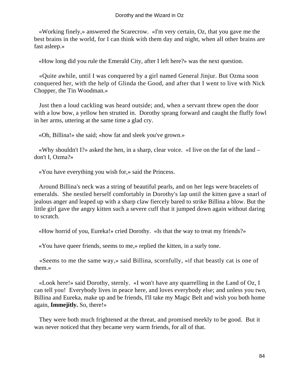«Working finely,» answered the Scarecrow. «I'm very certain, Oz, that you gave me the best brains in the world, for I can think with them day and night, when all other brains are fast asleep.»

«How long did you rule the Emerald City, after I left here?» was the next question.

 «Quite awhile, until I was conquered by a girl named General Jinjur. But Ozma soon conquered her, with the help of Glinda the Good, and after that I went to live with Nick Chopper, the Tin Woodman.»

 Just then a loud cackling was heard outside; and, when a servant threw open the door with a low bow, a yellow hen strutted in. Dorothy sprang forward and caught the fluffy fowl in her arms, uttering at the same time a glad cry.

«Oh, Billina!» she said; «how fat and sleek you've grown.»

 «Why shouldn't I?» asked the hen, in a sharp, clear voice. «I live on the fat of the land – don't I, Ozma?»

«You have everything you wish for,» said the Princess.

 Around Billina's neck was a string of beautiful pearls, and on her legs were bracelets of emeralds. She nestled herself comfortably in Dorothy's lap until the kitten gave a snarl of jealous anger and leaped up with a sharp claw fiercely bared to strike Billina a blow. But the little girl gave the angry kitten such a severe cuff that it jumped down again without daring to scratch.

«How horrid of you, Eureka!» cried Dorothy. «Is that the way to treat my friends?»

«You have queer friends, seems to me,» replied the kitten, in a surly tone.

 «Seems to me the same way,» said Billina, scornfully, «if that beastly cat is one of them.»

 «Look here!» said Dorothy, sternly. «I won't have any quarrelling in the Land of Oz, I can tell you! Everybody lives in peace here, and loves everybody else; and unless you two, Billina and Eureka, make up and be friends, I'll take my Magic Belt and wish you both home again, **Immejitly.** So, there!»

 They were both much frightened at the threat, and promised meekly to be good. But it was never noticed that they became very warm friends, for all of that.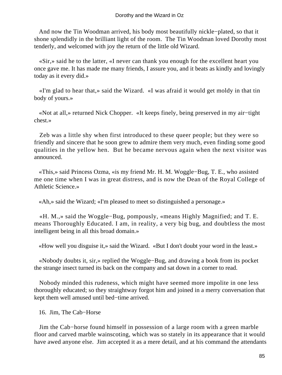And now the Tin Woodman arrived, his body most beautifully nickle−plated, so that it shone splendidly in the brilliant light of the room. The Tin Woodman loved Dorothy most tenderly, and welcomed with joy the return of the little old Wizard.

 «Sir,» said he to the latter, «I never can thank you enough for the excellent heart you once gave me. It has made me many friends, I assure you, and it beats as kindly and lovingly today as it every did.»

 «I'm glad to hear that,» said the Wizard. «I was afraid it would get moldy in that tin body of yours.»

 «Not at all,» returned Nick Chopper. «It keeps finely, being preserved in my air−tight chest.»

 Zeb was a little shy when first introduced to these queer people; but they were so friendly and sincere that he soon grew to admire them very much, even finding some good qualities in the yellow hen. But he became nervous again when the next visitor was announced.

 «This,» said Princess Ozma, «is my friend Mr. H. M. Woggle−Bug, T. E., who assisted me one time when I was in great distress, and is now the Dean of the Royal College of Athletic Science.»

«Ah,» said the Wizard; «I'm pleased to meet so distinguished a personage.»

 «H. M.,» said the Woggle−Bug, pompously, «means Highly Magnified; and T. E. means Thoroughly Educated. I am, in reality, a very big bug, and doubtless the most intelligent being in all this broad domain.»

«How well you disguise it,» said the Wizard. «But I don't doubt your word in the least.»

 «Nobody doubts it, sir,» replied the Woggle−Bug, and drawing a book from its pocket the strange insect turned its back on the company and sat down in a corner to read.

 Nobody minded this rudeness, which might have seemed more impolite in one less thoroughly educated; so they straightway forgot him and joined in a merry conversation that kept them well amused until bed−time arrived.

16. Jim, The Cab−Horse

 Jim the Cab−horse found himself in possession of a large room with a green marble floor and carved marble wainscoting, which was so stately in its appearance that it would have awed anyone else. Jim accepted it as a mere detail, and at his command the attendants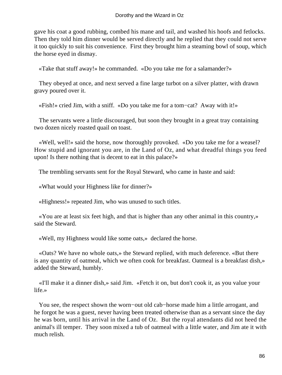gave his coat a good rubbing, combed his mane and tail, and washed his hoofs and fetlocks. Then they told him dinner would be served directly and he replied that they could not serve it too quickly to suit his convenience. First they brought him a steaming bowl of soup, which the horse eyed in dismay.

«Take that stuff away!» he commanded. «Do you take me for a salamander?»

 They obeyed at once, and next served a fine large turbot on a silver platter, with drawn gravy poured over it.

«Fish!» cried Jim, with a sniff. «Do you take me for a tom−cat? Away with it!»

 The servants were a little discouraged, but soon they brought in a great tray containing two dozen nicely roasted quail on toast.

 «Well, well!» said the horse, now thoroughly provoked. «Do you take me for a weasel? How stupid and ignorant you are, in the Land of Oz, and what dreadful things you feed upon! Is there nothing that is decent to eat in this palace?»

The trembling servants sent for the Royal Steward, who came in haste and said:

«What would your Highness like for dinner?»

«Highness!» repeated Jim, who was unused to such titles.

 «You are at least six feet high, and that is higher than any other animal in this country,» said the Steward.

«Well, my Highness would like some oats,» declared the horse.

 «Oats? We have no whole oats,» the Steward replied, with much deference. «But there is any quantity of oatmeal, which we often cook for breakfast. Oatmeal is a breakfast dish,» added the Steward, humbly.

 «I'll make it a dinner dish,» said Jim. «Fetch it on, but don't cook it, as you value your life.»

 You see, the respect shown the worn−out old cab−horse made him a little arrogant, and he forgot he was a guest, never having been treated otherwise than as a servant since the day he was born, until his arrival in the Land of Oz. But the royal attendants did not heed the animal's ill temper. They soon mixed a tub of oatmeal with a little water, and Jim ate it with much relish.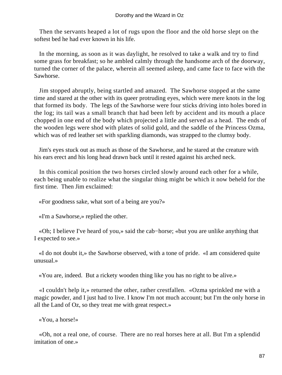Then the servants heaped a lot of rugs upon the floor and the old horse slept on the softest bed he had ever known in his life.

 In the morning, as soon as it was daylight, he resolved to take a walk and try to find some grass for breakfast; so he ambled calmly through the handsome arch of the doorway, turned the corner of the palace, wherein all seemed asleep, and came face to face with the Sawhorse.

 Jim stopped abruptly, being startled and amazed. The Sawhorse stopped at the same time and stared at the other with its queer protruding eyes, which were mere knots in the log that formed its body. The legs of the Sawhorse were four sticks driving into holes bored in the log; its tail was a small branch that had been left by accident and its mouth a place chopped in one end of the body which projected a little and served as a head. The ends of the wooden legs were shod with plates of solid gold, and the saddle of the Princess Ozma, which was of red leather set with sparkling diamonds, was strapped to the clumsy body.

 Jim's eyes stuck out as much as those of the Sawhorse, and he stared at the creature with his ears erect and his long head drawn back until it rested against his arched neck.

 In this comical position the two horses circled slowly around each other for a while, each being unable to realize what the singular thing might be which it now beheld for the first time. Then Jim exclaimed:

«For goodness sake, what sort of a being are you?»

«I'm a Sawhorse,» replied the other.

 «Oh; I believe I've heard of you,» said the cab−horse; «but you are unlike anything that I expected to see.»

 «I do not doubt it,» the Sawhorse observed, with a tone of pride. «I am considered quite unusual.»

«You are, indeed. But a rickety wooden thing like you has no right to be alive.»

 «I couldn't help it,» returned the other, rather crestfallen. «Ozma sprinkled me with a magic powder, and I just had to live. I know I'm not much account; but I'm the only horse in all the Land of Oz, so they treat me with great respect.»

«You, a horse!»

 «Oh, not a real one, of course. There are no real horses here at all. But I'm a splendid imitation of one.»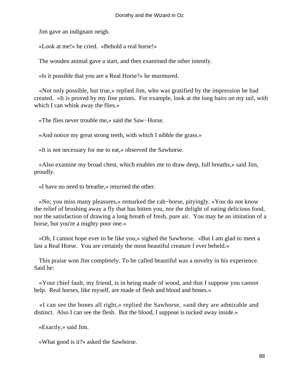Jim gave an indignant neigh.

«Look at me!» he cried. «Behold a real horse!»

The wooden animal gave a start, and then examined the other intently.

«Is it possible that you are a Real Horse?» he murmured.

 «Not only possible, but true,» replied Jim, who was gratified by the impression he had created. «It is proved by my fine points. For example, look at the long hairs on my tail, with which I can whisk away the flies.»

«The flies never trouble me,» said the Saw−Horse.

«And notice my great strong teeth, with which I nibble the grass.»

«It is not necessary for me to eat,» observed the Sawhorse.

 «Also examine my broad chest, which enables me to draw deep, full breaths,» said Jim, proudly.

«I have no need to breathe,» returned the other.

 «No; you miss many pleasures,» remarked the cab−horse, pityingly. «You do not know the relief of brushing away a fly that has bitten you, nor the delight of eating delicious food, nor the satisfaction of drawing a long breath of fresh, pure air. You may be an imitation of a horse, but you're a mighty poor one.»

 «Oh, I cannot hope ever to be like you,» sighed the Sawhorse. «But I am glad to meet a last a Real Horse. You are certainly the most beautiful creature I ever beheld.»

 This praise won Jim completely. To be called beautiful was a novelty in his experience. Said he:

 «Your chief fault, my friend, is in being made of wood, and that I suppose you cannot help. Real horses, like myself, are made of flesh and blood and bones.»

 «I can see the bones all right,» replied the Sawhorse, «and they are admirable and distinct. Also I can see the flesh. But the blood, I suppose is tucked away inside.»

«Exactly,» said Jim.

«What good is it?» asked the Sawhorse.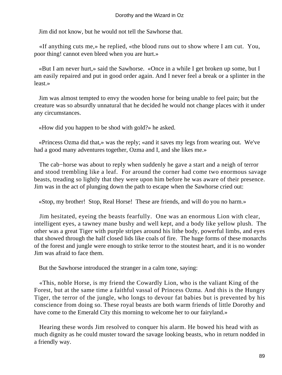Jim did not know, but he would not tell the Sawhorse that.

 «If anything cuts me,» he replied, «the blood runs out to show where I am cut. You, poor thing! cannot even bleed when you are hurt.»

 «But I am never hurt,» said the Sawhorse. «Once in a while I get broken up some, but I am easily repaired and put in good order again. And I never feel a break or a splinter in the least.»

 Jim was almost tempted to envy the wooden horse for being unable to feel pain; but the creature was so absurdly unnatural that he decided he would not change places with it under any circumstances.

«How did you happen to be shod with gold?» he asked.

 «Princess Ozma did that,» was the reply; «and it saves my legs from wearing out. We've had a good many adventures together, Ozma and I, and she likes me.»

 The cab−horse was about to reply when suddenly he gave a start and a neigh of terror and stood trembling like a leaf. For around the corner had come two enormous savage beasts, treading so lightly that they were upon him before he was aware of their presence. Jim was in the act of plunging down the path to escape when the Sawhorse cried out:

«Stop, my brother! Stop, Real Horse! These are friends, and will do you no harm.»

 Jim hesitated, eyeing the beasts fearfully. One was an enormous Lion with clear, intelligent eyes, a tawney mane bushy and well kept, and a body like yellow plush. The other was a great Tiger with purple stripes around his lithe body, powerful limbs, and eyes that showed through the half closed lids like coals of fire. The huge forms of these monarchs of the forest and jungle were enough to strike terror to the stoutest heart, and it is no wonder Jim was afraid to face them.

But the Sawhorse introduced the stranger in a calm tone, saying:

 «This, noble Horse, is my friend the Cowardly Lion, who is the valiant King of the Forest, but at the same time a faithful vassal of Princess Ozma. And this is the Hungry Tiger, the terror of the jungle, who longs to devour fat babies but is prevented by his conscience from doing so. These royal beasts are both warm friends of little Dorothy and have come to the Emerald City this morning to welcome her to our fairyland.»

 Hearing these words Jim resolved to conquer his alarm. He bowed his head with as much dignity as he could muster toward the savage looking beasts, who in return nodded in a friendly way.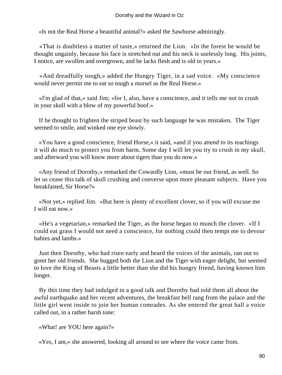«Is not the Real Horse a beautiful animal?» asked the Sawhorse admiringly.

 «That is doubtless a matter of taste,» returned the Lion. «In the forest he would be thought ungainly, because his face is stretched out and his neck is uselessly long. His joints, I notice, are swollen and overgrown, and he lacks flesh and is old in years.»

 «And dreadfully tough,» added the Hungry Tiger, in a sad voice. «My conscience would never permit me to eat so tough a morsel as the Real Horse.»

 «I'm glad of that,» said Jim; «for I, also, have a conscience, and it tells me not to crush in your skull with a blow of my powerful hoof.»

 If he thought to frighten the striped beast by such language he was mistaken. The Tiger seemed to smile, and winked one eye slowly.

 «You have a good conscience, friend Horse,» it said, «and if you attend to its teachings it will do much to protect you from harm. Some day I will let you try to crush in my skull, and afterward you will know more about tigers than you do now.»

 «Any friend of Dorothy,» remarked the Cowardly Lion, «must be our friend, as well. So let us cease this talk of skull crushing and converse upon more pleasant subjects. Have you breakfasted, Sir Horse?»

 «Not yet,» replied Jim. «But here is plenty of excellent clover, so if you will excuse me I will eat now.»

 «He's a vegetarian,» remarked the Tiger, as the horse began to munch the clover. «If I could eat grass I would not need a conscience, for nothing could then tempt me to devour babies and lambs.»

 Just then Dorothy, who had risen early and heard the voices of the animals, ran out to greet her old friends. She hugged both the Lion and the Tiger with eager delight, but seemed to love the King of Beasts a little better than she did his hungry friend, having known him longer.

 By this time they had indulged in a good talk and Dorothy had told them all about the awful earthquake and her recent adventures, the breakfast bell rang from the palace and the little girl went inside to join her human comrades. As she entered the great hall a voice called out, in a rather harsh tone:

«What! are YOU here again?»

«Yes, I am,» she answered, looking all around to see where the voice came from.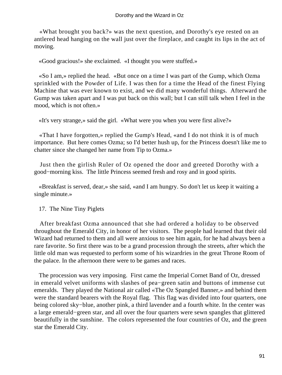«What brought you back?» was the next question, and Dorothy's eye rested on an antlered head hanging on the wall just over the fireplace, and caught its lips in the act of moving.

«Good gracious!» she exclaimed. «I thought you were stuffed.»

 «So I am,» replied the head. «But once on a time I was part of the Gump, which Ozma sprinkled with the Powder of Life. I was then for a time the Head of the finest Flying Machine that was ever known to exist, and we did many wonderful things. Afterward the Gump was taken apart and I was put back on this wall; but I can still talk when I feel in the mood, which is not often.»

«It's very strange,» said the girl. «What were you when you were first alive?»

 «That I have forgotten,» replied the Gump's Head, «and I do not think it is of much importance. But here comes Ozma; so I'd better hush up, for the Princess doesn't like me to chatter since she changed her name from Tip to Ozma.»

 Just then the girlish Ruler of Oz opened the door and greeted Dorothy with a good−morning kiss. The little Princess seemed fresh and rosy and in good spirits.

 «Breakfast is served, dear,» she said, «and I am hungry. So don't let us keep it waiting a single minute.»

17. The Nine Tiny Piglets

 After breakfast Ozma announced that she had ordered a holiday to be observed throughout the Emerald City, in honor of her visitors. The people had learned that their old Wizard had returned to them and all were anxious to see him again, for he had always been a rare favorite. So first there was to be a grand procession through the streets, after which the little old man was requested to perform some of his wizardries in the great Throne Room of the palace. In the afternoon there were to be games and races.

 The procession was very imposing. First came the Imperial Cornet Band of Oz, dressed in emerald velvet uniforms with slashes of pea−green satin and buttons of immense cut emeralds. They played the National air called «The Oz Spangled Banner,» and behind them were the standard bearers with the Royal flag. This flag was divided into four quarters, one being colored sky−blue, another pink, a third lavender and a fourth white. In the center was a large emerald−green star, and all over the four quarters were sewn spangles that glittered beautifully in the sunshine. The colors represented the four countries of Oz, and the green star the Emerald City.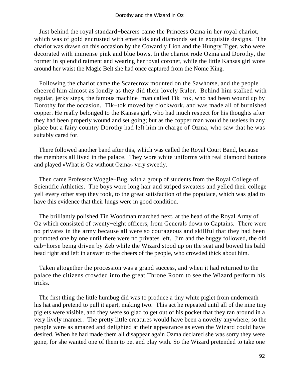Just behind the royal standard−bearers came the Princess Ozma in her royal chariot, which was of gold encrusted with emeralds and diamonds set in exquisite designs. The chariot was drawn on this occasion by the Cowardly Lion and the Hungry Tiger, who were decorated with immense pink and blue bows. In the chariot rode Ozma and Dorothy, the former in splendid raiment and wearing her royal coronet, while the little Kansas girl wore around her waist the Magic Belt she had once captured from the Nome King.

 Following the chariot came the Scarecrow mounted on the Sawhorse, and the people cheered him almost as loudly as they did their lovely Ruler. Behind him stalked with regular, jerky steps, the famous machine−man called Tik−tok, who had been wound up by Dorothy for the occasion. Tik−tok moved by clockwork, and was made all of burnished copper. He really belonged to the Kansas girl, who had much respect for his thoughts after they had been properly wound and set going; but as the copper man would be useless in any place but a fairy country Dorothy had left him in charge of Ozma, who saw that he was suitably cared for.

 There followed another band after this, which was called the Royal Court Band, because the members all lived in the palace. They wore white uniforms with real diamond buttons and played «What is Oz without Ozma» very sweetly.

 Then came Professor Woggle−Bug, with a group of students from the Royal College of Scientific Athletics. The boys wore long hair and striped sweaters and yelled their college yell every other step they took, to the great satisfaction of the populace, which was glad to have this evidence that their lungs were in good condition.

 The brilliantly polished Tin Woodman marched next, at the head of the Royal Army of Oz which consisted of twenty−eight officers, from Generals down to Captains. There were no privates in the army because all were so courageous and skillful that they had been promoted one by one until there were no privates left. Jim and the buggy followed, the old cab−horse being driven by Zeb while the Wizard stood up on the seat and bowed his bald head right and left in answer to the cheers of the people, who crowded thick about him.

 Taken altogether the procession was a grand success, and when it had returned to the palace the citizens crowded into the great Throne Room to see the Wizard perform his tricks.

 The first thing the little humbug did was to produce a tiny white piglet from underneath his hat and pretend to pull it apart, making two. This act he repeated until all of the nine tiny piglets were visible, and they were so glad to get out of his pocket that they ran around in a very lively manner. The pretty little creatures would have been a novelty anywhere, so the people were as amazed and delighted at their appearance as even the Wizard could have desired. When he had made them all disappear again Ozma declared she was sorry they were gone, for she wanted one of them to pet and play with. So the Wizard pretended to take one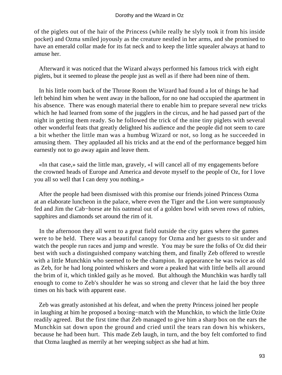of the piglets out of the hair of the Princess (while really he slyly took it from his inside pocket) and Ozma smiled joyously as the creature nestled in her arms, and she promised to have an emerald collar made for its fat neck and to keep the little squealer always at hand to amuse her.

 Afterward it was noticed that the Wizard always performed his famous trick with eight piglets, but it seemed to please the people just as well as if there had been nine of them.

 In his little room back of the Throne Room the Wizard had found a lot of things he had left behind him when he went away in the balloon, for no one had occupied the apartment in his absence. There was enough material there to enable him to prepare several new tricks which he had learned from some of the jugglers in the circus, and he had passed part of the night in getting them ready. So he followed the trick of the nine tiny piglets with several other wonderful feats that greatly delighted his audience and the people did not seem to care a bit whether the little man was a humbug Wizard or not, so long as he succeeded in amusing them. They applauded all his tricks and at the end of the performance begged him earnestly not to go away again and leave them.

 «In that case,» said the little man, gravely, «I will cancel all of my engagements before the crowned heads of Europe and America and devote myself to the people of Oz, for I love you all so well that I can deny you nothing.»

 After the people had been dismissed with this promise our friends joined Princess Ozma at an elaborate luncheon in the palace, where even the Tiger and the Lion were sumptuously fed and Jim the Cab−horse ate his oatmeal out of a golden bowl with seven rows of rubies, sapphires and diamonds set around the rim of it.

 In the afternoon they all went to a great field outside the city gates where the games were to be held. There was a beautiful canopy for Ozma and her guests to sit under and watch the people run races and jump and wrestle. You may be sure the folks of Oz did their best with such a distinguished company watching them, and finally Zeb offered to wrestle with a little Munchkin who seemed to be the champion. In appearance he was twice as old as Zeb, for he had long pointed whiskers and wore a peaked hat with little bells all around the brim of it, which tinkled gaily as he moved. But although the Munchkin was hardly tall enough to come to Zeb's shoulder he was so strong and clever that he laid the boy three times on his back with apparent ease.

 Zeb was greatly astonished at his defeat, and when the pretty Princess joined her people in laughing at him he proposed a boxing−match with the Munchkin, to which the little Ozite readily agreed. But the first time that Zeb managed to give him a sharp box on the ears the Munchkin sat down upon the ground and cried until the tears ran down his whiskers, because he had been hurt. This made Zeb laugh, in turn, and the boy felt comforted to find that Ozma laughed as merrily at her weeping subject as she had at him.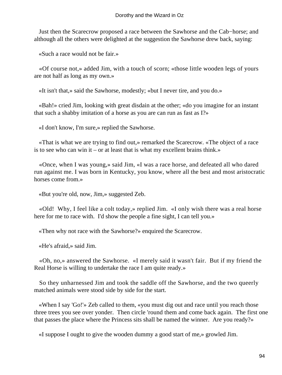Just then the Scarecrow proposed a race between the Sawhorse and the Cab−horse; and although all the others were delighted at the suggestion the Sawhorse drew back, saying:

«Such a race would not be fair.»

 «Of course not,» added Jim, with a touch of scorn; «those little wooden legs of yours are not half as long as my own.»

«It isn't that,» said the Sawhorse, modestly; «but I never tire, and you do.»

 «Bah!» cried Jim, looking with great disdain at the other; «do you imagine for an instant that such a shabby imitation of a horse as you are can run as fast as I?»

«I don't know, I'm sure,» replied the Sawhorse.

 «That is what we are trying to find out,» remarked the Scarecrow. «The object of a race is to see who can win it – or at least that is what my excellent brains think.»

 «Once, when I was young,» said Jim, «I was a race horse, and defeated all who dared run against me. I was born in Kentucky, you know, where all the best and most aristocratic horses come from.»

«But you're old, now, Jim,» suggested Zeb.

 «Old! Why, I feel like a colt today,» replied Jim. «I only wish there was a real horse here for me to race with. I'd show the people a fine sight, I can tell you.»

«Then why not race with the Sawhorse?» enquired the Scarecrow.

«He's afraid,» said Jim.

 «Oh, no,» answered the Sawhorse. «I merely said it wasn't fair. But if my friend the Real Horse is willing to undertake the race I am quite ready.»

 So they unharnessed Jim and took the saddle off the Sawhorse, and the two queerly matched animals were stood side by side for the start.

 «When I say 'Go!'» Zeb called to them, «you must dig out and race until you reach those three trees you see over yonder. Then circle 'round them and come back again. The first one that passes the place where the Princess sits shall be named the winner. Are you ready?»

«I suppose I ought to give the wooden dummy a good start of me,» growled Jim.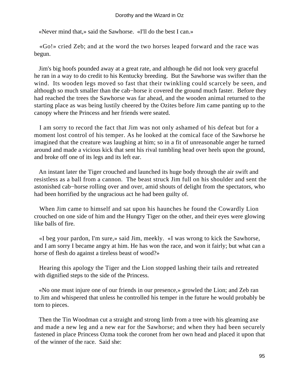«Never mind that,» said the Sawhorse. «I'll do the best I can.»

 «Go!» cried Zeb; and at the word the two horses leaped forward and the race was begun.

 Jim's big hoofs pounded away at a great rate, and although he did not look very graceful he ran in a way to do credit to his Kentucky breeding. But the Sawhorse was swifter than the wind. Its wooden legs moved so fast that their twinkling could scarcely be seen, and although so much smaller than the cab−horse it covered the ground much faster. Before they had reached the trees the Sawhorse was far ahead, and the wooden animal returned to the starting place as was being lustily cheered by the Ozites before Jim came panting up to the canopy where the Princess and her friends were seated.

 I am sorry to record the fact that Jim was not only ashamed of his defeat but for a moment lost control of his temper. As he looked at the comical face of the Sawhorse he imagined that the creature was laughing at him; so in a fit of unreasonable anger he turned around and made a vicious kick that sent his rival tumbling head over heels upon the ground, and broke off one of its legs and its left ear.

 An instant later the Tiger crouched and launched its huge body through the air swift and resistless as a ball from a cannon. The beast struck Jim full on his shoulder and sent the astonished cab−horse rolling over and over, amid shouts of delight from the spectators, who had been horrified by the ungracious act he had been guilty of.

 When Jim came to himself and sat upon his haunches he found the Cowardly Lion crouched on one side of him and the Hungry Tiger on the other, and their eyes were glowing like balls of fire.

 «I beg your pardon, I'm sure,» said Jim, meekly. «I was wrong to kick the Sawhorse, and I am sorry I became angry at him. He has won the race, and won it fairly; but what can a horse of flesh do against a tireless beast of wood?»

 Hearing this apology the Tiger and the Lion stopped lashing their tails and retreated with dignified steps to the side of the Princess.

 «No one must injure one of our friends in our presence,» growled the Lion; and Zeb ran to Jim and whispered that unless he controlled his temper in the future he would probably be torn to pieces.

 Then the Tin Woodman cut a straight and strong limb from a tree with his gleaming axe and made a new leg and a new ear for the Sawhorse; and when they had been securely fastened in place Princess Ozma took the coronet from her own head and placed it upon that of the winner of the race. Said she: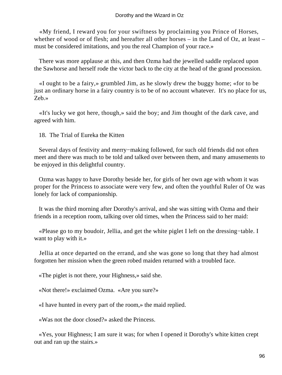«My friend, I reward you for your swiftness by proclaiming you Prince of Horses, whether of wood or of flesh; and hereafter all other horses – in the Land of Oz, at least – must be considered imitations, and you the real Champion of your race.»

 There was more applause at this, and then Ozma had the jewelled saddle replaced upon the Sawhorse and herself rode the victor back to the city at the head of the grand procession.

 «I ought to be a fairy,» grumbled Jim, as he slowly drew the buggy home; «for to be just an ordinary horse in a fairy country is to be of no account whatever. It's no place for us, Zeb.»

 «It's lucky we got here, though,» said the boy; and Jim thought of the dark cave, and agreed with him.

18. The Trial of Eureka the Kitten

 Several days of festivity and merry−making followed, for such old friends did not often meet and there was much to be told and talked over between them, and many amusements to be enjoyed in this delightful country.

 Ozma was happy to have Dorothy beside her, for girls of her own age with whom it was proper for the Princess to associate were very few, and often the youthful Ruler of Oz was lonely for lack of companionship.

 It was the third morning after Dorothy's arrival, and she was sitting with Ozma and their friends in a reception room, talking over old times, when the Princess said to her maid:

 «Please go to my boudoir, Jellia, and get the white piglet I left on the dressing−table. I want to play with it.»

 Jellia at once departed on the errand, and she was gone so long that they had almost forgotten her mission when the green robed maiden returned with a troubled face.

«The piglet is not there, your Highness,» said she.

«Not there!» exclaimed Ozma. «Are you sure?»

«I have hunted in every part of the room,» the maid replied.

«Was not the door closed?» asked the Princess.

 «Yes, your Highness; I am sure it was; for when I opened it Dorothy's white kitten crept out and ran up the stairs.»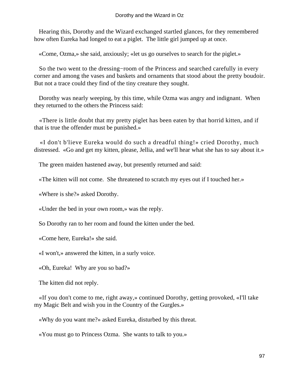Hearing this, Dorothy and the Wizard exchanged startled glances, for they remembered how often Eureka had longed to eat a piglet. The little girl jumped up at once.

«Come, Ozma,» she said, anxiously; «let us go ourselves to search for the piglet.»

 So the two went to the dressing−room of the Princess and searched carefully in every corner and among the vases and baskets and ornaments that stood about the pretty boudoir. But not a trace could they find of the tiny creature they sought.

 Dorothy was nearly weeping, by this time, while Ozma was angry and indignant. When they returned to the others the Princess said:

 «There is little doubt that my pretty piglet has been eaten by that horrid kitten, and if that is true the offender must be punished.»

 «I don't b'lieve Eureka would do such a dreadful thing!» cried Dorothy, much distressed. «Go and get my kitten, please, Jellia, and we'll hear what she has to say about it.»

The green maiden hastened away, but presently returned and said:

«The kitten will not come. She threatened to scratch my eyes out if I touched her.»

«Where is she?» asked Dorothy.

«Under the bed in your own room,» was the reply.

So Dorothy ran to her room and found the kitten under the bed.

«Come here, Eureka!» she said.

«I won't,» answered the kitten, in a surly voice.

«Oh, Eureka! Why are you so bad?»

The kitten did not reply.

 «If you don't come to me, right away,» continued Dorothy, getting provoked, «I'll take my Magic Belt and wish you in the Country of the Gurgles.»

«Why do you want me?» asked Eureka, disturbed by this threat.

«You must go to Princess Ozma. She wants to talk to you.»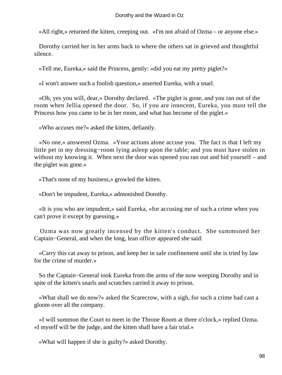«All right,» returned the kitten, creeping out. «I'm not afraid of Ozma – or anyone else.»

 Dorothy carried her in her arms back to where the others sat in grieved and thoughtful silence.

«Tell me, Eureka,» said the Princess, gently: «did you eat my pretty piglet?»

«I won't answer such a foolish question,» asserted Eureka, with a snarl.

 «Oh, yes you will, dear,» Dorothy declared. «The piglet is gone, and you ran out of the room when Jellia opened the door. So, if you are innocent, Eureka, you must tell the Princess how you came to be in her room, and what has become of the piglet.»

«Who accuses me?» asked the kitten, defiantly.

 «No one,» answered Ozma. «Your actions alone accuse you. The fact is that I left my little pet in my dressing−room lying asleep upon the table; and you must have stolen in without my knowing it. When next the door was opened you ran out and hid yourself – and the piglet was gone.»

«That's none of my business,» growled the kitten.

«Don't be impudent, Eureka,» admonished Dorothy.

 «It is you who are impudent,» said Eureka, «for accusing me of such a crime when you can't prove it except by guessing.»

 Ozma was now greatly incensed by the kitten's conduct. She summoned her Captain−General, and when the long, lean officer appeared she said:

 «Carry this cat away to prison, and keep her in safe confinement until she is tried by law for the crime of murder.»

 So the Captain−General took Eureka from the arms of the now weeping Dorothy and in spite of the kitten's snarls and scratches carried it away to prison.

 «What shall we do now?» asked the Scarecrow, with a sigh, for such a crime had cast a gloom over all the company.

 «I will summon the Court to meet in the Throne Room at three o'clock,» replied Ozma. «I myself will be the judge, and the kitten shall have a fair trial.»

«What will happen if she is guilty?» asked Dorothy.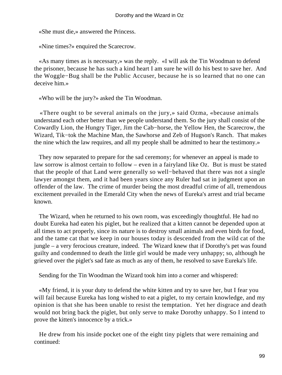«She must die,» answered the Princess.

«Nine times?» enquired the Scarecrow.

 «As many times as is necessary,» was the reply. «I will ask the Tin Woodman to defend the prisoner, because he has such a kind heart I am sure he will do his best to save her. And the Woggle−Bug shall be the Public Accuser, because he is so learned that no one can deceive him.»

«Who will be the jury?» asked the Tin Woodman.

 «There ought to be several animals on the jury,» said Ozma, «because animals understand each other better than we people understand them. So the jury shall consist of the Cowardly Lion, the Hungry Tiger, Jim the Cab−horse, the Yellow Hen, the Scarecrow, the Wizard, Tik−tok the Machine Man, the Sawhorse and Zeb of Hugson's Ranch. That makes the nine which the law requires, and all my people shall be admitted to hear the testimony.»

 They now separated to prepare for the sad ceremony; for whenever an appeal is made to law sorrow is almost certain to follow – even in a fairyland like Oz. But is must be stated that the people of that Land were generally so well−behaved that there was not a single lawyer amongst them, and it had been years since any Ruler had sat in judgment upon an offender of the law. The crime of murder being the most dreadful crime of all, tremendous excitement prevailed in the Emerald City when the news of Eureka's arrest and trial became known.

 The Wizard, when he returned to his own room, was exceedingly thoughtful. He had no doubt Eureka had eaten his piglet, but he realized that a kitten cannot be depended upon at all times to act properly, since its nature is to destroy small animals and even birds for food, and the tame cat that we keep in our houses today is descended from the wild cat of the jungle – a very ferocious creature, indeed. The Wizard knew that if Dorothy's pet was found guilty and condemned to death the little girl would be made very unhappy; so, although he grieved over the piglet's sad fate as much as any of them, he resolved to save Eureka's life.

Sending for the Tin Woodman the Wizard took him into a corner and whispered:

 «My friend, it is your duty to defend the white kitten and try to save her, but I fear you will fail because Eureka has long wished to eat a piglet, to my certain knowledge, and my opinion is that she has been unable to resist the temptation. Yet her disgrace and death would not bring back the piglet, but only serve to make Dorothy unhappy. So I intend to prove the kitten's innocence by a trick.»

 He drew from his inside pocket one of the eight tiny piglets that were remaining and continued: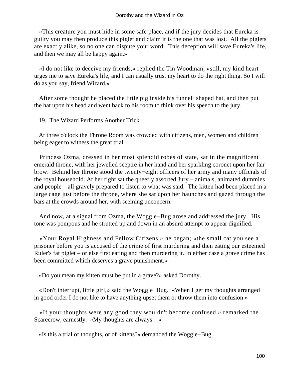«This creature you must hide in some safe place, and if the jury decides that Eureka is guilty you may then produce this piglet and claim it is the one that was lost. All the piglets are exactly alike, so no one can dispute your word. This deception will save Eureka's life, and then we may all be happy again.»

 «I do not like to deceive my friends,» replied the Tin Woodman; «still, my kind heart urges me to save Eureka's life, and I can usually trust my heart to do the right thing. So I will do as you say, friend Wizard.»

 After some thought he placed the little pig inside his funnel−shaped hat, and then put the hat upon his head and went back to his room to think over his speech to the jury.

19. The Wizard Performs Another Trick

 At three o'clock the Throne Room was crowded with citizens, men, women and children being eager to witness the great trial.

 Princess Ozma, dressed in her most splendid robes of state, sat in the magnificent emerald throne, with her jewelled sceptre in her hand and her sparkling coronet upon her fair brow. Behind her throne stood the twenty−eight officers of her army and many officials of the royal household. At her right sat the queerly assorted Jury – animals, animated dummies and people – all gravely prepared to listen to what was said. The kitten had been placed in a large cage just before the throne, where she sat upon her haunches and gazed through the bars at the crowds around her, with seeming unconcern.

 And now, at a signal from Ozma, the Woggle−Bug arose and addressed the jury. His tone was pompous and he strutted up and down in an absurd attempt to appear dignified.

 «Your Royal Highness and Fellow Citizens,» he began; «the small cat you see a prisoner before you is accused of the crime of first murdering and then eating our esteemed Ruler's fat piglet – or else first eating and then murdering it. In either case a grave crime has been committed which deserves a grave punishment.»

«Do you mean my kitten must be put in a grave?» asked Dorothy.

 «Don't interrupt, little girl,» said the Woggle−Bug. «When I get my thoughts arranged in good order I do not like to have anything upset them or throw them into confusion.»

 «If your thoughts were any good they wouldn't become confused,» remarked the Scarecrow, earnestly. «My thoughts are always  $-\infty$ 

«Is this a trial of thoughts, or of kittens?» demanded the Woggle−Bug.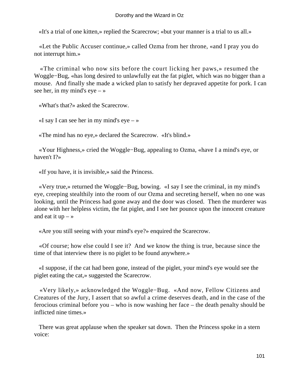«It's a trial of one kitten,» replied the Scarecrow; «but your manner is a trial to us all.»

 «Let the Public Accuser continue,» called Ozma from her throne, «and I pray you do not interrupt him.»

 «The criminal who now sits before the court licking her paws,» resumed the Woggle−Bug, «has long desired to unlawfully eat the fat piglet, which was no bigger than a mouse. And finally she made a wicked plan to satisfy her depraved appetite for pork. I can see her, in my mind's  $eye - \gg$ 

«What's that?» asked the Scarecrow.

«I say I can see her in my mind's  $eye -$ »

«The mind has no eye,» declared the Scarecrow. «It's blind.»

 «Your Highness,» cried the Woggle−Bug, appealing to Ozma, «have I a mind's eye, or haven't I?»

«If you have, it is invisible,» said the Princess.

 «Very true,» returned the Woggle−Bug, bowing. «I say I see the criminal, in my mind's eye, creeping stealthily into the room of our Ozma and secreting herself, when no one was looking, until the Princess had gone away and the door was closed. Then the murderer was alone with her helpless victim, the fat piglet, and I see her pounce upon the innocent creature and eat it  $up - \ast$ 

«Are you still seeing with your mind's eye?» enquired the Scarecrow.

 «Of course; how else could I see it? And we know the thing is true, because since the time of that interview there is no piglet to be found anywhere.»

 «I suppose, if the cat had been gone, instead of the piglet, your mind's eye would see the piglet eating the cat,» suggested the Scarecrow.

 «Very likely,» acknowledged the Woggle−Bug. «And now, Fellow Citizens and Creatures of the Jury, I assert that so awful a crime deserves death, and in the case of the ferocious criminal before you – who is now washing her face – the death penalty should be inflicted nine times.»

 There was great applause when the speaker sat down. Then the Princess spoke in a stern voice: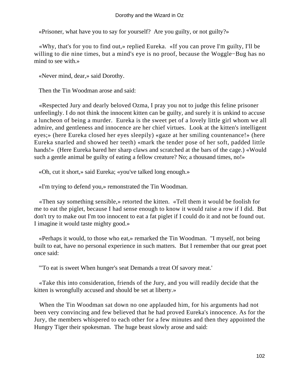«Prisoner, what have you to say for yourself? Are you guilty, or not guilty?»

 «Why, that's for you to find out,» replied Eureka. «If you can prove I'm guilty, I'll be willing to die nine times, but a mind's eye is no proof, because the Woggle−Bug has no mind to see with.»

«Never mind, dear,» said Dorothy.

Then the Tin Woodman arose and said:

 «Respected Jury and dearly beloved Ozma, I pray you not to judge this feline prisoner unfeelingly. I do not think the innocent kitten can be guilty, and surely it is unkind to accuse a luncheon of being a murder. Eureka is the sweet pet of a lovely little girl whom we all admire, and gentleness and innocence are her chief virtues. Look at the kitten's intelligent eyes;» (here Eureka closed her eyes sleepily) «gaze at her smiling countenance!» (here Eureka snarled and showed her teeth) «mark the tender pose of her soft, padded little hands!» (Here Eureka bared her sharp claws and scratched at the bars of the cage.) «Would such a gentle animal be guilty of eating a fellow creature? No; a thousand times, no!»

«Oh, cut it short,» said Eureka; «you've talked long enough.»

«I'm trying to defend you,» remonstrated the Tin Woodman.

 «Then say something sensible,» retorted the kitten. «Tell them it would be foolish for me to eat the piglet, because I had sense enough to know it would raise a row if I did. But don't try to make out I'm too innocent to eat a fat piglet if I could do it and not be found out. I imagine it would taste mighty good.»

 «Perhaps it would, to those who eat,» remarked the Tin Woodman. "I myself, not being built to eat, have no personal experience in such matters. But I remember that our great poet once said:

"'To eat is sweet When hunger's seat Demands a treat Of savory meat.'

 «Take this into consideration, friends of the Jury, and you will readily decide that the kitten is wrongfully accused and should be set at liberty.»

 When the Tin Woodman sat down no one applauded him, for his arguments had not been very convincing and few believed that he had proved Eureka's innocence. As for the Jury, the members whispered to each other for a few minutes and then they appointed the Hungry Tiger their spokesman. The huge beast slowly arose and said: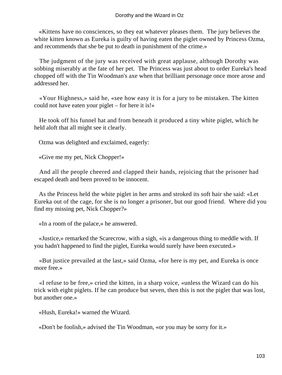«Kittens have no consciences, so they eat whatever pleases them. The jury believes the white kitten known as Eureka is guilty of having eaten the piglet owned by Princess Ozma, and recommends that she be put to death in punishment of the crime.»

 The judgment of the jury was received with great applause, although Dorothy was sobbing miserably at the fate of her pet. The Princess was just about to order Eureka's head chopped off with the Tin Woodman's axe when that brilliant personage once more arose and addressed her.

 «Your Highness,» said he, «see how easy it is for a jury to be mistaken. The kitten could not have eaten your piglet – for here it is!»

 He took off his funnel hat and from beneath it produced a tiny white piglet, which he held aloft that all might see it clearly.

Ozma was delighted and exclaimed, eagerly:

«Give me my pet, Nick Chopper!»

 And all the people cheered and clapped their hands, rejoicing that the prisoner had escaped death and been proved to be innocent.

 As the Princess held the white piglet in her arms and stroked its soft hair she said: «Let Eureka out of the cage, for she is no longer a prisoner, but our good friend. Where did you find my missing pet, Nick Chopper?»

«In a room of the palace,» he answered.

 «Justice,» remarked the Scarecrow, with a sigh, «is a dangerous thing to meddle with. If you hadn't happened to find the piglet, Eureka would surely have been executed.»

 «But justice prevailed at the last,» said Ozma, «for here is my pet, and Eureka is once more free.»

 «I refuse to be free,» cried the kitten, in a sharp voice, «unless the Wizard can do his trick with eight piglets. If he can produce but seven, then this is not the piglet that was lost, but another one.»

«Hush, Eureka!» warned the Wizard.

«Don't be foolish,» advised the Tin Woodman, «or you may be sorry for it.»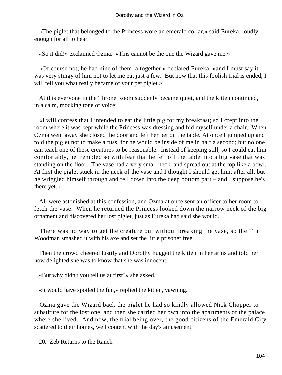«The piglet that belonged to the Princess wore an emerald collar,» said Eureka, loudly enough for all to hear.

«So it did!» exclaimed Ozma. «This cannot be the one the Wizard gave me.»

 «Of course not; he had nine of them, altogether,» declared Eureka; «and I must say it was very stingy of him not to let me eat just a few. But now that this foolish trial is ended, I will tell you what really became of your pet piglet.»

 At this everyone in the Throne Room suddenly became quiet, and the kitten continued, in a calm, mocking tone of voice:

 «I will confess that I intended to eat the little pig for my breakfast; so I crept into the room where it was kept while the Princess was dressing and hid myself under a chair. When Ozma went away she closed the door and left her pet on the table. At once I jumped up and told the piglet not to make a fuss, for he would be inside of me in half a second; but no one can teach one of these creatures to be reasonable. Instead of keeping still, so I could eat him comfortably, he trembled so with fear that he fell off the table into a big vase that was standing on the floor. The vase had a very small neck, and spread out at the top like a bowl. At first the piglet stuck in the neck of the vase and I thought I should get him, after all, but he wriggled himself through and fell down into the deep bottom part – and I suppose he's there yet.»

 All were astonished at this confession, and Ozma at once sent an officer to her room to fetch the vase. When he returned the Princess looked down the narrow neck of the big ornament and discovered her lost piglet, just as Eureka had said she would.

 There was no way to get the creature out without breaking the vase, so the Tin Woodman smashed it with his axe and set the little prisoner free.

 Then the crowd cheered lustily and Dorothy hugged the kitten in her arms and told her how delighted she was to know that she was innocent.

«But why didn't you tell us at first?» she asked.

«It would have spoiled the fun,» replied the kitten, yawning.

 Ozma gave the Wizard back the piglet he had so kindly allowed Nick Chopper to substitute for the lost one, and then she carried her own into the apartments of the palace where she lived. And now, the trial being over, the good citizens of the Emerald City scattered to their homes, well content with the day's amusement.

20. Zeb Returns to the Ranch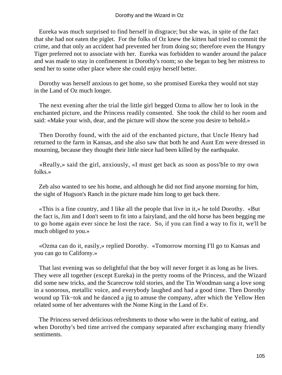Eureka was much surprised to find herself in disgrace; but she was, in spite of the fact that she had not eaten the piglet. For the folks of Oz knew the kitten had tried to commit the crime, and that only an accident had prevented her from doing so; therefore even the Hungry Tiger preferred not to associate with her. Eureka was forbidden to wander around the palace and was made to stay in confinement in Dorothy's room; so she began to beg her mistress to send her to some other place where she could enjoy herself better.

 Dorothy was herself anxious to get home, so she promised Eureka they would not stay in the Land of Oz much longer.

 The next evening after the trial the little girl begged Ozma to allow her to look in the enchanted picture, and the Princess readily consented. She took the child to her room and said: «Make your wish, dear, and the picture will show the scene you desire to behold.»

 Then Dorothy found, with the aid of the enchanted picture, that Uncle Henry had returned to the farm in Kansas, and she also saw that both he and Aunt Em were dressed in mourning, because they thought their little niece had been killed by the earthquake.

 «Really,» said the girl, anxiously, «I must get back as soon as poss'ble to my own folks.»

 Zeb also wanted to see his home, and although he did not find anyone morning for him, the sight of Hugson's Ranch in the picture made him long to get back there.

 «This is a fine country, and I like all the people that live in it,» he told Dorothy. «But the fact is, Jim and I don't seem to fit into a fairyland, and the old horse has been begging me to go home again ever since he lost the race. So, if you can find a way to fix it, we'll be much obliged to you.»

 «Ozma can do it, easily,» replied Dorothy. «Tomorrow morning I'll go to Kansas and you can go to Californy.»

 That last evening was so delightful that the boy will never forget it as long as he lives. They were all together (except Eureka) in the pretty rooms of the Princess, and the Wizard did some new tricks, and the Scarecrow told stories, and the Tin Woodman sang a love song in a sonorous, metallic voice, and everybody laughed and had a good time. Then Dorothy wound up Tik−tok and he danced a jig to amuse the company, after which the Yellow Hen related some of her adventures with the Nome King in the Land of Ev.

 The Princess served delicious refreshments to those who were in the habit of eating, and when Dorothy's bed time arrived the company separated after exchanging many friendly sentiments.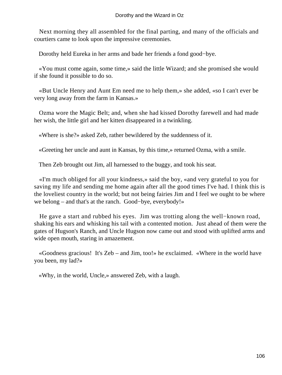Next morning they all assembled for the final parting, and many of the officials and courtiers came to look upon the impressive ceremonies.

Dorothy held Eureka in her arms and bade her friends a fond good−bye.

 «You must come again, some time,» said the little Wizard; and she promised she would if she found it possible to do so.

 «But Uncle Henry and Aunt Em need me to help them,» she added, «so I can't ever be very long away from the farm in Kansas.»

 Ozma wore the Magic Belt; and, when she had kissed Dorothy farewell and had made her wish, the little girl and her kitten disappeared in a twinkling.

«Where is she?» asked Zeb, rather bewildered by the suddenness of it.

«Greeting her uncle and aunt in Kansas, by this time,» returned Ozma, with a smile.

Then Zeb brought out Jim, all harnessed to the buggy, and took his seat.

 «I'm much obliged for all your kindness,» said the boy, «and very grateful to you for saving my life and sending me home again after all the good times I've had. I think this is the loveliest country in the world; but not being fairies Jim and I feel we ought to be where we belong – and that's at the ranch. Good−bye, everybody!»

 He gave a start and rubbed his eyes. Jim was trotting along the well−known road, shaking his ears and whisking his tail with a contented motion. Just ahead of them were the gates of Hugson's Ranch, and Uncle Hugson now came out and stood with uplifted arms and wide open mouth, staring in amazement.

 «Goodness gracious! It's Zeb – and Jim, too!» he exclaimed. «Where in the world have you been, my lad?»

«Why, in the world, Uncle,» answered Zeb, with a laugh.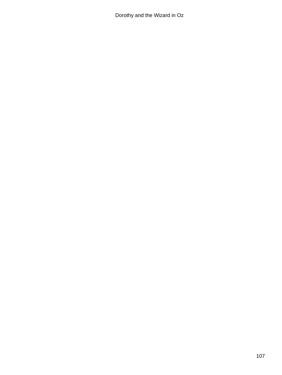Dorothy and the Wizard in Oz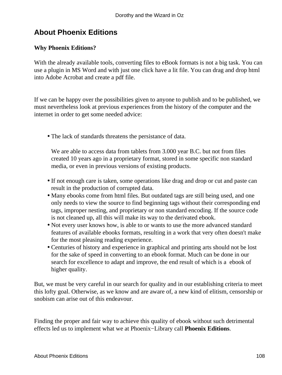# **About Phoenix Editions**

### **Why Phoenix Editions?**

With the already available tools, converting files to eBook formats is not a big task. You can use a plugin in MS Word and with just one click have a lit file. You can drag and drop html into Adobe Acrobat and create a pdf file.

If we can be happy over the possibilities given to anyone to publish and to be published, we must nevertheless look at previous experiences from the history of the computer and the internet in order to get some needed advice:

• The lack of standards threatens the persistance of data.

We are able to access data from tablets from 3.000 year B.C. but not from files created 10 years ago in a proprietary format, stored in some specific non standard media, or even in previous versions of existing products.

- If not enough care is taken, some operations like drag and drop or cut and paste can result in the production of corrupted data.
- Many ebooks come from html files. But outdated tags are still being used, and one only needs to view the source to find beginning tags without their corresponding end tags, improper nesting, and proprietary or non standard encoding. If the source code is not cleaned up, all this will make its way to the derivated ebook.
- Not every user knows how, is able to or wants to use the more advanced standard features of available ebooks formats, resulting in a work that very often doesn't make for the most pleasing reading experience.
- Centuries of history and experience in graphical and printing arts should not be lost for the sake of speed in converting to an ebook format. Much can be done in our search for excellence to adapt and improve, the end result of which is a ebook of higher quality.

But, we must be very careful in our search for quality and in our establishing criteria to meet this lofty goal. Otherwise, as we know and are aware of, a new kind of elitism, censorship or snobism can arise out of this endeavour.

Finding the proper and fair way to achieve this quality of ebook without such detrimental effects led us to implement what we at Phoenix−Library call **Phoenix Editions**.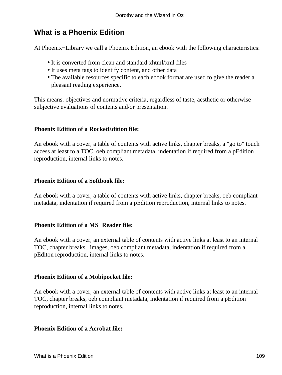# **What is a Phoenix Edition**

At Phoenix−Library we call a Phoenix Edition, an ebook with the following characteristics:

- It is converted from clean and standard xhtml/xml files
- It uses meta tags to identify content, and other data
- The available resources specific to each ebook format are used to give the reader a pleasant reading experience.

This means: objectives and normative criteria, regardless of taste, aesthetic or otherwise subjective evaluations of contents and/or presentation.

### **Phoenix Edition of a RocketEdition file:**

An ebook with a cover, a table of contents with active links, chapter breaks, a "go to" touch access at least to a TOC, oeb compliant metadata, indentation if required from a pEdition reproduction, internal links to notes.

### **Phoenix Edition of a Softbook file:**

An ebook with a cover, a table of contents with active links, chapter breaks, oeb compliant metadata, indentation if required from a pEdition reproduction, internal links to notes.

#### **Phoenix Edition of a MS−Reader file:**

An ebook with a cover, an external table of contents with active links at least to an internal TOC, chapter breaks, images, oeb compliant metadata, indentation if required from a pEditon reproduction, internal links to notes.

#### **Phoenix Edition of a Mobipocket file:**

An ebook with a cover, an external table of contents with active links at least to an internal TOC, chapter breaks, oeb compliant metadata, indentation if required from a pEdition reproduction, internal links to notes.

#### **Phoenix Edition of a Acrobat file:**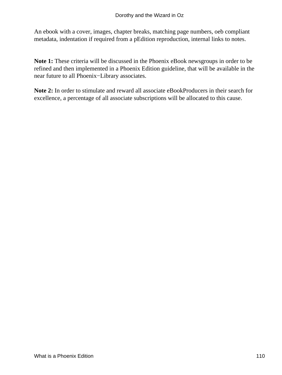An ebook with a cover, images, chapter breaks, matching page numbers, oeb compliant metadata, indentation if required from a pEdition reproduction, internal links to notes.

**Note 1:** These criteria will be discussed in the Phoenix eBook newsgroups in order to be refined and then implemented in a Phoenix Edition guideline, that will be available in the near future to all Phoenix−Library associates.

**Note 2:** In order to stimulate and reward all associate eBookProducers in their search for excellence, a percentage of all associate subscriptions will be allocated to this cause.